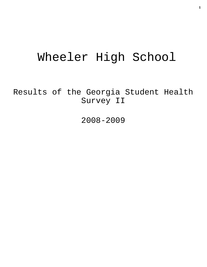# Wheeler High School

Results of the Georgia Student Health Survey II

2008-2009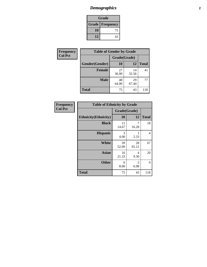# *Demographics* **2**

| Grade                    |    |  |  |
|--------------------------|----|--|--|
| <b>Grade   Frequency</b> |    |  |  |
| 10                       | 75 |  |  |
| 12                       | 43 |  |  |

| <b>Frequency</b> | <b>Table of Gender by Grade</b> |              |             |              |  |
|------------------|---------------------------------|--------------|-------------|--------------|--|
| <b>Col Pct</b>   |                                 | Grade(Grade) |             |              |  |
|                  | Gender(Gender)                  | <b>10</b>    | 12          | <b>Total</b> |  |
|                  | <b>Female</b>                   | 27<br>36.00  | 14<br>32.56 | 41           |  |
|                  | <b>Male</b>                     | 48<br>64.00  | 29<br>67.44 | 77           |  |
|                  | <b>Total</b>                    | 75           | 43          | 118          |  |

| Frequency<br>Col Pct |
|----------------------|

| <b>Table of Ethnicity by Grade</b> |             |              |              |  |  |
|------------------------------------|-------------|--------------|--------------|--|--|
|                                    |             | Grade(Grade) |              |  |  |
| <b>Ethnicity</b> (Ethnicity)       | 10          | 12           | <b>Total</b> |  |  |
| <b>Black</b>                       | 11<br>14.67 | 7<br>16.28   | 18           |  |  |
| <b>Hispanic</b>                    | 3<br>4.00   | 2.33         | 4            |  |  |
| White                              | 39<br>52.00 | 28<br>65.12  | 67           |  |  |
| <b>Asian</b>                       | 16<br>21.33 | 4<br>9.30    | 20           |  |  |
| <b>Other</b>                       | 6<br>8.00   | 3<br>6.98    | 9            |  |  |
| <b>Total</b>                       | 75          | 43           | 118          |  |  |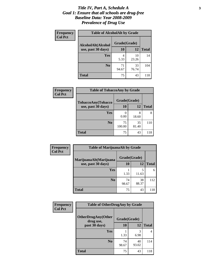### *Title IV, Part A, Schedule A* **3** *Goal 1: Ensure that all schools are drug-free Baseline Data: Year 2008-2009 Prevalence of Drug Use*

| Frequency<br><b>Col Pct</b> | <b>Table of AlcoholAlt by Grade</b> |              |             |              |  |
|-----------------------------|-------------------------------------|--------------|-------------|--------------|--|
|                             | AlcoholAlt(Alcohol                  | Grade(Grade) |             |              |  |
|                             | use, past 30 days)                  | <b>10</b>    | 12          | <b>Total</b> |  |
|                             | Yes                                 | 4<br>5.33    | 10<br>23.26 | 14           |  |
|                             | N <sub>0</sub>                      | 71<br>94.67  | 33<br>76.74 | 104          |  |
|                             | <b>Total</b>                        | 75           | 43          | 118          |  |

| <b>Frequency</b><br><b>Col Pct</b> | <b>Table of TobaccoAny by Grade</b> |              |             |              |  |
|------------------------------------|-------------------------------------|--------------|-------------|--------------|--|
|                                    | TobaccoAny(Tobacco                  | Grade(Grade) |             |              |  |
|                                    | use, past 30 days)                  | 10           | 12          | <b>Total</b> |  |
|                                    | Yes                                 | 0.00         | 8<br>18.60  | 8            |  |
|                                    | N <sub>0</sub>                      | 75<br>100.00 | 35<br>81.40 | 110          |  |
|                                    | <b>Total</b>                        | 75           | 43          | 118          |  |

| Frequency      | <b>Table of MarijuanaAlt by Grade</b> |              |             |              |  |
|----------------|---------------------------------------|--------------|-------------|--------------|--|
| <b>Col Pct</b> | MarijuanaAlt(Marijuana                | Grade(Grade) |             |              |  |
|                | use, past 30 days)                    | 10           | 12          | <b>Total</b> |  |
|                | Yes                                   | 1.33         | 5<br>11.63  | 6            |  |
|                | N <sub>0</sub>                        | 74<br>98.67  | 38<br>88.37 | 112          |  |
|                | <b>Total</b>                          | 75           | 43          | 118          |  |

| Frequency<br><b>Col Pct</b> | <b>Table of OtherDrugAny by Grade</b>                  |             |             |              |
|-----------------------------|--------------------------------------------------------|-------------|-------------|--------------|
|                             | <b>OtherDrugAny(Other</b><br>Grade(Grade)<br>drug use, |             |             |              |
|                             | past 30 days)                                          | 10          | 12          | <b>Total</b> |
|                             | <b>Yes</b>                                             | 1.33        | 3<br>6.98   | 4            |
|                             | N <sub>0</sub>                                         | 74<br>98.67 | 40<br>93.02 | 114          |
|                             | <b>Total</b>                                           | 75          | 43          | 118          |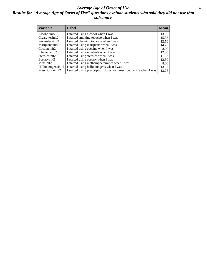### *Average Age of Onset of Use* **4** *Results for "Average Age of Onset of Use" questions exclude students who said they did not use that substance*

| <b>Variable</b>    | Label                                                              | <b>Mean</b> |
|--------------------|--------------------------------------------------------------------|-------------|
| Alcoholinit2       | I started using alcohol when I was                                 | 13.95       |
| Cigarettesinit2    | I started smoking tobacco when I was                               | 15.33       |
| Smokelessinit2     | I started chewing tobacco when I was                               | 12.50       |
| Marijuanainit2     | I started using marijuana when I was                               | 14.78       |
| Cocaineinit2       | I started using cocaine when I was                                 | 8.00        |
| Inhalantsinit2     | I started using inhalants when I was                               | 12.00       |
| Steroidsinit2      | I started using steroids when I was                                | 11.33       |
| Ecstasyinit2       | I started using ecstasy when I was                                 | 12.50       |
| Methinit2          | I started using methamphetamines when I was                        | 8.00        |
| Hallucinogensinit2 | I started using hallucinogens when I was                           | 13.33       |
| Prescriptioninit2  | I started using prescription drugs not prescribed to me when I was | 13.75       |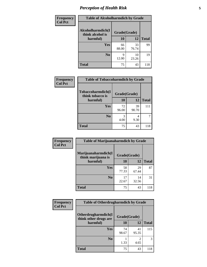# *Perception of Health Risk* **5**

| <b>Frequency</b> | <b>Table of Alcoholharmdich by Grade</b> |              |             |              |  |
|------------------|------------------------------------------|--------------|-------------|--------------|--|
| <b>Col Pct</b>   | Alcoholharmdich(I<br>think alcohol is    | Grade(Grade) |             |              |  |
|                  | harmful)                                 | 10           | 12          | <b>Total</b> |  |
|                  | Yes                                      | 66<br>88.00  | 33<br>76.74 | 99           |  |
|                  | N <sub>0</sub>                           | 9<br>12.00   | 10<br>23.26 | 19           |  |
|                  | <b>Total</b>                             | 75           | 43          | 118          |  |

| <b>Frequency</b> | <b>Table of Tobaccoharmdich by Grade</b> |              |             |              |
|------------------|------------------------------------------|--------------|-------------|--------------|
| <b>Col Pct</b>   | Tobaccoharmdich(I<br>think tobacco is    | Grade(Grade) |             |              |
|                  | harmful)                                 | 10           | 12          | <b>Total</b> |
|                  | Yes                                      | 72<br>96.00  | 39<br>90.70 | 111          |
|                  | N <sub>0</sub>                           | 3<br>4.00    | 4<br>9.30   |              |
|                  | <b>Total</b>                             | 75           | 43          | 118          |

| <b>Frequency</b><br><b>Col Pct</b> | <b>Table of Marijuanaharmdich by Grade</b> |              |             |              |  |
|------------------------------------|--------------------------------------------|--------------|-------------|--------------|--|
|                                    | Marijuanaharmdich(I<br>think marijuana is  | Grade(Grade) |             |              |  |
|                                    | harmful)                                   | <b>10</b>    | 12          | <b>Total</b> |  |
|                                    | <b>Yes</b>                                 | 58<br>77.33  | 29<br>67.44 | 87           |  |
|                                    | N <sub>0</sub>                             | 17<br>22.67  | 14<br>32.56 | 31           |  |
|                                    | <b>Total</b>                               | 75           | 43          | 118          |  |

| Frequency      | <b>Table of Otherdrugharmdich by Grade</b>   |              |             |              |  |  |  |
|----------------|----------------------------------------------|--------------|-------------|--------------|--|--|--|
| <b>Col Pct</b> | Otherdrugharmdich(I<br>think other drugs are | Grade(Grade) |             |              |  |  |  |
|                | harmful)                                     | <b>10</b>    | 12          | <b>Total</b> |  |  |  |
|                | <b>Yes</b>                                   | 74<br>98.67  | 41<br>95.35 | 115          |  |  |  |
|                | N <sub>0</sub>                               | 1.33         | 4.65        | 3            |  |  |  |
|                | <b>Total</b>                                 | 75           | 43          | 118          |  |  |  |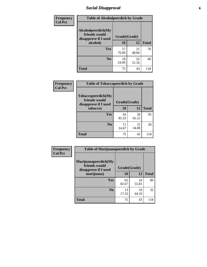# *Social Disapproval* **6**

| Frequency      | <b>Table of Alcoholpeerdich by Grade</b>                    |              |              |     |  |  |  |
|----------------|-------------------------------------------------------------|--------------|--------------|-----|--|--|--|
| <b>Col Pct</b> | Alcoholpeerdich(My<br>friends would<br>disapprove if I used | Grade(Grade) |              |     |  |  |  |
|                | alcohol)                                                    | 10           | <b>Total</b> |     |  |  |  |
|                | <b>Yes</b>                                                  | 57<br>76.00  | 21<br>48.84  | 78  |  |  |  |
|                | N <sub>0</sub>                                              | 18<br>24.00  | 22<br>51.16  | 40  |  |  |  |
|                | <b>Total</b>                                                | 75           | 43           | 118 |  |  |  |

| <b>Frequency</b> |
|------------------|
| <b>Col Pct</b>   |

| <b>Table of Tobaccopeerdich by Grade</b>                    |              |             |              |  |  |  |  |
|-------------------------------------------------------------|--------------|-------------|--------------|--|--|--|--|
| Tobaccopeerdich(My<br>friends would<br>disapprove if I used | Grade(Grade) |             |              |  |  |  |  |
| tobacco)                                                    | 10           | 12          | <b>Total</b> |  |  |  |  |
| Yes                                                         | 64<br>85.33  | 28<br>65.12 | 92           |  |  |  |  |
| N <sub>0</sub>                                              | 11<br>14.67  | 15<br>34.88 | 26           |  |  |  |  |
| <b>Total</b>                                                | 75           | 43          | 118          |  |  |  |  |

| <b>Frequency</b> | <b>Table of Marijuanapeerdich by Grade</b>                    |              |             |              |  |  |  |
|------------------|---------------------------------------------------------------|--------------|-------------|--------------|--|--|--|
| <b>Col Pct</b>   | Marijuanapeerdich(My<br>friends would<br>disapprove if I used | Grade(Grade) |             |              |  |  |  |
|                  | marijuana)                                                    | 10           | 12          | <b>Total</b> |  |  |  |
|                  | <b>Yes</b>                                                    | 62<br>82.67  | 24<br>55.81 | 86           |  |  |  |
|                  | N <sub>0</sub>                                                | 13<br>17.33  | 19<br>44.19 | 32           |  |  |  |
|                  | <b>Total</b>                                                  | 75           | 43          | 118          |  |  |  |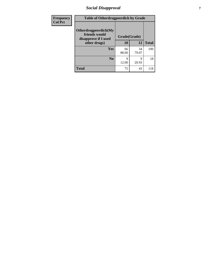# *Social Disapproval* **7**

| Frequency      | <b>Table of Otherdrugpeerdich by Grade</b>                    |              |             |              |  |  |  |
|----------------|---------------------------------------------------------------|--------------|-------------|--------------|--|--|--|
| <b>Col Pct</b> | Otherdrugpeerdich(My<br>friends would<br>disapprove if I used | Grade(Grade) |             |              |  |  |  |
|                | other drugs)                                                  | 10           | 12          | <b>Total</b> |  |  |  |
|                | Yes                                                           | 66<br>88.00  | 34<br>79.07 | 100          |  |  |  |
|                | N <sub>0</sub>                                                | Q<br>12.00   | 9<br>20.93  | 18           |  |  |  |
|                | <b>Total</b>                                                  | 75           | 43          | 118          |  |  |  |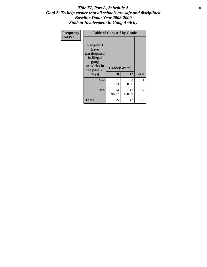### Title IV, Part A, Schedule A **8** *Goal 2: To help ensure that all schools are safe and disciplined Baseline Data: Year 2008-2009 Student Involvement in Gang Activity*

| Frequency      |                                                                                                   | <b>Table of Gangself by Grade</b> |                  |              |
|----------------|---------------------------------------------------------------------------------------------------|-----------------------------------|------------------|--------------|
| <b>Col Pct</b> | Gangself(I<br>have<br>participated<br>in illegal<br>gang<br>activities in<br>the past 30<br>days) | Grade(Grade)<br>10                | 12               | <b>Total</b> |
|                | Yes                                                                                               | 1<br>1.33                         | $\theta$<br>0.00 | 1            |
|                | N <sub>0</sub>                                                                                    | 74<br>98.67                       | 43<br>100.00     | 117          |
|                | <b>Total</b>                                                                                      | 75                                | 43               | 118          |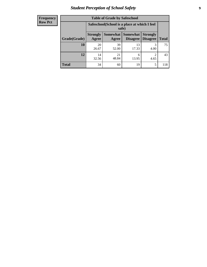# *Student Perception of School Safety* **9**

| <b>Frequency</b><br>Row Pct |
|-----------------------------|
|                             |

| <b>Table of Grade by Safeschool</b> |                          |                                                        |                                 |                                    |              |  |  |
|-------------------------------------|--------------------------|--------------------------------------------------------|---------------------------------|------------------------------------|--------------|--|--|
|                                     |                          | Safeschool (School is a place at which I feel<br>safe) |                                 |                                    |              |  |  |
| Grade(Grade)                        | <b>Strongly</b><br>Agree | Agree                                                  | Somewhat   Somewhat<br>Disagree | <b>Strongly</b><br><b>Disagree</b> | <b>Total</b> |  |  |
| 10                                  | 20<br>26.67              | 39<br>52.00                                            | 13<br>17.33                     | 3<br>4.00                          | 75           |  |  |
| 12                                  | 14<br>32.56              | 21<br>48.84                                            | 6<br>13.95                      | $\mathfrak{D}$<br>4.65             | 43           |  |  |
| <b>Total</b>                        | 34                       | 60                                                     | 19                              | 5                                  | 118          |  |  |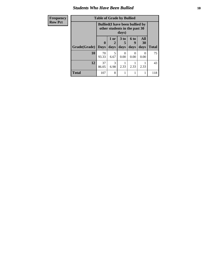### *Students Who Have Been Bullied* **10**

| Frequency      |  |
|----------------|--|
| <b>Row Pct</b> |  |

# **Table of Grade by Bullied**

| - 7 | russie of Oruge sy Bullieu |                                                                       |                                                                                  |           |           |                           |              |
|-----|----------------------------|-----------------------------------------------------------------------|----------------------------------------------------------------------------------|-----------|-----------|---------------------------|--------------|
|     |                            |                                                                       | <b>Bullied</b> (I have been bullied by<br>other students in the past 30<br>days) |           |           |                           |              |
|     |                            | All<br>3 <sub>to</sub><br>6 to<br>1 or<br>30<br>$\mathbf 0$<br>2<br>5 |                                                                                  |           |           |                           |              |
|     | Grade(Grade)               | <b>Days</b>                                                           | days                                                                             | days      | days      | days                      | <b>Total</b> |
|     | 10                         | 70<br>93.33                                                           | 5<br>6.67                                                                        | 0<br>0.00 | 0<br>0.00 | $\mathbf{\Omega}$<br>0.00 | 75           |
|     | 12                         | 37<br>86.05                                                           | 3<br>6.98                                                                        | 2.33      | 2.33      | 2.33                      | 43           |
|     | <b>Total</b>               | 107                                                                   | 8                                                                                |           |           |                           | 118          |

٦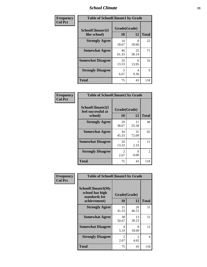### *School Climate* **11**

| Frequency      | <b>Table of SchoolClimate1 by Grade</b> |                    |             |              |  |  |  |
|----------------|-----------------------------------------|--------------------|-------------|--------------|--|--|--|
| <b>Col Pct</b> | SchoolClimate1(I<br>like school)        | Grade(Grade)<br>10 | 12          | <b>Total</b> |  |  |  |
|                | <b>Strongly Agree</b>                   | 14<br>18.67        | 8<br>18.60  | 22           |  |  |  |
|                | <b>Somewhat Agree</b>                   | 46<br>61.33        | 25<br>58.14 | 71           |  |  |  |
|                | <b>Somewhat Disagree</b>                | 10<br>13.33        | 6<br>13.95  | 16           |  |  |  |
|                | <b>Strongly Disagree</b>                | 5<br>6.67          | 4<br>9.30   | 9            |  |  |  |
|                | <b>Total</b>                            | 75                 | 43          | 118          |  |  |  |

| Frequency      | <b>Table of SchoolClimate2 by Grade</b>           |                        |                  |                |
|----------------|---------------------------------------------------|------------------------|------------------|----------------|
| <b>Col Pct</b> | SchoolClimate2(I<br>feel successful at<br>school) | Grade(Grade)<br>10     | 12               | <b>Total</b>   |
|                | <b>Strongly Agree</b>                             | 29<br>38.67            | 11<br>25.58      | 40             |
|                | <b>Somewhat Agree</b>                             | 34<br>45.33            | 31<br>72.09      | 65             |
|                | <b>Somewhat Disagree</b>                          | 10<br>13.33            | 2.33             | 11             |
|                | <b>Strongly Disagree</b>                          | $\mathfrak{D}$<br>2.67 | $\Omega$<br>0.00 | $\overline{2}$ |
|                | <b>Total</b>                                      | 75                     | 43               | 118            |

| Frequency      | <b>Table of SchoolClimate3 by Grade</b>                                      |                       |             |              |  |
|----------------|------------------------------------------------------------------------------|-----------------------|-------------|--------------|--|
| <b>Col Pct</b> | <b>SchoolClimate3(My</b><br>school has high<br>standards for<br>achievement) | Grade(Grade)<br>10    | 12          | <b>Total</b> |  |
|                |                                                                              |                       |             |              |  |
|                | <b>Strongly Agree</b>                                                        | 31<br>41.33           | 20<br>46.51 | 51           |  |
|                | <b>Somewhat Agree</b>                                                        | 38<br>50.67           | 13<br>30.23 | 51           |  |
|                | <b>Somewhat Disagree</b>                                                     | 4<br>5.33             | 8<br>18.60  | 12           |  |
|                | <b>Strongly Disagree</b>                                                     | $\mathcal{L}$<br>2.67 | 2<br>4.65   | 4            |  |
|                | Total                                                                        | 75                    | 43          | 118          |  |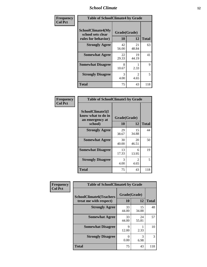### *School Climate* **12**

| Frequency      |                                                               | <b>Table of SchoolClimate4 by Grade</b> |                        |              |  |
|----------------|---------------------------------------------------------------|-----------------------------------------|------------------------|--------------|--|
| <b>Col Pct</b> | SchoolClimate4(My<br>school sets clear<br>rules for behavior) | Grade(Grade)<br>10                      | 12                     | <b>Total</b> |  |
|                | <b>Strongly Agree</b>                                         | 42<br>56.00                             | 21<br>48.84            | 63           |  |
|                | <b>Somewhat Agree</b>                                         | 22<br>29.33                             | 19<br>44.19            | 41           |  |
|                | <b>Somewhat Disagree</b>                                      | 8<br>10.67                              | 2.33                   | 9            |  |
|                | <b>Strongly Disagree</b>                                      | 3<br>4.00                               | $\mathfrak{D}$<br>4.65 | 5            |  |
|                | <b>Total</b>                                                  | 75                                      | 43                     | 118          |  |

| <b>Table of SchoolClimate5 by Grade</b>                              |                    |              |     |  |
|----------------------------------------------------------------------|--------------------|--------------|-----|--|
| SchoolClimate5(I<br>know what to do in<br>an emergency at<br>school) | Grade(Grade)<br>10 | <b>Total</b> |     |  |
| <b>Strongly Agree</b>                                                | 29<br>38.67        | 15<br>34.88  | 44  |  |
| <b>Somewhat Agree</b>                                                | 30<br>40.00        | 20<br>46.51  | 50  |  |
| <b>Somewhat Disagree</b>                                             | 13<br>17.33        | 6<br>13.95   | 19  |  |
| <b>Strongly Disagree</b>                                             | 3<br>4.00          | 2<br>4.65    | 5   |  |
| <b>Total</b>                                                         | 75                 | 43           | 118 |  |

| Frequency      | <b>Table of SchoolClimate6 by Grade</b>                  |                    |             |              |
|----------------|----------------------------------------------------------|--------------------|-------------|--------------|
| <b>Col Pct</b> | <b>SchoolClimate6(Teachers</b><br>treat me with respect) | Grade(Grade)<br>10 | 12          | <b>Total</b> |
|                | <b>Strongly Agree</b>                                    | 33<br>44.00        | 15<br>34.88 | 48           |
|                | <b>Somewhat Agree</b>                                    | 33<br>44.00        | 24<br>55.81 | 57           |
|                | <b>Somewhat Disagree</b>                                 | 9<br>12.00         | 2.33        | 10           |
|                | <b>Strongly Disagree</b>                                 | $\Omega$<br>0.00   | 3<br>6.98   | 3            |
|                | <b>Total</b>                                             | 75                 | 43          | 118          |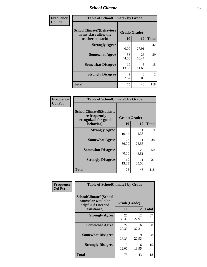### *School Climate* **13**

| Frequency      | <b>Table of SchoolClimate7 by Grade</b>                                       |                           |                                   |                |
|----------------|-------------------------------------------------------------------------------|---------------------------|-----------------------------------|----------------|
| <b>Col Pct</b> | <b>SchoolClimate7(Behaviors</b><br>in my class allow the<br>teacher to teach) | Grade(Grade)<br><b>10</b> | 12                                | <b>Total</b>   |
|                | <b>Strongly Agree</b>                                                         | 30<br>40.00               | 12<br>27.91                       | 42             |
|                | <b>Somewhat Agree</b>                                                         | 33<br>44.00               | 26<br>60.47                       | 59             |
|                | <b>Somewhat Disagree</b>                                                      | 10<br>13.33               | $\overline{\phantom{0}}$<br>11.63 | 15             |
|                | <b>Strongly Disagree</b>                                                      | $\mathfrak{D}$<br>2.67    | 0<br>0.00                         | $\overline{2}$ |
|                | <b>Total</b>                                                                  | 75                        | 43                                | 118            |

| Frequency      | <b>Table of SchoolClimate8 by Grade</b>                                              |                    |             |              |
|----------------|--------------------------------------------------------------------------------------|--------------------|-------------|--------------|
| <b>Col Pct</b> | <b>SchoolClimate8(Students</b><br>are frequently<br>recognized for good<br>behavior) | Grade(Grade)<br>10 | 12          | <b>Total</b> |
|                | <b>Strongly Agree</b>                                                                | 8<br>10.67         | 2.33        | 9            |
|                | <b>Somewhat Agree</b>                                                                | 27<br>36.00        | 11<br>25.58 | 38           |
|                | <b>Somewhat Disagree</b>                                                             | 30<br>40.00        | 20<br>46.51 | 50           |
|                | <b>Strongly Disagree</b>                                                             | 10<br>13.33        | 11<br>25.58 | 21           |
|                | <b>Total</b>                                                                         | 75                 | 43          | 118          |

| Frequency<br><b>Col Pct</b> | <b>Table of SchoolClimate9 by Grade</b>                                           |                    |             |              |
|-----------------------------|-----------------------------------------------------------------------------------|--------------------|-------------|--------------|
|                             | SchoolClimate9(School<br>counselor would be<br>helpful if I needed<br>assistance) | Grade(Grade)<br>10 | 12          | <b>Total</b> |
|                             | <b>Strongly Agree</b>                                                             | 25<br>33.33        | 12<br>27.91 | 37           |
|                             | <b>Somewhat Agree</b>                                                             | 22<br>29.33        | 16<br>37.21 | 38           |
|                             | <b>Somewhat Disagree</b>                                                          | 19<br>25.33        | 9<br>20.93  | 28           |
|                             | <b>Strongly Disagree</b>                                                          | 9<br>12.00         | 6<br>13.95  | 15           |
|                             | Total                                                                             | 75                 | 43          | 118          |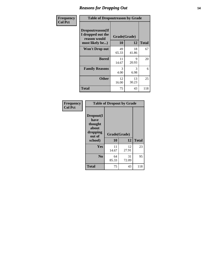### *Reasons for Dropping Out* **14**

| Frequency      | <b>Table of Dropoutreason by Grade</b>                                           |                    |             |              |
|----------------|----------------------------------------------------------------------------------|--------------------|-------------|--------------|
| <b>Col Pct</b> | <b>Dropoutreason</b> (If<br>I dropped out the<br>reason would<br>most likely be) | Grade(Grade)<br>10 | 12          | <b>Total</b> |
|                | <b>Won't Drop out</b>                                                            | 49<br>65.33        | 18<br>41.86 | 67           |
|                | <b>Bored</b>                                                                     | 11<br>14.67        | 9<br>20.93  | 20           |
|                | <b>Family Reasons</b>                                                            | 3<br>4.00          | 3<br>6.98   | 6            |
|                | <b>Other</b>                                                                     | 12<br>16.00        | 13<br>30.23 | 25           |
|                | Total                                                                            | 75                 | 43          | 118          |

| <b>Frequency</b><br><b>Col Pct</b> | <b>Table of Dropout by Grade</b>                            |              |             |              |  |
|------------------------------------|-------------------------------------------------------------|--------------|-------------|--------------|--|
|                                    | Dropout(I<br>have<br>thought<br>about<br>dropping<br>out of | Grade(Grade) |             |              |  |
|                                    | school)                                                     | 10           | 12          | <b>Total</b> |  |
|                                    | Yes                                                         | 11<br>14.67  | 12<br>27.91 | 23           |  |
|                                    | N <sub>0</sub>                                              | 64<br>85.33  | 31<br>72.09 | 95           |  |
|                                    | <b>Total</b>                                                | 75           | 43          | 118          |  |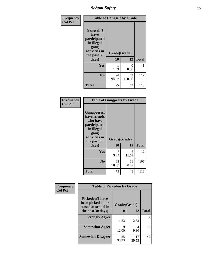*School Safety* **15**

| Frequency      | <b>Table of Gangself by Grade</b>                                                                 |                    |              |              |
|----------------|---------------------------------------------------------------------------------------------------|--------------------|--------------|--------------|
| <b>Col Pct</b> | Gangself(I<br>have<br>participated<br>in illegal<br>gang<br>activities in<br>the past 30<br>days) | Grade(Grade)<br>10 | 12           | <b>Total</b> |
|                | Yes                                                                                               | 1<br>1.33          | 0<br>0.00    | 1            |
|                | N <sub>0</sub>                                                                                    | 74<br>98.67        | 43<br>100.00 | 117          |
|                | <b>Total</b>                                                                                      | 75                 | 43           | 118          |

| Frequency<br><b>Col Pct</b> | <b>Table of Gangpeers by Grade</b>                                                                                             |                    |             |              |
|-----------------------------|--------------------------------------------------------------------------------------------------------------------------------|--------------------|-------------|--------------|
|                             | <b>Gangpeers</b> (I<br>have friends<br>who have<br>participated<br>in illegal<br>gang<br>activities in<br>the past 30<br>days) | Grade(Grade)<br>10 | 12          | <b>Total</b> |
|                             | Yes                                                                                                                            | 7<br>9.33          | 5<br>11.63  | 12           |
|                             | N <sub>0</sub>                                                                                                                 | 68<br>90.67        | 38<br>88.37 | 106          |
|                             | <b>Total</b>                                                                                                                   | 75                 | 43          | 118          |

| Frequency      | <b>Table of Pickedon by Grade</b>                                   |              |             |                |
|----------------|---------------------------------------------------------------------|--------------|-------------|----------------|
| <b>Col Pct</b> | <b>Pickedon</b> (I have<br>been picked on or<br>teased at school in | Grade(Grade) |             |                |
|                | the past 30 days)                                                   | 10           | 12          | <b>Total</b>   |
|                | <b>Strongly Agree</b>                                               | 1.33         | 2.33        | $\mathfrak{D}$ |
|                | <b>Somewhat Agree</b>                                               | Q<br>12.00   | 4<br>9.30   | 13             |
|                | <b>Somewhat Disagree</b>                                            | 25<br>33.33  | 17<br>39.53 | 42             |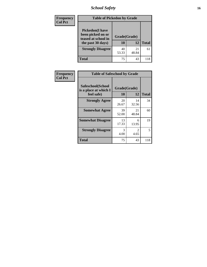*School Safety* **16**

| <b>Frequency</b> | <b>Table of Pickedon by Grade</b>                                                        |                    |             |              |
|------------------|------------------------------------------------------------------------------------------|--------------------|-------------|--------------|
| <b>Col Pct</b>   | <b>Pickedon</b> (I have<br>been picked on or<br>teased at school in<br>the past 30 days) | Grade(Grade)<br>10 | 12          | <b>Total</b> |
|                  | <b>Strongly Disagree</b>                                                                 | 40<br>53.33        | 21<br>48.84 | 61           |
|                  | <b>Total</b>                                                                             | 75                 | 43          | 118          |

| Frequency      | <b>Table of Safeschool by Grade</b>                      |                    |             |              |  |  |  |
|----------------|----------------------------------------------------------|--------------------|-------------|--------------|--|--|--|
| <b>Col Pct</b> | Safeschool(School<br>is a place at which I<br>feel safe) | Grade(Grade)<br>10 | 12          | <b>Total</b> |  |  |  |
|                | <b>Strongly Agree</b>                                    | 20<br>26.67        | 14<br>32.56 | 34           |  |  |  |
|                | <b>Somewhat Agree</b>                                    | 39<br>52.00        | 21<br>48.84 | 60           |  |  |  |
|                | <b>Somewhat Disagree</b>                                 | 13<br>17.33        | 6<br>13.95  | 19           |  |  |  |
|                | <b>Strongly Disagree</b>                                 | 3<br>4.00          | 4.65        | 5            |  |  |  |
|                | <b>Total</b>                                             | 75                 | 43          | 118          |  |  |  |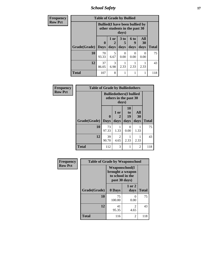*School Safety* **17**

| <b>Frequency</b> | <b>Table of Grade by Bullied</b> |                             |                                                                         |                    |                   |                          |              |  |  |  |
|------------------|----------------------------------|-----------------------------|-------------------------------------------------------------------------|--------------------|-------------------|--------------------------|--------------|--|--|--|
| <b>Row Pct</b>   |                                  |                             | <b>Bullied</b> (I have been bullied by<br>other students in the past 30 | days)              |                   |                          |              |  |  |  |
|                  | Grade(Grade)                     | $\mathbf{0}$<br><b>Days</b> | 1 or<br>2<br>days                                                       | 3 to<br>b.<br>days | 6 to<br>g<br>days | <b>All</b><br>30<br>days | <b>Total</b> |  |  |  |
|                  | 10                               | 70<br>93.33                 | 5<br>6.67                                                               | 0<br>0.00          | 0<br>0.00         | ∩<br>0.00                | 75           |  |  |  |
|                  | 12                               | 37<br>86.05                 | 3<br>6.98                                                               | 2.33               | 2.33              | 2.33                     | 43           |  |  |  |
|                  | <b>Total</b>                     | 107                         | 8                                                                       |                    |                   |                          | 118          |  |  |  |

| <b>Frequency</b> | <b>Table of Grade by Bulliedothers</b> |                                 |                                                                   |                               |                   |              |  |  |  |
|------------------|----------------------------------------|---------------------------------|-------------------------------------------------------------------|-------------------------------|-------------------|--------------|--|--|--|
| <b>Row Pct</b>   |                                        |                                 | <b>Bulliedothers</b> (I bullied<br>others in the past 30<br>days) |                               |                   |              |  |  |  |
|                  | Grade(Grade)                           | $\boldsymbol{0}$<br><b>Days</b> | 1 or<br>2<br>days                                                 | <b>10</b><br>to<br>19<br>days | All<br>30<br>days | <b>Total</b> |  |  |  |
|                  | 10                                     | 73<br>97.33                     | 1.33                                                              | 0<br>0.00                     | 1.33              | 75           |  |  |  |
|                  | 12                                     | 39<br>90.70                     | 2<br>4.65                                                         | 2.33                          | 2.33              | 43           |  |  |  |
|                  | <b>Total</b>                           | 112                             | 3                                                                 |                               | $\overline{c}$    | 118          |  |  |  |

| Frequency      | <b>Table of Grade by Weaponschool</b> |                                                                                 |                        |              |  |  |  |
|----------------|---------------------------------------|---------------------------------------------------------------------------------|------------------------|--------------|--|--|--|
| <b>Row Pct</b> |                                       | <b>Weaponschool</b> (I<br>brought a weapon<br>to school in the<br>past 30 days) |                        |              |  |  |  |
|                | Grade(Grade)                          | 0 Days                                                                          | 1 or 2<br>days         | <b>Total</b> |  |  |  |
|                | 10                                    | 75<br>100.00                                                                    | 0<br>0.00              | 75           |  |  |  |
|                | 12                                    | 41<br>95.35                                                                     | $\mathfrak{D}$<br>4.65 | 43           |  |  |  |
|                | <b>Total</b>                          | 116                                                                             | 2                      | 118          |  |  |  |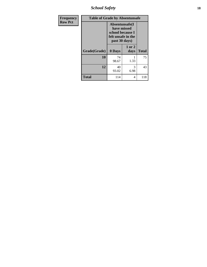*School Safety* **18**

| <b>Frequency</b> | <b>Table of Grade by Absentunsafe</b> |                                                                                           |                |              |  |  |  |
|------------------|---------------------------------------|-------------------------------------------------------------------------------------------|----------------|--------------|--|--|--|
| <b>Row Pct</b>   |                                       | Absentunsafe(I)<br>have missed<br>school because I<br>felt unsafe in the<br>past 30 days) |                |              |  |  |  |
|                  | Grade(Grade)                          | 0 Days                                                                                    | 1 or 2<br>days | <b>Total</b> |  |  |  |
|                  | 10                                    | 74<br>98.67                                                                               | 1.33           | 75           |  |  |  |
|                  | 12                                    | 40<br>93.02                                                                               | 3<br>6.98      | 43           |  |  |  |
|                  | <b>Total</b>                          | 114                                                                                       | 4              | 118          |  |  |  |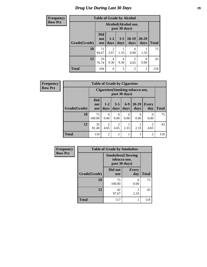# *Drug Use During Last 30 Days* **19**

| <b>Frequency</b> | <b>Table of Grade by Alcohol</b> |                                 |                        |                 |                        |                   |              |  |  |
|------------------|----------------------------------|---------------------------------|------------------------|-----------------|------------------------|-------------------|--------------|--|--|
| <b>Row Pct</b>   |                                  |                                 |                        | past 30 days)   | Alcohol(Alcohol use,   |                   |              |  |  |
|                  | Grade(Grade)                     | <b>Did</b><br>not<br><b>use</b> | $1-2$<br>days          | $3 - 5$<br>days | $10-19$<br>days        | $20 - 29$<br>days | <b>Total</b> |  |  |
|                  | 10                               | 71<br>94.67                     | $\mathfrak{D}$<br>2.67 | 1<br>1.33       | $\Omega$<br>0.00       | 1.33              | 75           |  |  |
|                  | 12                               | 33<br>76.74                     | 4<br>9.30              | 4<br>9.30       | $\overline{c}$<br>4.65 | $\Omega$<br>0.00  | 43           |  |  |
|                  | <b>Total</b>                     | 104                             | 6                      | 5               | $\overline{2}$         | 1                 | 118          |  |  |

| Frequency      | <b>Table of Grade by Cigarettes</b> |                                                          |                        |                  |                  |                   |                        |              |  |  |
|----------------|-------------------------------------|----------------------------------------------------------|------------------------|------------------|------------------|-------------------|------------------------|--------------|--|--|
| <b>Row Pct</b> |                                     | <b>Cigarettes</b> (Smoking tobacco use,<br>past 30 days) |                        |                  |                  |                   |                        |              |  |  |
|                | Grade(Grade)                        | <b>Did</b><br>not<br><b>use</b>                          | $1-2$<br>days          | $3 - 5$<br>days  | $6-9$<br>days    | $20 - 29$<br>days | Every<br>day           | <b>Total</b> |  |  |
|                | 10                                  | 75<br>100.00                                             | $\Omega$<br>0.00       | $\Omega$<br>0.00 | $\Omega$<br>0.00 | $\Omega$<br>0.00  | 0<br>0.00              | 75           |  |  |
|                | 12                                  | 35<br>81.40                                              | $\overline{2}$<br>4.65 | 2<br>4.65        | 2.33             | 2.33              | $\overline{2}$<br>4.65 | 43           |  |  |
|                | <b>Total</b>                        | 110                                                      | $\overline{2}$         | $\overline{2}$   | 1                |                   | $\overline{2}$         | 118          |  |  |

| Frequency      |              | <b>Table of Grade by Smokeless</b>                         |                     |              |  |  |  |  |  |
|----------------|--------------|------------------------------------------------------------|---------------------|--------------|--|--|--|--|--|
| <b>Row Pct</b> |              | <b>Smokeless</b> (Chewing<br>tobacco use,<br>past 30 days) |                     |              |  |  |  |  |  |
|                | Grade(Grade) | Did not<br><b>use</b>                                      | <b>Every</b><br>day | <b>Total</b> |  |  |  |  |  |
|                | 10           | 75<br>100.00                                               | 0<br>0.00           | 75           |  |  |  |  |  |
|                | 12           | 42<br>97.67                                                | 2.33                | 43           |  |  |  |  |  |
|                | <b>Total</b> | 117                                                        | 1                   | 118          |  |  |  |  |  |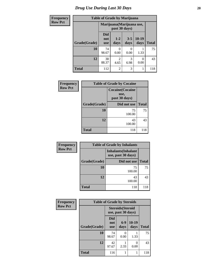# *Drug Use During Last 30 Days* 20

ſ

| <b>Frequency</b> | <b>Table of Grade by Marijuana</b> |                                            |                        |                 |                 |              |  |  |  |
|------------------|------------------------------------|--------------------------------------------|------------------------|-----------------|-----------------|--------------|--|--|--|
| <b>Row Pct</b>   |                                    | Marijuana (Marijuana use,<br>past 30 days) |                        |                 |                 |              |  |  |  |
|                  | Grade(Grade)                       | <b>Did</b><br>not<br><b>use</b>            | $1 - 2$<br>days        | $3 - 5$<br>days | $10-19$<br>days | <b>Total</b> |  |  |  |
|                  | 10                                 | 74<br>98.67                                | 0<br>0.00              | 0.00            | 1.33            | 75           |  |  |  |
|                  | 12                                 | 38<br>88.37                                | $\overline{c}$<br>4.65 | 3<br>6.98       | 0.00            | 43           |  |  |  |
|                  | <b>Total</b>                       | 112                                        | $\overline{c}$         | 3               |                 | 118          |  |  |  |

| <b>Frequency</b> | <b>Table of Grade by Cocaine</b> |                                                  |              |  |  |  |
|------------------|----------------------------------|--------------------------------------------------|--------------|--|--|--|
| <b>Row Pct</b>   |                                  | <b>Cocaine</b> (Cocaine<br>use,<br>past 30 days) |              |  |  |  |
|                  | Grade(Grade)                     | Did not use                                      | <b>Total</b> |  |  |  |
|                  | 10                               | 75<br>100.00                                     | 75           |  |  |  |
|                  | 12                               | 43<br>100.00                                     | 43           |  |  |  |
|                  | <b>Total</b>                     | 118                                              | 118          |  |  |  |

| Frequency      |              | <b>Table of Grade by Inhalants</b>               |              |
|----------------|--------------|--------------------------------------------------|--------------|
| <b>Row Pct</b> |              | <b>Inhalants</b> (Inhalant<br>use, past 30 days) |              |
|                | Grade(Grade) | Did not use                                      | <b>Total</b> |
|                | 10           | 75<br>100.00                                     | 75           |
|                | 12           | 43<br>100.00                                     | 43           |
|                | <b>Total</b> | 118                                              | 118          |

| Frequency      | <b>Table of Grade by Steroids</b> |                                 |                                                |                 |              |
|----------------|-----------------------------------|---------------------------------|------------------------------------------------|-----------------|--------------|
| <b>Row Pct</b> |                                   |                                 | <b>Steroids</b> (Steroid<br>use, past 30 days) |                 |              |
|                | Grade(Grade)                      | <b>Did</b><br>not<br><b>use</b> | $6-9$<br>days                                  | $10-19$<br>days | <b>Total</b> |
|                | 10                                | 74<br>98.67                     | 0.00                                           | 1.33            | 75           |
|                | 12                                | 42<br>97.67                     | 2.33                                           | 0.00            | 43           |
|                | <b>Total</b>                      | 116                             | 1                                              |                 | 118          |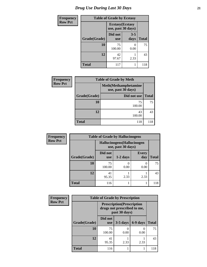# *Drug Use During Last 30 Days* **21**

| <b>Frequency</b> |              | <b>Table of Grade by Ecstasy</b>              |                 |              |  |  |  |
|------------------|--------------|-----------------------------------------------|-----------------|--------------|--|--|--|
| <b>Row Pct</b>   |              | <b>Ecstasy</b> (Ecstasy<br>use, past 30 days) |                 |              |  |  |  |
|                  | Grade(Grade) | Did not<br><b>use</b>                         | $3 - 5$<br>days | <b>Total</b> |  |  |  |
|                  | 10           | 75<br>100.00                                  | 0<br>0.00       | 75           |  |  |  |
|                  | 12           | 42<br>97.67                                   | 2.33            | 43           |  |  |  |
|                  | <b>Total</b> | 117                                           |                 | 118          |  |  |  |

| <b>Frequency</b> |              | <b>Table of Grade by Meth</b>                      |              |
|------------------|--------------|----------------------------------------------------|--------------|
| <b>Row Pct</b>   |              | <b>Meth</b> (Methamphetamine<br>use, past 30 days) |              |
|                  | Grade(Grade) | Did not use                                        | <b>Total</b> |
|                  | 10           | 75<br>100.00                                       | 75           |
|                  | 12           | 43<br>100.00                                       | 43           |
|                  | <b>Total</b> | 118                                                | 118          |

| Frequency      | <b>Table of Grade by Hallucinogens</b> |                                                   |            |                     |              |
|----------------|----------------------------------------|---------------------------------------------------|------------|---------------------|--------------|
| <b>Row Pct</b> |                                        | Hallucinogens (Hallucinogen<br>use, past 30 days) |            |                     |              |
|                | Grade(Grade)                           | Did not<br><b>use</b>                             | $1-2$ days | <b>Every</b><br>day | <b>Total</b> |
|                | 10                                     | 75<br>100.00                                      | 0.00       | 0<br>0.00           | 75           |
|                | 12                                     | 41<br>95.35                                       | 2.33       | 2.33                | 43           |
|                | <b>Total</b>                           | 116                                               |            |                     | 118          |

| Frequency      | <b>Table of Grade by Prescription</b> |                       |                                                                                   |                           |              |
|----------------|---------------------------------------|-----------------------|-----------------------------------------------------------------------------------|---------------------------|--------------|
| <b>Row Pct</b> |                                       |                       | <b>Prescription</b> (Prescription<br>drugs not prescribed to me,<br>past 30 days) |                           |              |
|                | Grade(Grade)                          | Did not<br><b>use</b> | $3-5$ days                                                                        | 6-9 days                  | <b>Total</b> |
|                | 10                                    | 75<br>100.00          | 0.00                                                                              | $\mathbf{\Omega}$<br>0.00 | 75           |
|                | 12                                    | 41<br>95.35           | 2.33                                                                              | 2.33                      | 43           |
|                | <b>Total</b>                          | 116                   |                                                                                   |                           | 118          |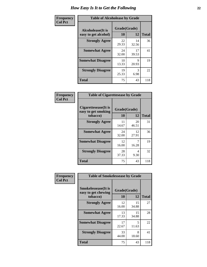| Frequency      | <b>Table of Alcoholease by Grade</b>              |                    |             |              |
|----------------|---------------------------------------------------|--------------------|-------------|--------------|
| <b>Col Pct</b> | <b>Alcoholease</b> (It is<br>easy to get alcohol) | Grade(Grade)<br>10 | 12          | <b>Total</b> |
|                | <b>Strongly Agree</b>                             | 22<br>29.33        | 14<br>32.56 | 36           |
|                | <b>Somewhat Agree</b>                             | 24<br>32.00        | 17<br>39.53 | 41           |
|                | <b>Somewhat Disagree</b>                          | 10<br>13.33        | q<br>20.93  | 19           |
|                | <b>Strongly Disagree</b>                          | 19<br>25.33        | 3<br>6.98   | 22           |
|                | <b>Total</b>                                      | 75                 | 43          | 118          |

| Frequency      | <b>Table of Cigarettesease by Grade</b>                  |                    |             |              |
|----------------|----------------------------------------------------------|--------------------|-------------|--------------|
| <b>Col Pct</b> | Cigarettesease (It is<br>easy to get smoking<br>tobacco) | Grade(Grade)<br>10 | 12          | <b>Total</b> |
|                | <b>Strongly Agree</b>                                    | 11<br>14.67        | 20<br>46.51 | 31           |
|                | <b>Somewhat Agree</b>                                    | 24<br>32.00        | 12<br>27.91 | 36           |
|                | <b>Somewhat Disagree</b>                                 | 12<br>16.00        | 7<br>16.28  | 19           |
|                | <b>Strongly Disagree</b>                                 | 28<br>37.33        | 4<br>9.30   | 32           |
|                | Total                                                    | 75                 | 43          | 118          |

| Frequency      | <b>Table of Smokelessease by Grade</b>             |              |             |              |
|----------------|----------------------------------------------------|--------------|-------------|--------------|
| <b>Col Pct</b> | <b>Smokelessease</b> (It is<br>easy to get chewing | Grade(Grade) |             |              |
|                | tobacco)                                           | 10           | 12          | <b>Total</b> |
|                | <b>Strongly Agree</b>                              | 12<br>16.00  | 15<br>34.88 | 27           |
|                | <b>Somewhat Agree</b>                              | 13<br>17.33  | 15<br>34.88 | 28           |
|                | <b>Somewhat Disagree</b>                           | 17<br>22.67  | 5<br>11.63  | 22           |
|                | <b>Strongly Disagree</b>                           | 33<br>44.00  | 8<br>18.60  | 41           |
|                | <b>Total</b>                                       | 75           | 43          | 118          |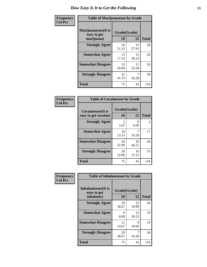| Frequency      | <b>Table of Marijuanaease by Grade</b>            |                           |             |              |
|----------------|---------------------------------------------------|---------------------------|-------------|--------------|
| <b>Col Pct</b> | Marijuanaease (It is<br>easy to get<br>marijuana) | Grade(Grade)<br><b>10</b> | 12          | <b>Total</b> |
|                | <b>Strongly Agree</b>                             | 16<br>21.33               | 12<br>27.91 | 28           |
|                | <b>Somewhat Agree</b>                             | 13<br>17.33               | 13<br>30.23 | 26           |
|                | <b>Somewhat Disagree</b>                          | 15<br>20.00               | 11<br>25.58 | 26           |
|                | <b>Strongly Disagree</b>                          | 31<br>41.33               | 7<br>16.28  | 38           |
|                | <b>Total</b>                                      | 75                        | 43          | 118          |

| <b>Table of Cocaineease by Grade</b>              |                    |             |              |  |
|---------------------------------------------------|--------------------|-------------|--------------|--|
| <b>Cocaineease</b> (It is<br>easy to get cocaine) | Grade(Grade)<br>10 | 12          | <b>Total</b> |  |
| <b>Strongly Agree</b>                             | 2<br>2.67          | 0<br>0.00   | 2            |  |
| <b>Somewhat Agree</b>                             | 10<br>13.33        | 7<br>16.28  | 17           |  |
| <b>Somewhat Disagree</b>                          | 24<br>32.00        | 20<br>46.51 | 44           |  |
| <b>Strongly Disagree</b>                          | 39<br>52.00        | 16<br>37.21 | 55           |  |
| <b>Total</b>                                      | 75                 | 43          | 118          |  |

| Frequency      | <b>Table of Inhalantsease by Grade</b>           |                    |             |              |
|----------------|--------------------------------------------------|--------------------|-------------|--------------|
| <b>Col Pct</b> | Inhalantsease(It is<br>easy to get<br>inhalants) | Grade(Grade)<br>10 | 12          | <b>Total</b> |
|                | <b>Strongly Agree</b>                            | 29<br>38.67        | 15<br>34.88 | 44           |
|                | <b>Somewhat Agree</b>                            | 6<br>8.00          | 13<br>30.23 | 19           |
|                | <b>Somewhat Disagree</b>                         | 11<br>14.67        | 8<br>18.60  | 19           |
|                | <b>Strongly Disagree</b>                         | 29<br>38.67        | 16.28       | 36           |
|                | <b>Total</b>                                     | 75                 | 43          | 118          |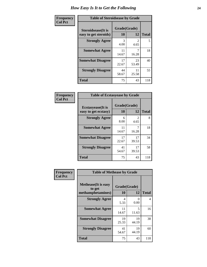| Frequency      | <b>Table of Steroidsease by Grade</b>               |                    |             |              |  |  |
|----------------|-----------------------------------------------------|--------------------|-------------|--------------|--|--|
| <b>Col Pct</b> | <b>Steroidsease</b> (It is<br>easy to get steroids) | Grade(Grade)<br>10 | 12          | <b>Total</b> |  |  |
|                | <b>Strongly Agree</b>                               | 3<br>4.00          | 4.65        | 5            |  |  |
|                | <b>Somewhat Agree</b>                               | 11<br>14.67        | 16.28       | 18           |  |  |
|                | <b>Somewhat Disagree</b>                            | 17<br>22.67        | 23<br>53.49 | 40           |  |  |
|                | <b>Strongly Disagree</b>                            | 44<br>58.67        | 11<br>25.58 | 55           |  |  |
|                | <b>Total</b>                                        | 75                 | 43          | 118          |  |  |

| Frequency      | <b>Table of Ecstasyease by Grade</b>              |                    |             |              |  |  |
|----------------|---------------------------------------------------|--------------------|-------------|--------------|--|--|
| <b>Col Pct</b> | <b>Ecstasyease</b> (It is<br>easy to get ecstasy) | Grade(Grade)<br>10 | 12          | <b>Total</b> |  |  |
|                | <b>Strongly Agree</b>                             | 6<br>8.00          | 4.65        | 8            |  |  |
|                | <b>Somewhat Agree</b>                             | 11<br>14.67        | 16.28       | 18           |  |  |
|                | <b>Somewhat Disagree</b>                          | 17<br>22.67        | 17<br>39.53 | 34           |  |  |
|                | <b>Strongly Disagree</b>                          | 41<br>54.67        | 17<br>39.53 | 58           |  |  |
|                | <b>Total</b>                                      | 75                 | 43          | 118          |  |  |

| Frequency      | <b>Table of Methease by Grade</b>                          |                    |                  |                |
|----------------|------------------------------------------------------------|--------------------|------------------|----------------|
| <b>Col Pct</b> | <b>Methease</b> (It is easy<br>to get<br>methamphetamines) | Grade(Grade)<br>10 | 12               | <b>Total</b>   |
|                | <b>Strongly Agree</b>                                      | 4<br>5.33          | $\theta$<br>0.00 | $\overline{4}$ |
|                | <b>Somewhat Agree</b>                                      | 11<br>14.67        | 5<br>11.63       | 16             |
|                | <b>Somewhat Disagree</b>                                   | 19<br>25.33        | 19<br>44.19      | 38             |
|                | <b>Strongly Disagree</b>                                   | 41<br>54.67        | 19<br>44.19      | 60             |
|                | <b>Total</b>                                               | 75                 | 43               | 118            |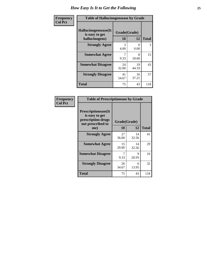| <b>Frequency</b> | <b>Table of Hallucinogensease by Grade</b>               |                    |             |              |  |  |
|------------------|----------------------------------------------------------|--------------------|-------------|--------------|--|--|
| <b>Col Pct</b>   | Hallucinogensease(It<br>is easy to get<br>hallucinogens) | Grade(Grade)<br>10 | 12          | <b>Total</b> |  |  |
|                  | <b>Strongly Agree</b>                                    | 3<br>4.00          | 0<br>0.00   | 3            |  |  |
|                  | <b>Somewhat Agree</b>                                    | 7<br>9.33          | 8<br>18.60  | 15           |  |  |
|                  | <b>Somewhat Disagree</b>                                 | 24<br>32.00        | 19<br>44.19 | 43           |  |  |
|                  | <b>Strongly Disagree</b>                                 | 41<br>54.67        | 16<br>37.21 | 57           |  |  |
|                  | <b>Total</b>                                             | 75                 | 43          | 118          |  |  |

| Frequency<br>  Col Pct |
|------------------------|

| <b>Table of Prescriptionease by Grade</b>                                                |              |             |              |  |  |  |
|------------------------------------------------------------------------------------------|--------------|-------------|--------------|--|--|--|
| <b>Prescriptionease</b> (It<br>is easy to get<br>prescription drugs<br>not prescribed to | Grade(Grade) |             |              |  |  |  |
| me)                                                                                      | 10           | 12          | <b>Total</b> |  |  |  |
| <b>Strongly Agree</b>                                                                    | 27<br>36.00  | 14<br>32.56 | 41           |  |  |  |
| <b>Somewhat Agree</b>                                                                    | 15<br>20.00  | 14<br>32.56 | 29           |  |  |  |
| <b>Somewhat Disagree</b>                                                                 | 9.33         | Q<br>20.93  | 16           |  |  |  |
| <b>Strongly Disagree</b>                                                                 | 26<br>34.67  | 6<br>13.95  | 32           |  |  |  |
| Total                                                                                    | 75           | 43          | 118          |  |  |  |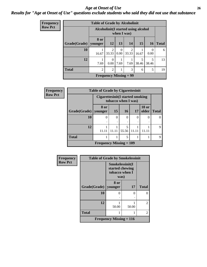### *Age at Onset of Use* **26** *Results for "Age at Onset of Use" questions exclude students who said they did not use that substance*

| Frequency      |              | <b>Table of Grade by Alcoholinit</b><br>Alcoholinit (I started using alcohol<br>when I was) |                         |                  |                               |            |                  |              |
|----------------|--------------|---------------------------------------------------------------------------------------------|-------------------------|------------------|-------------------------------|------------|------------------|--------------|
| <b>Row Pct</b> |              |                                                                                             |                         |                  |                               |            |                  |              |
|                | Grade(Grade) | 8 or<br>vounger                                                                             | <b>12</b>               | 13               | 14                            | 15         | <b>16</b>        | <b>Total</b> |
|                | 10           | 16.67                                                                                       | $\overline{2}$<br>33.33 | $\Omega$<br>0.00 | 2<br>33.33                    | 16.67      | $\Omega$<br>0.00 | 6            |
|                | 12           | 7.69                                                                                        | $\theta$<br>0.00        | 7.69             | 7.69                          | 5<br>38.46 | 5<br>38.46       | 13           |
|                | <b>Total</b> | $\overline{2}$                                                                              | $\overline{2}$          |                  | 3                             | 6          | 5                | 19           |
|                |              |                                                                                             |                         |                  | <b>Frequency Missing = 99</b> |            |                  |              |

| <b>Frequency</b> | <b>Table of Grade by Cigarettesinit</b> |                                                                |           |            |       |                       |              |  |
|------------------|-----------------------------------------|----------------------------------------------------------------|-----------|------------|-------|-----------------------|--------------|--|
| <b>Row Pct</b>   |                                         | <b>Cigarettesinit(I started smoking</b><br>tobacco when I was) |           |            |       |                       |              |  |
|                  | Grade(Grade)                            | 8 or<br>younger                                                | <b>15</b> | 16         | 17    | <b>18 or</b><br>older | <b>Total</b> |  |
|                  | 10                                      | $\Omega$                                                       | 0         | 0          | 0     | 0                     |              |  |
|                  | 12                                      | 11.11                                                          | 11.11     | 5<br>55.56 | 11.11 | 11.11                 | $\mathbf Q$  |  |
|                  | <b>Total</b>                            |                                                                |           | 5          |       |                       | Q            |  |
|                  |                                         | Frequency Missing $= 109$                                      |           |            |       |                       |              |  |

| <b>Frequency</b> | <b>Table of Grade by Smokelessinit</b> |                                                              |       |                |  |
|------------------|----------------------------------------|--------------------------------------------------------------|-------|----------------|--|
| <b>Row Pct</b>   |                                        | Smokelessinit(I<br>started chewing<br>tobacco when I<br>was) |       |                |  |
|                  | Grade(Grade)   younger                 | 8 or                                                         | 17    | <b>Total</b>   |  |
|                  | 10                                     | 0                                                            | 0     | $\Omega$       |  |
|                  | 12                                     | 50.00                                                        | 50.00 | $\overline{2}$ |  |
|                  | <b>Total</b>                           |                                                              |       | $\overline{2}$ |  |
|                  | Frequency Missing $= 116$              |                                                              |       |                |  |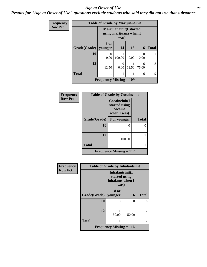#### *Age at Onset of Use* **27**

*Results for "Age at Onset of Use" questions exclude students who said they did not use that substance*

| Frequency      | <b>Table of Grade by Marijuanainit</b> |                                                    |                  |           |            |              |
|----------------|----------------------------------------|----------------------------------------------------|------------------|-----------|------------|--------------|
| <b>Row Pct</b> |                                        | Marijuanainit (I started<br>using marijuana when I |                  |           |            |              |
|                | Grade(Grade)                           | 8 or<br>younger                                    | 14               | 15        | <b>16</b>  | <b>Total</b> |
|                | 10                                     | 0<br>0.00                                          | 100.00           | 0<br>0.00 | 0.00       |              |
|                | 12                                     | 12.50                                              | $\theta$<br>0.00 | 12.50     | 6<br>75.00 | 8            |
|                | <b>Total</b>                           | 1                                                  |                  |           | 6          | $\mathbf Q$  |
|                |                                        | <b>Frequency Missing <math>= 109</math></b>        |                  |           |            |              |

| Frequency      | <b>Table of Grade by Cocaineinit</b>        |                                                          |              |  |  |
|----------------|---------------------------------------------|----------------------------------------------------------|--------------|--|--|
| <b>Row Pct</b> |                                             | Cocaineinit(I<br>started using<br>cocaine<br>when I was) |              |  |  |
|                | Grade(Grade)                                | 8 or younger                                             | <b>Total</b> |  |  |
|                | 10                                          | 0                                                        | 0            |  |  |
|                | 12                                          | 100.00                                                   |              |  |  |
|                | <b>Total</b>                                |                                                          |              |  |  |
|                | <b>Frequency Missing <math>= 117</math></b> |                                                          |              |  |  |

| <b>Frequency</b> | <b>Table of Grade by Inhalantsinit</b> |                                                              |       |                |  |
|------------------|----------------------------------------|--------------------------------------------------------------|-------|----------------|--|
| <b>Row Pct</b>   |                                        | Inhalantsinit(I<br>started using<br>inhalants when I<br>was) |       |                |  |
|                  | Grade(Grade)                           | 8 or<br>younger                                              | 16    | <b>Total</b>   |  |
|                  | 10                                     | 0                                                            | 0     | 0              |  |
|                  | 12                                     | 50.00                                                        | 50.00 | $\overline{2}$ |  |
|                  | <b>Total</b>                           | 1                                                            | 1     | 2              |  |
|                  | Frequency Missing $= 116$              |                                                              |       |                |  |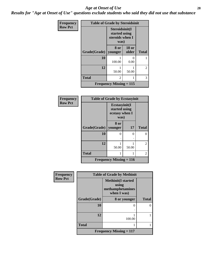#### *Age at Onset of Use* **28**

*Results for "Age at Onset of Use" questions exclude students who said they did not use that substance*

| Frequency      | <b>Table of Grade by Steroidsinit</b> |                                                            |                           |              |
|----------------|---------------------------------------|------------------------------------------------------------|---------------------------|--------------|
| <b>Row Pct</b> |                                       | Steroidsinit(I<br>started using<br>steroids when I<br>was) |                           |              |
|                | Grade(Grade)                          | 8 or<br>younger                                            | <b>18 or</b><br>older     | <b>Total</b> |
|                | 10                                    | 100.00                                                     | $\mathbf{\Omega}$<br>0.00 |              |
|                | 12                                    | 50.00                                                      | 50.00                     | 2            |
|                | <b>Total</b>                          | $\mathfrak{D}$                                             | 1                         | 3            |
|                |                                       | <b>Frequency Missing = 115</b>                             |                           |              |

| Frequency      | <b>Table of Grade by Ecstasyinit</b> |                                                          |       |                |
|----------------|--------------------------------------|----------------------------------------------------------|-------|----------------|
| <b>Row Pct</b> |                                      | Ecstasyinit(I<br>started using<br>ecstasy when I<br>was) |       |                |
|                | Grade(Grade)                         | 8 or<br>younger                                          | 17    | <b>Total</b>   |
|                | 10                                   | ∩                                                        | 0     | $\Omega$       |
|                |                                      |                                                          |       |                |
|                | 12                                   | 50.00                                                    | 50.00 | $\overline{2}$ |
|                | <b>Total</b>                         |                                                          |       | 2              |
|                |                                      | <b>Frequency Missing = 116</b>                           |       |                |

| Frequency      |              | <b>Table of Grade by Methinit</b>                                     |              |
|----------------|--------------|-----------------------------------------------------------------------|--------------|
| <b>Row Pct</b> |              | <b>Methinit(I started</b><br>using<br>methamphetamines<br>when I was) |              |
|                | Grade(Grade) | 8 or younger                                                          | <b>Total</b> |
|                | 10           | O                                                                     |              |
|                | 12           | 100.00                                                                |              |
|                | <b>Total</b> |                                                                       |              |
|                |              | <b>Frequency Missing = 117</b>                                        |              |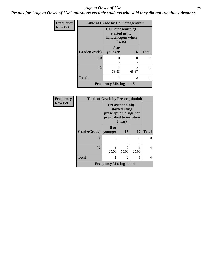#### *Age at Onset of Use* **29**

*Results for "Age at Onset of Use" questions exclude students who said they did not use that substance*

| Frequency      | <b>Table of Grade by Hallucinogensinit</b> |                                                                      |                |              |
|----------------|--------------------------------------------|----------------------------------------------------------------------|----------------|--------------|
| <b>Row Pct</b> |                                            | Hallucinogensinit(I<br>started using<br>hallucinogens when<br>I was) |                |              |
|                | <b>Grade</b> (Grade)                       | 8 or<br>younger                                                      | <b>16</b>      | <b>Total</b> |
|                | 10                                         | 0                                                                    | 0              | ∩            |
|                | 12                                         | 33.33                                                                | 2<br>66.67     | 3            |
|                | <b>Total</b>                               |                                                                      | $\mathfrak{D}$ | 3            |
|                |                                            | <b>Frequency Missing = 115</b>                                       |                |              |

| Frequency      | <b>Table of Grade by Prescriptioninit</b> |                                                 |                                               |       |                   |
|----------------|-------------------------------------------|-------------------------------------------------|-----------------------------------------------|-------|-------------------|
| <b>Row Pct</b> |                                           | prescription drugs not<br>prescribed to me when | Prescriptioninit(I<br>started using<br>I was) |       |                   |
|                |                                           | 8 or                                            |                                               |       |                   |
|                | Grade(Grade)   younger                    |                                                 | 15                                            | 17    | <b>Total</b>      |
|                | 10                                        | 0                                               | 0                                             | 0     | $\mathbf{\Omega}$ |
|                |                                           | ٠                                               |                                               |       |                   |
|                | 12                                        | 25.00                                           | 2<br>50.00                                    | 25.00 |                   |
|                | <b>Total</b>                              | 1                                               | $\mathfrak{D}$                                | 1     | 4                 |
|                |                                           | <b>Frequency Missing = 114</b>                  |                                               |       |                   |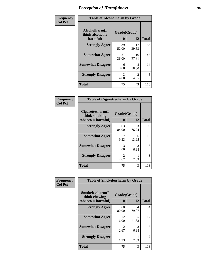| Frequency      | <b>Table of Alcoholharm by Grade</b>          |                    |                        |              |
|----------------|-----------------------------------------------|--------------------|------------------------|--------------|
| <b>Col Pct</b> | Alcoholharm(I<br>think alcohol is<br>harmful) | Grade(Grade)<br>10 | 12                     | <b>Total</b> |
|                | <b>Strongly Agree</b>                         | 39<br>52.00        | 17<br>39.53            | 56           |
|                | <b>Somewhat Agree</b>                         | 27<br>36.00        | 16<br>37.21            | 43           |
|                | <b>Somewhat Disagree</b>                      | 6<br>8.00          | 8<br>18.60             | 14           |
|                | <b>Strongly Disagree</b>                      | 3<br>4.00          | $\mathfrak{D}$<br>4.65 | 5            |
|                | <b>Total</b>                                  | 75                 | 43                     | 118          |

| <b>Table of Cigarettesharm by Grade</b>                  |                                     |             |              |  |
|----------------------------------------------------------|-------------------------------------|-------------|--------------|--|
| Cigarettesharm(I<br>think smoking<br>tobacco is harmful) | Grade(Grade)<br>10                  | 12          | <b>Total</b> |  |
| <b>Strongly Agree</b>                                    | 63<br>84.00                         | 33<br>76.74 | 96           |  |
| <b>Somewhat Agree</b>                                    | 9.33                                | 6<br>13.95  | 13           |  |
| <b>Somewhat Disagree</b>                                 | 3<br>4.00                           | 3<br>6.98   | 6            |  |
| <b>Strongly Disagree</b>                                 | $\mathcal{D}_{\mathcal{L}}$<br>2.67 | 2.33        | 3            |  |
| <b>Total</b>                                             | 75                                  | 43          | 118          |  |

| Frequency      | <b>Table of Smokelessharm by Grade</b>                  |                           |             |              |
|----------------|---------------------------------------------------------|---------------------------|-------------|--------------|
| <b>Col Pct</b> | Smokelessharm(I<br>think chewing<br>tobacco is harmful) | Grade(Grade)<br><b>10</b> | 12          | <b>Total</b> |
|                | <b>Strongly Agree</b>                                   | 60<br>80.00               | 34<br>79.07 | 94           |
|                | <b>Somewhat Agree</b>                                   | 12<br>16.00               | 5<br>11.63  | 17           |
|                | <b>Somewhat Disagree</b>                                | $\mathfrak{D}$<br>2.67    | 3<br>6.98   | 5            |
|                | <b>Strongly Disagree</b>                                | 1.33                      | 2.33        | 2            |
|                | <b>Total</b>                                            | 75                        | 43          | 118          |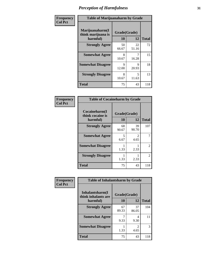| Frequency      |                                                   | <b>Table of Marijuanaharm by Grade</b> |             |              |  |
|----------------|---------------------------------------------------|----------------------------------------|-------------|--------------|--|
| <b>Col Pct</b> | Marijuanaharm(I<br>think marijuana is<br>harmful) | Grade(Grade)<br>10                     | 12          | <b>Total</b> |  |
|                | <b>Strongly Agree</b>                             | 50<br>66.67                            | 22<br>51.16 | 72           |  |
|                | <b>Somewhat Agree</b>                             | 8<br>10.67                             | 16.28       | 15           |  |
|                | <b>Somewhat Disagree</b>                          | 9<br>12.00                             | 9<br>20.93  | 18           |  |
|                | <b>Strongly Disagree</b>                          | 8<br>10.67                             | 5<br>11.63  | 13           |  |
|                | <b>Total</b>                                      | 75                                     | 43          | 118          |  |

| <b>Table of Cocaineharm by Grade</b>          |                    |                        |              |  |  |
|-----------------------------------------------|--------------------|------------------------|--------------|--|--|
| Cocaineharm(I<br>think cocaine is<br>harmful) | Grade(Grade)<br>10 | 12                     | <b>Total</b> |  |  |
| <b>Strongly Agree</b>                         | 68<br>90.67        | 39<br>90.70            | 107          |  |  |
| <b>Somewhat Agree</b>                         | 5<br>6.67          | $\mathfrak{D}$<br>4.65 | 7            |  |  |
| <b>Somewhat Disagree</b>                      | 1<br>1.33          | 2.33                   | 2            |  |  |
| <b>Strongly Disagree</b>                      | 1<br>1.33          | 2.33                   | 2            |  |  |
| <b>Total</b>                                  | 75                 | 43                     | 118          |  |  |

| Frequency      | <b>Table of Inhalantsharm by Grade</b>  |              |             |              |
|----------------|-----------------------------------------|--------------|-------------|--------------|
| <b>Col Pct</b> | Inhalantsharm(I)<br>think inhalants are | Grade(Grade) |             |              |
|                | harmful)                                | 10           | 12          | <b>Total</b> |
|                | <b>Strongly Agree</b>                   | 67<br>89.33  | 37<br>86.05 | 104          |
|                | <b>Somewhat Agree</b>                   | 9.33         | 4<br>9.30   | 11           |
|                | <b>Somewhat Disagree</b>                | 1.33         | 2<br>4.65   | 3            |
|                | <b>Total</b>                            | 75           | 43          | 118          |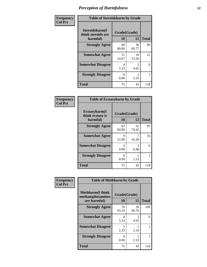| Frequency      | <b>Table of Steroidsharm by Grade</b>            |                    |                        |              |
|----------------|--------------------------------------------------|--------------------|------------------------|--------------|
| <b>Col Pct</b> | Steroidsharm(I<br>think steroids are<br>harmful) | Grade(Grade)<br>10 | 12                     | <b>Total</b> |
|                | <b>Strongly Agree</b>                            | 60<br>80.00        | 30<br>69.77            | 90           |
|                | <b>Somewhat Agree</b>                            | 11<br>14.67        | 10<br>23.26            | 21           |
|                | <b>Somewhat Disagree</b>                         | 4<br>5.33          | $\mathfrak{D}$<br>4.65 | 6            |
|                | <b>Strongly Disagree</b>                         | 0<br>0.00          | 2.33                   |              |
|                | <b>Total</b>                                     | 75                 | 43                     | 118          |

| <b>Table of Ecstasyharm by Grade</b>          |                    |              |     |  |  |  |  |
|-----------------------------------------------|--------------------|--------------|-----|--|--|--|--|
| Ecstasyharm(I<br>think ecstasy is<br>harmful) | Grade(Grade)<br>10 | <b>Total</b> |     |  |  |  |  |
| <b>Strongly Agree</b>                         | 63<br>84.00        | 32<br>74.42  | 95  |  |  |  |  |
| <b>Somewhat Agree</b>                         | 9<br>12.00         | 7<br>16.28   | 16  |  |  |  |  |
| <b>Somewhat Disagree</b>                      | 3<br>4.00          | 3<br>6.98    | 6   |  |  |  |  |
| <b>Strongly Disagree</b>                      | 0<br>0.00          | 2.33         |     |  |  |  |  |
| <b>Total</b>                                  | 75                 | 43           | 118 |  |  |  |  |

| Frequency      | <b>Table of Methharm by Grade</b>                           |                    |                       |              |
|----------------|-------------------------------------------------------------|--------------------|-----------------------|--------------|
| <b>Col Pct</b> | <b>Methharm(I think</b><br>methamphetamines<br>are harmful) | Grade(Grade)<br>10 | 12                    | <b>Total</b> |
|                | <b>Strongly Agree</b>                                       | 70<br>93.33        | 39<br>90.70           | 109          |
|                | <b>Somewhat Agree</b>                                       | 4<br>5.33          | $\mathcal{L}$<br>4.65 | 6            |
|                | <b>Somewhat Disagree</b>                                    | 1.33               | 2.33                  | 2            |
|                | <b>Strongly Disagree</b>                                    | $_{0}$<br>0.00     | 2.33                  |              |
|                | <b>Total</b>                                                | 75                 | 43                    | 118          |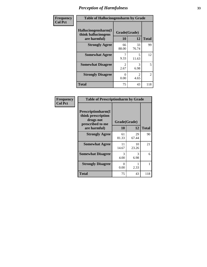| Frequency      | <b>Table of Hallucinogensharm by Grade</b>                 |                       |                       |                |
|----------------|------------------------------------------------------------|-----------------------|-----------------------|----------------|
| <b>Col Pct</b> | Hallucinogensharm(I<br>think hallucinogens<br>are harmful) | Grade(Grade)<br>10    | 12                    | <b>Total</b>   |
|                | <b>Strongly Agree</b>                                      | 66<br>88.00           | 33<br>76.74           | 99             |
|                | <b>Somewhat Agree</b>                                      | 9.33                  | 5<br>11.63            | 12             |
|                | <b>Somewhat Disagree</b>                                   | $\mathcal{L}$<br>2.67 | 3<br>6.98             | 5              |
|                | <b>Strongly Disagree</b>                                   | 0<br>0.00             | $\mathcal{L}$<br>4.65 | $\overline{2}$ |
|                | <b>Total</b>                                               | 75                    | 43                    | 118            |

| <b>Table of Prescriptionharm by Grade</b>                                                         |                    |             |              |  |  |  |
|---------------------------------------------------------------------------------------------------|--------------------|-------------|--------------|--|--|--|
| <b>Prescriptionharm</b> (I<br>think prescription<br>drugs not<br>prescribed to me<br>are harmful) | Grade(Grade)<br>10 | 12          | <b>Total</b> |  |  |  |
| <b>Strongly Agree</b>                                                                             | 61<br>81.33        | 29<br>67.44 | 90           |  |  |  |
| <b>Somewhat Agree</b>                                                                             | 11<br>14.67        | 10<br>23.26 | 21           |  |  |  |
| <b>Somewhat Disagree</b>                                                                          | 3<br>4.00          | 3<br>6.98   | 6            |  |  |  |
| <b>Strongly Disagree</b>                                                                          | 0<br>0.00          | 2.33        |              |  |  |  |
| <b>Total</b>                                                                                      | 75                 | 43          | 118          |  |  |  |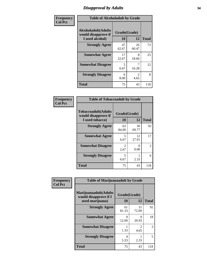# *Disapproval by Adults* **34**

| Frequency      | <b>Table of Alcoholadult by Grade</b>                                 |                    |                        |              |  |
|----------------|-----------------------------------------------------------------------|--------------------|------------------------|--------------|--|
| <b>Col Pct</b> | <b>Alcoholadult</b> (Adults<br>would disapprove if<br>I used alcohol) | Grade(Grade)<br>10 | 12                     | <b>Total</b> |  |
|                | <b>Strongly Agree</b>                                                 | 47<br>62.67        | 26<br>60.47            | 73           |  |
|                | <b>Somewhat Agree</b>                                                 | 17<br>22.67        | 8<br>18.60             | 25           |  |
|                | <b>Somewhat Disagree</b>                                              | 5<br>6.67          | 16.28                  | 12           |  |
|                | <b>Strongly Disagree</b>                                              | 6<br>8.00          | $\mathfrak{D}$<br>4.65 | 8            |  |
|                | <b>Total</b>                                                          | 75                 | 43                     | 118          |  |

| <b>Table of Tobaccoadult by Grade</b>                                 |                       |             |              |  |  |  |
|-----------------------------------------------------------------------|-----------------------|-------------|--------------|--|--|--|
| <b>Tobaccoadult</b> (Adults<br>would disapprove if<br>I used tobacco) | Grade(Grade)<br>10    | 12          | <b>Total</b> |  |  |  |
| <b>Strongly Agree</b>                                                 | 63<br>84.00           | 30<br>69.77 | 93           |  |  |  |
| <b>Somewhat Agree</b>                                                 | 5<br>6.67             | 12<br>27.91 | 17           |  |  |  |
| <b>Somewhat Disagree</b>                                              | $\mathcal{L}$<br>2.67 | 0<br>0.00   | 2            |  |  |  |
| <b>Strongly Disagree</b>                                              | 5<br>6.67             | 2.33        | 6            |  |  |  |
| <b>Total</b>                                                          | 75                    | 43          | 118          |  |  |  |

| Frequency      | <b>Table of Marijuanaadult by Grade</b>                           |                    |                        |              |  |
|----------------|-------------------------------------------------------------------|--------------------|------------------------|--------------|--|
| <b>Col Pct</b> | Marijuanaadult(Adults<br>would disapprove if I<br>used marijuana) | Grade(Grade)<br>10 | 12                     | <b>Total</b> |  |
|                | <b>Strongly Agree</b>                                             | 61<br>81.33        | 31<br>72.09            | 92           |  |
|                | <b>Somewhat Agree</b>                                             | 9<br>12.00         | $\mathbf Q$<br>20.93   | 18           |  |
|                | <b>Somewhat Disagree</b>                                          | 1.33               | $\overline{2}$<br>4.65 | 3            |  |
|                | <b>Strongly Disagree</b>                                          | 4<br>5.33          | 2.33                   | 5            |  |
|                | <b>Total</b>                                                      | 75                 | 43                     | 118          |  |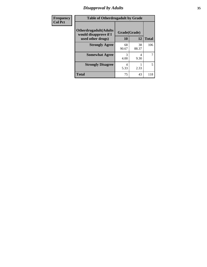# *Disapproval by Adults* **35**

| Frequency      | <b>Table of Otherdrugadult by Grade</b>                                     |                           |             |              |  |
|----------------|-----------------------------------------------------------------------------|---------------------------|-------------|--------------|--|
| <b>Col Pct</b> | <b>Otherdrugadult</b> (Adults<br>would disapprove if I<br>used other drugs) | Grade(Grade)<br><b>10</b> | 12          | <b>Total</b> |  |
|                | <b>Strongly Agree</b>                                                       | 68<br>90.67               | 38<br>88.37 | 106          |  |
|                | <b>Somewhat Agree</b>                                                       | 3<br>4.00                 | 4<br>9.30   | 7            |  |
|                | <b>Strongly Disagree</b>                                                    | 5.33                      | 2.33        | 5            |  |
|                | <b>Total</b>                                                                | 75                        | 43          | 118          |  |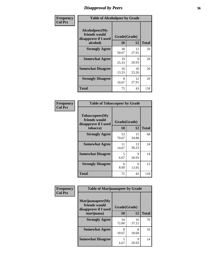# *Disapproval by Peers* **36**

| Frequency      | <b>Table of Alcoholpeer by Grade</b>                    |              |             |              |  |
|----------------|---------------------------------------------------------|--------------|-------------|--------------|--|
| <b>Col Pct</b> | Alcoholpeer(My<br>friends would<br>disapprove if I used | Grade(Grade) |             |              |  |
|                | alcohol)                                                | 10           | 12          | <b>Total</b> |  |
|                | <b>Strongly Agree</b>                                   | 38<br>50.67  | 12<br>27.91 | 50           |  |
|                | <b>Somewhat Agree</b>                                   | 19<br>25.33  | Q<br>20.93  | 28           |  |
|                | <b>Somewhat Disagree</b>                                | 10<br>13.33  | 10<br>23.26 | 20           |  |
|                | <b>Strongly Disagree</b>                                | 8<br>10.67   | 12<br>27.91 | 20           |  |
|                | Total                                                   | 75           | 43          | 118          |  |

| Frequency      | <b>Table of Tobaccopeer by Grade</b>                                |                    |             |              |  |
|----------------|---------------------------------------------------------------------|--------------------|-------------|--------------|--|
| <b>Col Pct</b> | Tobaccopeer(My<br>friends would<br>disapprove if I used<br>tobacco) | Grade(Grade)<br>10 | 12          | <b>Total</b> |  |
|                | <b>Strongly Agree</b>                                               | 53<br>70.67        | 15<br>34.88 | 68           |  |
|                | <b>Somewhat Agree</b>                                               | 11<br>14.67        | 13<br>30.23 | 24           |  |
|                | <b>Somewhat Disagree</b>                                            | 5<br>6.67          | 9<br>20.93  | 14           |  |
|                | <b>Strongly Disagree</b>                                            | 6<br>8.00          | 6<br>13.95  | 12           |  |
|                | <b>Total</b>                                                        | 75                 | 43          | 118          |  |

| Frequency      | <b>Table of Marijuanapeer by Grade</b>                    |              |             |              |
|----------------|-----------------------------------------------------------|--------------|-------------|--------------|
| <b>Col Pct</b> | Marijuanapeer(My<br>friends would<br>disapprove if I used | Grade(Grade) |             |              |
|                | marijuana)                                                | 10           | 12          | <b>Total</b> |
|                | <b>Strongly Agree</b>                                     | 54<br>72.00  | 16<br>37.21 | 70           |
|                | <b>Somewhat Agree</b>                                     | 8<br>10.67   | 8<br>18.60  | 16           |
|                | <b>Somewhat Disagree</b>                                  | 5<br>6.67    | Q<br>20.93  | 14           |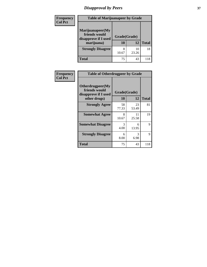# *Disapproval by Peers* **37**

| <b>Frequency</b> | <b>Table of Marijuanapeer by Grade</b>                                  |                    |             |              |  |
|------------------|-------------------------------------------------------------------------|--------------------|-------------|--------------|--|
| <b>Col Pct</b>   | Marijuanapeer(My<br>friends would<br>disapprove if I used<br>marijuana) | Grade(Grade)<br>10 | 12          | <b>Total</b> |  |
|                  | <b>Strongly Disagree</b>                                                | 10.67              | 10<br>23.26 | 18           |  |
|                  | <b>Total</b>                                                            | 75                 | 43          | 118          |  |

| <b>Frequency</b> | <b>Table of Otherdrugpeer by Grade</b>                                    |                    |             |              |
|------------------|---------------------------------------------------------------------------|--------------------|-------------|--------------|
| <b>Col Pct</b>   | Otherdrugpeer(My<br>friends would<br>disapprove if I used<br>other drugs) | Grade(Grade)<br>10 | 12          | <b>Total</b> |
|                  |                                                                           |                    |             |              |
|                  | <b>Strongly Agree</b>                                                     | 58<br>77.33        | 23<br>53.49 | 81           |
|                  | <b>Somewhat Agree</b>                                                     | 8<br>10.67         | 11<br>25.58 | 19           |
|                  | <b>Somewhat Disagree</b>                                                  | 3<br>4.00          | 6<br>13.95  | 9            |
|                  | <b>Strongly Disagree</b>                                                  | 6<br>8.00          | 3<br>6.98   | 9            |
|                  | <b>Total</b>                                                              | 75                 | 43          | 118          |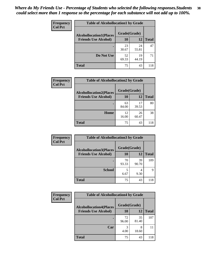| Frequency<br><b>Col Pct</b> | <b>Table of Alcohollocation1 by Grade</b>      |             |             |              |  |
|-----------------------------|------------------------------------------------|-------------|-------------|--------------|--|
|                             | Grade(Grade)<br><b>Alcohollocation1(Places</b> |             |             |              |  |
|                             | <b>Friends Use Alcohol)</b>                    | 10          | 12          | <b>Total</b> |  |
|                             |                                                | 23<br>30.67 | 24<br>55.81 | 47           |  |
|                             | Do Not Use                                     | 52<br>69.33 | 19<br>44.19 | 71           |  |
|                             | <b>Total</b>                                   | 75          | 43          | 118          |  |

| Frequency      | <b>Table of Alcohollocation2 by Grade</b>                     |                    |             |              |
|----------------|---------------------------------------------------------------|--------------------|-------------|--------------|
| <b>Col Pct</b> | <b>Alcohollocation2(Places</b><br><b>Friends Use Alcohol)</b> | Grade(Grade)<br>10 | <b>12</b>   | <b>Total</b> |
|                |                                                               | 63<br>84.00        | 17<br>39.53 | 80           |
|                | Home                                                          | 12<br>16.00        | 26<br>60.47 | 38           |
|                | <b>Total</b>                                                  | 75                 | 43          | 118          |

| Frequency<br><b>Col Pct</b> | <b>Table of Alcohollocation 3 by Grade</b>                    |                    |                        |              |  |
|-----------------------------|---------------------------------------------------------------|--------------------|------------------------|--------------|--|
|                             | <b>Alcohollocation3(Places</b><br><b>Friends Use Alcohol)</b> | Grade(Grade)<br>10 | 12                     | <b>Total</b> |  |
|                             |                                                               | 70<br>93.33        | 39<br>90.70            | 109          |  |
|                             | <b>School</b>                                                 | 5<br>6.67          | $\overline{4}$<br>9.30 | 9            |  |
|                             | <b>Total</b>                                                  | 75                 | 43                     | 118          |  |

| <b>Frequency</b> | <b>Table of Alcohollocation4 by Grade</b> |              |             |              |  |
|------------------|-------------------------------------------|--------------|-------------|--------------|--|
| <b>Col Pct</b>   | <b>Alcohollocation4(Places</b>            | Grade(Grade) |             |              |  |
|                  | <b>Friends Use Alcohol)</b>               | <b>10</b>    | 12          | <b>Total</b> |  |
|                  |                                           | 72<br>96.00  | 35<br>81.40 | 107          |  |
|                  | Car                                       | 3<br>4.00    | 8<br>18.60  | 11           |  |
|                  | <b>Total</b>                              | 75           | 43          | 118          |  |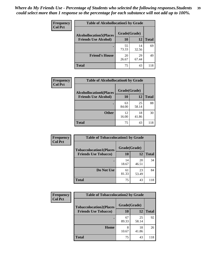| Frequency<br><b>Col Pct</b> | <b>Table of Alcohollocation5 by Grade</b>      |             |             |              |  |
|-----------------------------|------------------------------------------------|-------------|-------------|--------------|--|
|                             | Grade(Grade)<br><b>Alcohollocation5(Places</b> |             |             |              |  |
|                             | <b>Friends Use Alcohol)</b>                    | 10          | 12          | <b>Total</b> |  |
|                             |                                                | 55<br>73.33 | 14<br>32.56 | 69           |  |
|                             | <b>Friend's House</b>                          | 20<br>26.67 | 29<br>67.44 | 49           |  |
|                             | <b>Total</b>                                   | 75          | 43          | 118          |  |

| <b>Frequency</b> | <b>Table of Alcohollocation6 by Grade</b> |              |             |              |
|------------------|-------------------------------------------|--------------|-------------|--------------|
| <b>Col Pct</b>   | <b>Alcohollocation6(Places</b>            | Grade(Grade) |             |              |
|                  | <b>Friends Use Alcohol)</b>               | 10           | 12          | <b>Total</b> |
|                  |                                           | 63<br>84.00  | 25<br>58.14 | 88           |
|                  | <b>Other</b>                              | 12<br>16.00  | 18<br>41.86 | 30           |
|                  | <b>Total</b>                              | 75           | 43          | 118          |

| Frequency      | <b>Table of Tobaccolocation1 by Grade</b> |              |             |              |
|----------------|-------------------------------------------|--------------|-------------|--------------|
| <b>Col Pct</b> | <b>Tobaccolocation1(Places</b>            | Grade(Grade) |             |              |
|                | <b>Friends Use Tobacco)</b>               | 10           | 12          | <b>Total</b> |
|                |                                           | 14<br>18.67  | 20<br>46.51 | 34           |
|                | Do Not Use                                | 61<br>81.33  | 23<br>53.49 | 84           |
|                | <b>Total</b>                              | 75           | 43          | 118          |

| <b>Frequency</b> | <b>Table of Tobaccolocation2 by Grade</b> |              |             |              |  |
|------------------|-------------------------------------------|--------------|-------------|--------------|--|
| <b>Col Pct</b>   | <b>Tobaccolocation2(Places</b>            | Grade(Grade) |             |              |  |
|                  | <b>Friends Use Tobacco)</b>               | 10           | 12          | <b>Total</b> |  |
|                  |                                           | 67<br>89.33  | 25<br>58.14 | 92           |  |
|                  | Home                                      | 8<br>10.67   | 18<br>41.86 | 26           |  |
|                  | <b>Total</b>                              | 75           | 43          | 118          |  |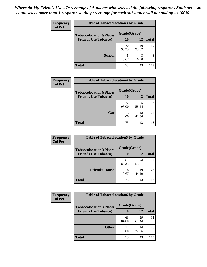| Frequency      | <b>Table of Tobaccolocation 3 by Grade</b> |              |             |              |
|----------------|--------------------------------------------|--------------|-------------|--------------|
| <b>Col Pct</b> | <b>Tobaccolocation3(Places</b>             | Grade(Grade) |             |              |
|                | <b>Friends Use Tobacco)</b>                | 10           | 12          | <b>Total</b> |
|                |                                            | 70<br>93.33  | 40<br>93.02 | 110          |
|                | <b>School</b>                              | 5<br>6.67    | 3<br>6.98   | 8            |
|                | <b>Total</b>                               | 75           | 43          | 118          |

| Frequency      | <b>Table of Tobaccolocation4 by Grade</b>                     |                           |             |              |
|----------------|---------------------------------------------------------------|---------------------------|-------------|--------------|
| <b>Col Pct</b> | <b>Tobaccolocation4(Places</b><br><b>Friends Use Tobacco)</b> | Grade(Grade)<br><b>10</b> | 12          | <b>Total</b> |
|                |                                                               | 72<br>96.00               | 25<br>58.14 | 97           |
|                | Car                                                           | 3<br>4.00                 | 18<br>41.86 | 21           |
|                | <b>Total</b>                                                  | 75                        | 43          | 118          |

| Frequency      | <b>Table of Tobaccolocation5 by Grade</b> |              |             |              |  |
|----------------|-------------------------------------------|--------------|-------------|--------------|--|
| <b>Col Pct</b> | <b>Tobaccolocation5(Places</b>            | Grade(Grade) |             |              |  |
|                | <b>Friends Use Tobacco)</b>               | 10           | 12          | <b>Total</b> |  |
|                |                                           | 67<br>89.33  | 24<br>55.81 | 91           |  |
|                | <b>Friend's House</b>                     | 8<br>10.67   | 19<br>44.19 | 27           |  |
|                | <b>Total</b>                              | 75           | 43          | 118          |  |

| <b>Frequency</b> | <b>Table of Tobaccolocation6 by Grade</b> |              |             |              |  |
|------------------|-------------------------------------------|--------------|-------------|--------------|--|
| <b>Col Pct</b>   | <b>Tobaccolocation6(Places</b>            | Grade(Grade) |             |              |  |
|                  | <b>Friends Use Tobacco)</b>               | 10           | 12          | <b>Total</b> |  |
|                  |                                           | 63<br>84.00  | 29<br>67.44 | 92           |  |
|                  | <b>Other</b>                              | 12<br>16.00  | 14<br>32.56 | 26           |  |
|                  | <b>Total</b>                              | 75           | 43          | 118          |  |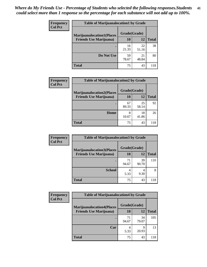| <b>Frequency</b> | <b>Table of Marijuanalocation1 by Grade</b> |              |             |              |  |
|------------------|---------------------------------------------|--------------|-------------|--------------|--|
| <b>Col Pct</b>   | <b>Marijuanalocation1(Places</b>            | Grade(Grade) |             |              |  |
|                  | <b>Friends Use Marijuana</b> )              | <b>10</b>    | 12          | <b>Total</b> |  |
|                  |                                             | 16<br>21.33  | 22<br>51.16 | 38           |  |
|                  | Do Not Use                                  | 59<br>78.67  | 21<br>48.84 | 80           |  |
|                  | <b>Total</b>                                | 75           | 43          | 118          |  |

| <b>Frequency</b> | <b>Table of Marijuanalocation2 by Grade</b>                        |                    |             |              |
|------------------|--------------------------------------------------------------------|--------------------|-------------|--------------|
| <b>Col Pct</b>   | <b>Marijuanalocation2(Places</b><br><b>Friends Use Marijuana</b> ) | Grade(Grade)<br>10 | 12          | <b>Total</b> |
|                  |                                                                    | 67<br>89.33        | 25<br>58.14 | 92           |
|                  | Home                                                               | 8<br>10.67         | 18<br>41.86 | 26           |
|                  | <b>Total</b>                                                       | 75                 | 43          | 118          |

| <b>Frequency</b><br><b>Col Pct</b> | <b>Table of Marijuanalocation3 by Grade</b> |              |             |              |
|------------------------------------|---------------------------------------------|--------------|-------------|--------------|
|                                    | <b>Marijuanalocation3</b> (Places           | Grade(Grade) |             |              |
|                                    | <b>Friends Use Marijuana</b> )              | <b>10</b>    | 12          | <b>Total</b> |
|                                    |                                             | 71<br>94.67  | 39<br>90.70 | 110          |
|                                    | <b>School</b>                               | 4<br>5.33    | 4<br>9.30   | 8            |
|                                    | <b>Total</b>                                | 75           | 43          | 118          |

| <b>Frequency</b> | <b>Table of Marijuanalocation4 by Grade</b> |              |             |              |  |
|------------------|---------------------------------------------|--------------|-------------|--------------|--|
| <b>Col Pct</b>   | <b>Marijuanalocation4(Places</b>            | Grade(Grade) |             |              |  |
|                  | <b>Friends Use Marijuana</b> )              | <b>10</b>    | 12          | <b>Total</b> |  |
|                  |                                             | 71<br>94.67  | 34<br>79.07 | 105          |  |
|                  | Car                                         | 5.33         | 9<br>20.93  | 13           |  |
|                  | <b>Total</b>                                | 75           | 43          | 118          |  |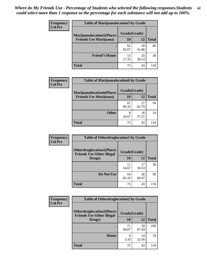| <b>Frequency</b> | <b>Table of Marijuanalocation5 by Grade</b> |              |             |       |
|------------------|---------------------------------------------|--------------|-------------|-------|
| <b>Col Pct</b>   | <b>Marijuanalocation5(Places</b>            | Grade(Grade) |             |       |
|                  | <b>Friends Use Marijuana</b> )              | 10           | 12          | Total |
|                  |                                             | 62<br>82.67  | 18<br>41.86 | 80    |
|                  | <b>Friend's House</b>                       | 13<br>17.33  | 25<br>58.14 | 38    |
|                  | <b>Total</b>                                | 75           | 43          | 118   |

| <b>Frequency</b> | <b>Table of Marijuanalocation6 by Grade</b>                        |                    |             |       |
|------------------|--------------------------------------------------------------------|--------------------|-------------|-------|
| <b>Col Pct</b>   | <b>Marijuanalocation6(Places</b><br><b>Friends Use Marijuana</b> ) | Grade(Grade)<br>10 | 12          | Total |
|                  |                                                                    | 67<br>89.33        | 27<br>62.79 | 94    |
|                  | <b>Other</b>                                                       | 8<br>10.67         | 16<br>37.21 | 24    |
|                  | <b>Total</b>                                                       | 75                 | 43          | 118   |

| Frequency      | <b>Table of Otherdruglocation1 by Grade</b>                          |              |             |              |
|----------------|----------------------------------------------------------------------|--------------|-------------|--------------|
| <b>Col Pct</b> | <b>Otherdruglocation1(Places</b><br><b>Friends Use Other Illegal</b> | Grade(Grade) |             |              |
|                | Drugs)                                                               | 10           | 12          | <b>Total</b> |
|                |                                                                      | 11<br>14.67  | 17<br>39.53 | 28           |
|                | Do Not Use                                                           | 64<br>85.33  | 26<br>60.47 | 90           |
|                | <b>Total</b>                                                         | 75           | 43          | 118          |

| Frequency      | <b>Table of Otherdruglocation2 by Grade</b>                          |              |             |              |
|----------------|----------------------------------------------------------------------|--------------|-------------|--------------|
| <b>Col Pct</b> | <b>Otherdruglocation2(Places</b><br><b>Friends Use Other Illegal</b> | Grade(Grade) |             |              |
|                | Drugs)                                                               | 10           | 12          | <b>Total</b> |
|                |                                                                      | 71<br>94.67  | 29<br>67.44 | 100          |
|                | Home                                                                 | 4<br>5.33    | 14<br>32.56 | 18           |
|                | <b>Total</b>                                                         | 75           | 43          | 118          |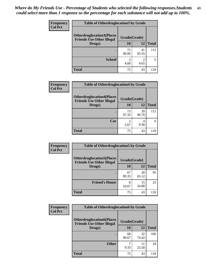| <b>Frequency</b> | <b>Table of Otherdruglocation3 by Grade</b>                           |              |                                     |              |
|------------------|-----------------------------------------------------------------------|--------------|-------------------------------------|--------------|
| <b>Col Pct</b>   | <b>Otherdruglocation3(Places)</b><br><b>Friends Use Other Illegal</b> | Grade(Grade) |                                     |              |
|                  | Drugs)                                                                | 10           | 12                                  | <b>Total</b> |
|                  |                                                                       | 72<br>96.00  | 41<br>95.35                         | 113          |
|                  | <b>School</b>                                                         | 3<br>4.00    | $\mathcal{D}_{\mathcal{A}}$<br>4.65 | 5            |
|                  | <b>Total</b>                                                          | 75           | 43                                  | 118          |

| <b>Frequency</b> | <b>Table of Otherdruglocation4 by Grade</b>                          |              |             |              |
|------------------|----------------------------------------------------------------------|--------------|-------------|--------------|
| <b>Col Pct</b>   | <b>Otherdruglocation4(Places</b><br><b>Friends Use Other Illegal</b> | Grade(Grade) |             |              |
|                  | Drugs)                                                               | 10           | 12          | <b>Total</b> |
|                  |                                                                      | 73<br>97.33  | 39<br>90.70 | 112          |
|                  | Car                                                                  | 2.67         | 4<br>9.30   | 6            |
|                  | <b>Total</b>                                                         | 75           | 43          | 118          |

| Frequency      | <b>Table of Otherdruglocation5 by Grade</b>                          |              |             |              |
|----------------|----------------------------------------------------------------------|--------------|-------------|--------------|
| <b>Col Pct</b> | <b>Otherdruglocation5(Places</b><br><b>Friends Use Other Illegal</b> | Grade(Grade) |             |              |
|                | Drugs)                                                               | 10           | 12          | <b>Total</b> |
|                |                                                                      | 67<br>89.33  | 28<br>65.12 | 95           |
|                | <b>Friend's House</b>                                                | 8<br>10.67   | 15<br>34.88 | 23           |
|                | <b>Total</b>                                                         | 75           | 43          | 118          |

| <b>Frequency</b> | <b>Table of Otherdruglocation6 by Grade</b>                          |              |             |              |
|------------------|----------------------------------------------------------------------|--------------|-------------|--------------|
| <b>Col Pct</b>   | <b>Otherdruglocation6(Places</b><br><b>Friends Use Other Illegal</b> | Grade(Grade) |             |              |
|                  | Drugs)                                                               | <b>10</b>    | 12          | <b>Total</b> |
|                  |                                                                      | 68<br>90.67  | 32<br>74.42 | 100          |
|                  | <b>Other</b>                                                         | 9.33         | 11<br>25.58 | 18           |
|                  | <b>Total</b>                                                         | 75           | 43          | 118          |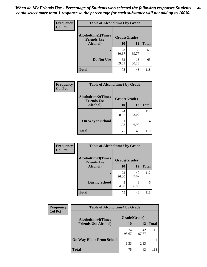| Frequency      | <b>Table of Alcoholtime1 by Grade</b>           |              |             |              |
|----------------|-------------------------------------------------|--------------|-------------|--------------|
| <b>Col Pct</b> | <b>Alcoholtime1(Times</b><br><b>Friends Use</b> | Grade(Grade) |             |              |
|                | Alcohol)                                        | 10           | <b>12</b>   | <b>Total</b> |
|                |                                                 | 23<br>30.67  | 30<br>69.77 | 53           |
|                | Do Not Use                                      | 52<br>69.33  | 13<br>30.23 | 65           |
|                | <b>Total</b>                                    | 75           | 43          | 118          |

| Frequency      | <b>Table of Alcoholtime2 by Grade</b>           |              |             |              |
|----------------|-------------------------------------------------|--------------|-------------|--------------|
| <b>Col Pct</b> | <b>Alcoholtime2(Times</b><br><b>Friends Use</b> | Grade(Grade) |             |              |
|                | Alcohol)                                        | 10           | 12          | <b>Total</b> |
|                |                                                 | 74<br>98.67  | 40<br>93.02 | 114          |
|                | <b>On Way to School</b>                         | 1.33         | 3<br>6.98   |              |
|                | <b>Total</b>                                    | 75           | 43          | 118          |

| Frequency      | <b>Table of Alcoholtime3 by Grade</b>           |              |             |              |
|----------------|-------------------------------------------------|--------------|-------------|--------------|
| <b>Col Pct</b> | <b>Alcoholtime3(Times</b><br><b>Friends Use</b> | Grade(Grade) |             |              |
|                | Alcohol)                                        | 10           | <b>12</b>   | <b>Total</b> |
|                |                                                 | 72<br>96.00  | 40<br>93.02 | 112          |
|                | <b>During School</b>                            | 3<br>4.00    | 3<br>6.98   | 6            |
|                | <b>Total</b>                                    | 75           | 43          | 118          |

| Frequency<br><b>Col Pct</b> | <b>Table of Alcoholtime4 by Grade</b>                    |              |             |                |  |
|-----------------------------|----------------------------------------------------------|--------------|-------------|----------------|--|
|                             | <b>Alcoholtime4(Times</b><br><b>Friends Use Alcohol)</b> | Grade(Grade) |             |                |  |
|                             |                                                          | 10           | 12          | <b>Total</b>   |  |
|                             |                                                          | 74<br>98.67  | 42<br>97.67 | 116            |  |
|                             | <b>On Way Home From School</b>                           | 1.33         | 2.33        | $\mathfrak{D}$ |  |
|                             | <b>Total</b>                                             | 75           | 43          | 118            |  |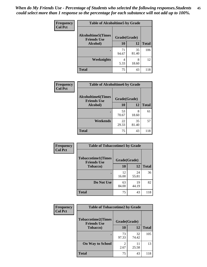*When do My Friends Use - Percentage of Students who selected the following responses.Students could select more than 1 response so the percentage for each substance will not add up to 100%.* **45**

| Frequency      | <b>Table of Alcoholtime5 by Grade</b>           |              |             |              |
|----------------|-------------------------------------------------|--------------|-------------|--------------|
| <b>Col Pct</b> | <b>Alcoholtime5(Times</b><br><b>Friends Use</b> | Grade(Grade) |             |              |
|                | Alcohol)                                        | 10           | <b>12</b>   | <b>Total</b> |
|                |                                                 | 71<br>94.67  | 35<br>81.40 | 106          |
|                | <b>Weeknights</b>                               | 4<br>5.33    | 8<br>18.60  | 12           |
|                | <b>Total</b>                                    | 75           | 43          | 118          |

| <b>Frequency</b> | <b>Table of Alcoholtime6 by Grade</b>           |              |             |              |
|------------------|-------------------------------------------------|--------------|-------------|--------------|
| <b>Col Pct</b>   | <b>Alcoholtime6(Times</b><br><b>Friends Use</b> | Grade(Grade) |             |              |
|                  | Alcohol)                                        | 10           | 12          | <b>Total</b> |
|                  |                                                 | 53<br>70.67  | 8<br>18.60  | 61           |
|                  | Weekends                                        | 22<br>29.33  | 35<br>81.40 | 57           |
|                  | <b>Total</b>                                    | 75           | 43          | 118          |

| Frequency<br><b>Col Pct</b> | <b>Table of Tobaccotime1 by Grade</b>           |              |             |              |  |
|-----------------------------|-------------------------------------------------|--------------|-------------|--------------|--|
|                             | <b>Tobaccotime1(Times</b><br><b>Friends Use</b> | Grade(Grade) |             |              |  |
|                             | <b>Tobacco</b> )                                | <b>10</b>    | 12          | <b>Total</b> |  |
|                             | ٠                                               | 12<br>16.00  | 24<br>55.81 | 36           |  |
|                             | Do Not Use                                      | 63<br>84.00  | 19<br>44.19 | 82           |  |
|                             | <b>Total</b>                                    | 75           | 43          | 118          |  |

| Frequency      | <b>Table of Tobaccotime2 by Grade</b>           |                        |             |              |  |
|----------------|-------------------------------------------------|------------------------|-------------|--------------|--|
| <b>Col Pct</b> | <b>Tobaccotime2(Times</b><br><b>Friends Use</b> | Grade(Grade)           |             |              |  |
|                | <b>Tobacco</b> )                                | 10                     | <b>12</b>   | <b>Total</b> |  |
|                |                                                 | 73<br>97.33            | 32<br>74.42 | 105          |  |
|                | <b>On Way to School</b>                         | $\mathfrak{D}$<br>2.67 | 11<br>25.58 | 13           |  |
|                | Total                                           | 75                     | 43          | 118          |  |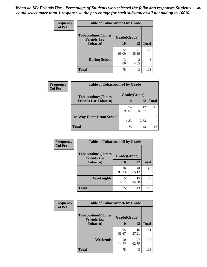| <b>Frequency</b> | <b>Table of Tobaccotime3 by Grade</b>           |              |                        |              |  |
|------------------|-------------------------------------------------|--------------|------------------------|--------------|--|
| <b>Col Pct</b>   | <b>Tobaccotime3(Times</b><br><b>Friends Use</b> | Grade(Grade) |                        |              |  |
|                  | <b>Tobacco</b> )                                | 10           | 12                     | <b>Total</b> |  |
|                  |                                                 | 72<br>96.00  | 41<br>95.35            | 113          |  |
|                  | <b>During School</b>                            | 3<br>4.00    | $\mathfrak{D}$<br>4.65 | 5            |  |
|                  | <b>Total</b>                                    | 75           | 43                     | 118          |  |

| Frequency<br><b>Col Pct</b> | <b>Table of Tobaccotime4 by Grade</b> |              |             |               |  |
|-----------------------------|---------------------------------------|--------------|-------------|---------------|--|
|                             | <b>Tobaccotime4(Times</b>             | Grade(Grade) |             |               |  |
|                             | <b>Friends Use Tobacco)</b>           | 10           | 12          | <b>Total</b>  |  |
|                             |                                       | 74<br>98.67  | 42<br>97.67 | 116           |  |
|                             | <b>On Way Home From School</b>        | 1.33         | 2.33        | $\mathcal{D}$ |  |
|                             | Total                                 | 75           | 43          | 118           |  |

| <b>Frequency</b> | <b>Table of Tobaccotime5 by Grade</b>            |              |             |              |
|------------------|--------------------------------------------------|--------------|-------------|--------------|
| <b>Col Pct</b>   | <b>Tobaccotime5</b> (Times<br><b>Friends Use</b> | Grade(Grade) |             |              |
|                  | Tobacco)                                         | 10           | 12          | <b>Total</b> |
|                  | ٠                                                | 70<br>93.33  | 28<br>65.12 | 98           |
|                  | Weeknights                                       | 5<br>6.67    | 15<br>34.88 | 20           |
|                  | <b>Total</b>                                     | 75           | 43          | 118          |

| Frequency<br><b>Col Pct</b> | <b>Table of Tobaccotime6 by Grade</b>                           |             |             |              |
|-----------------------------|-----------------------------------------------------------------|-------------|-------------|--------------|
|                             | <b>Tobaccotime6(Times</b><br>Grade(Grade)<br><b>Friends Use</b> |             |             |              |
|                             | <b>Tobacco</b> )                                                | 10          | 12          | <b>Total</b> |
|                             |                                                                 | 65<br>86.67 | 16<br>37.21 | 81           |
|                             | Weekends                                                        | 10<br>13.33 | 27<br>62.79 | 37           |
|                             | <b>Total</b>                                                    | 75          | 43          | 118          |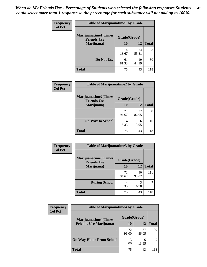| Frequency      | <b>Table of Marijuanatime1 by Grade</b>           |              |             |              |  |
|----------------|---------------------------------------------------|--------------|-------------|--------------|--|
| <b>Col Pct</b> | <b>Marijuanatime1(Times</b><br><b>Friends Use</b> | Grade(Grade) |             |              |  |
|                | Marijuana)                                        | 10           | 12          | <b>Total</b> |  |
|                |                                                   | 14<br>18.67  | 24<br>55.81 | 38           |  |
|                | Do Not Use                                        | 61<br>81.33  | 19<br>44.19 | 80           |  |
|                | <b>Total</b>                                      | 75           | 43          | 118          |  |

| Frequency      | <b>Table of Marijuanatime2 by Grade</b>           |              |             |              |
|----------------|---------------------------------------------------|--------------|-------------|--------------|
| <b>Col Pct</b> | <b>Marijuanatime2(Times</b><br><b>Friends Use</b> | Grade(Grade) |             |              |
|                | Marijuana)                                        | 10           | 12          | <b>Total</b> |
|                |                                                   | 71<br>94.67  | 37<br>86.05 | 108          |
|                | <b>On Way to School</b>                           | 4<br>5.33    | 6<br>13.95  | 10           |
|                | <b>Total</b>                                      | 75           | 43          | 118          |

| Frequency      | <b>Table of Marijuanatime3 by Grade</b>    |              |             |              |
|----------------|--------------------------------------------|--------------|-------------|--------------|
| <b>Col Pct</b> | Marijuanatime3(Times<br><b>Friends Use</b> | Grade(Grade) |             |              |
|                | Marijuana)                                 | 10           | 12          | <b>Total</b> |
|                |                                            | 71<br>94.67  | 40<br>93.02 | 111          |
|                | <b>During School</b>                       | 4<br>5.33    | 3<br>6.98   |              |
|                | <b>Total</b>                               | 75           | 43          | 118          |

| <b>Frequency</b> | <b>Table of Marijuanatime4 by Grade</b> |              |             |              |
|------------------|-----------------------------------------|--------------|-------------|--------------|
| <b>Col Pct</b>   | <b>Marijuanatime4(Times</b>             | Grade(Grade) |             |              |
|                  | <b>Friends Use Marijuana</b> )          | 10           | 12          | <b>Total</b> |
|                  |                                         | 72<br>96.00  | 37<br>86.05 | 109          |
|                  | <b>On Way Home From School</b>          | 3<br>4.00    | 6<br>13.95  | Q            |
|                  | <b>Total</b>                            | 75           | 43          | 118          |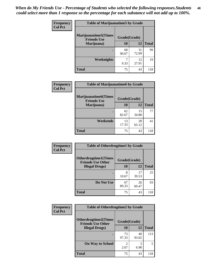| Frequency      | <b>Table of Marijuanatime5 by Grade</b>            |              |             |              |
|----------------|----------------------------------------------------|--------------|-------------|--------------|
| <b>Col Pct</b> | <b>Marijuanatime5</b> (Times<br><b>Friends Use</b> | Grade(Grade) |             |              |
|                | Marijuana)                                         | 10           | 12          | <b>Total</b> |
|                |                                                    | 68<br>90.67  | 31<br>72.09 | 99           |
|                | Weeknights                                         | 9.33         | 12<br>27.91 | 19           |
|                | <b>Total</b>                                       | 75           | 43          | 118          |

| Frequency      | <b>Table of Marijuanatime6 by Grade</b>            |              |             |              |
|----------------|----------------------------------------------------|--------------|-------------|--------------|
| <b>Col Pct</b> | <b>Marijuanatime6</b> (Times<br><b>Friends Use</b> | Grade(Grade) |             |              |
|                | Marijuana)                                         | 10           | 12          | <b>Total</b> |
|                |                                                    | 62<br>82.67  | 15<br>34.88 | 77           |
|                | Weekends                                           | 13<br>17.33  | 28<br>65.12 | 41           |
|                | <b>Total</b>                                       | 75           | 43          | 118          |

| Frequency      | <b>Table of Otherdrugtime1 by Grade</b>                 |              |             |              |
|----------------|---------------------------------------------------------|--------------|-------------|--------------|
| <b>Col Pct</b> | <b>Otherdrugtime1(Times</b><br><b>Friends Use Other</b> | Grade(Grade) |             |              |
|                | <b>Illegal Drugs</b> )                                  | 10           | 12          | <b>Total</b> |
|                |                                                         | 8<br>10.67   | 17<br>39.53 | 25           |
|                | Do Not Use                                              | 67<br>89.33  | 26<br>60.47 | 93           |
|                | Total                                                   | 75           | 43          | 118          |

| Frequency      | <b>Table of Otherdrugtime2 by Grade</b>                 |                        |             |              |
|----------------|---------------------------------------------------------|------------------------|-------------|--------------|
| <b>Col Pct</b> | <b>Otherdrugtime2(Times</b><br><b>Friends Use Other</b> | Grade(Grade)           |             |              |
|                | <b>Illegal Drugs</b> )                                  | 10                     | 12          | <b>Total</b> |
|                |                                                         | 73<br>97.33            | 40<br>93.02 | 113          |
|                | <b>On Way to School</b>                                 | $\mathfrak{D}$<br>2.67 | 3<br>6.98   | 5            |
|                | Total                                                   | 75                     | 43          | 118          |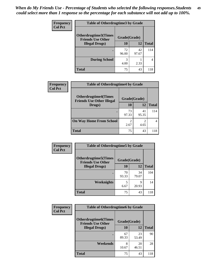| <b>Frequency</b> | <b>Table of Otherdrugtime3 by Grade</b>          |              |             |              |  |
|------------------|--------------------------------------------------|--------------|-------------|--------------|--|
| <b>Col Pct</b>   | Otherdrugtime3(Times<br><b>Friends Use Other</b> | Grade(Grade) |             |              |  |
|                  | <b>Illegal Drugs</b> )                           | 10           | 12          | <b>Total</b> |  |
|                  |                                                  | 72<br>96.00  | 42<br>97.67 | 114          |  |
|                  | <b>During School</b>                             | 3<br>4.00    | 2.33        | 4            |  |
|                  | Total                                            | 75           | 43          | 118          |  |

| Frequency      | <b>Table of Otherdrugtime4 by Grade</b>                         |                        |             |              |
|----------------|-----------------------------------------------------------------|------------------------|-------------|--------------|
| <b>Col Pct</b> | <b>Otherdrugtime4(Times</b><br><b>Friends Use Other Illegal</b> | Grade(Grade)           |             |              |
|                | Drugs)                                                          | 10                     | 12          | <b>Total</b> |
|                | $\bullet$                                                       | 73<br>97.33            | 41<br>95.35 | 114          |
|                | <b>On Way Home From School</b>                                  | $\mathfrak{D}$<br>2.67 | 4.65        |              |
|                | Total                                                           | 75                     | 43          | 118          |

| <b>Frequency</b> | <b>Table of Otherdrugtime5 by Grade</b>                  |              |             |              |  |
|------------------|----------------------------------------------------------|--------------|-------------|--------------|--|
| <b>Col Pct</b>   | <b>Otherdrugtime5</b> (Times<br><b>Friends Use Other</b> | Grade(Grade) |             |              |  |
|                  | <b>Illegal Drugs</b> )                                   | 10           | 12          | <b>Total</b> |  |
|                  |                                                          | 70<br>93.33  | 34<br>79.07 | 104          |  |
|                  | Weeknights                                               | 5<br>6.67    | q<br>20.93  | 14           |  |
|                  | <b>Total</b>                                             | 75           | 43          | 118          |  |

| <b>Frequency</b> | <b>Table of Otherdrugtime6 by Grade</b>                  |              |             |              |  |
|------------------|----------------------------------------------------------|--------------|-------------|--------------|--|
| <b>Col Pct</b>   | <b>Otherdrugtime6</b> (Times<br><b>Friends Use Other</b> | Grade(Grade) |             |              |  |
|                  | <b>Illegal Drugs</b> )                                   | 10           | 12          | <b>Total</b> |  |
|                  |                                                          | 67<br>89.33  | 23<br>53.49 | 90           |  |
|                  | Weekends                                                 | 8<br>10.67   | 20<br>46.51 | 28           |  |
|                  | <b>Total</b>                                             | 75           | 43          | 118          |  |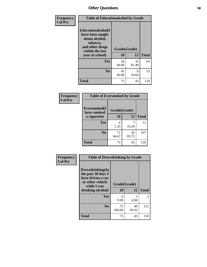| Frequency      | <b>Table of Educationalcohol by Grade</b>                                                                  |              |             |              |
|----------------|------------------------------------------------------------------------------------------------------------|--------------|-------------|--------------|
| <b>Col Pct</b> | Educationalcohol(I<br>have been taught<br>about alcohol,<br>tobacco,<br>and other drugs<br>within the last | Grade(Grade) |             |              |
|                | year at school)                                                                                            | 10           | 12          | <b>Total</b> |
|                | <b>Yes</b>                                                                                                 | 30<br>40.00  | 35<br>81.40 | 65           |
|                | N <sub>0</sub>                                                                                             | 45<br>60.00  | 8<br>18.60  | 53           |
|                | <b>Total</b>                                                                                               | 75           | 43          | 118          |

| Frequency      | <b>Table of Eversmoked by Grade</b> |              |             |              |  |
|----------------|-------------------------------------|--------------|-------------|--------------|--|
| <b>Col Pct</b> | Eversmoked(I<br>have smoked         | Grade(Grade) |             |              |  |
|                | a cigarette)                        | 10           | 12          | <b>Total</b> |  |
|                | Yes                                 | 4<br>5.33    | 16.28       | 11           |  |
|                | N <sub>0</sub>                      | 71<br>94.67  | 36<br>83.72 | 107          |  |
|                | <b>Total</b>                        | 75           | 43          | 118          |  |

| Frequency      | <b>Table of Drovedrinking by Grade</b>                                                                              |                      |             |              |
|----------------|---------------------------------------------------------------------------------------------------------------------|----------------------|-------------|--------------|
| <b>Col Pct</b> | Drovedrinking(In<br>the past 30 days I<br>have driven a car<br>or other vehicle<br>while I was<br>drinking alcohol) | Grade(Grade)<br>10   | 12          | <b>Total</b> |
|                | Yes                                                                                                                 | $\mathbf{0}$<br>0.00 | 3<br>6.98   | 3            |
|                | N <sub>0</sub>                                                                                                      | 75<br>100.00         | 40<br>93.02 | 115          |
|                | <b>Total</b>                                                                                                        | 75                   | 43          | 118          |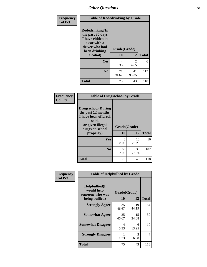| Frequency      |                                                                                                                            | <b>Table of Rodedrinking by Grade</b> |                        |     |  |
|----------------|----------------------------------------------------------------------------------------------------------------------------|---------------------------------------|------------------------|-----|--|
| <b>Col Pct</b> | Rodedrinking(In<br>the past 30 days<br>I have ridden in<br>a car with a<br>driver who had<br>Grade(Grade)<br>been drinking |                                       |                        |     |  |
|                | alcohol)                                                                                                                   | 12<br>10                              | <b>Total</b>           |     |  |
|                | <b>Yes</b>                                                                                                                 | 4<br>5.33                             | $\overline{2}$<br>4.65 | 6   |  |
|                | N <sub>0</sub>                                                                                                             | 71<br>94.67                           | 41<br>95.35            | 112 |  |
|                | <b>Total</b>                                                                                                               | 75                                    | 43                     | 118 |  |

#### **Frequency Col Pct**

| <b>Table of Drugsschool by Grade</b>                                                                                      |              |             |              |  |  |  |
|---------------------------------------------------------------------------------------------------------------------------|--------------|-------------|--------------|--|--|--|
| <b>Drugsschool</b> (During<br>the past 12 months,<br>I have been offered,<br>sold,<br>or given illegal<br>drugs on school | Grade(Grade) |             |              |  |  |  |
| property)                                                                                                                 | 10           | 12          | <b>Total</b> |  |  |  |
| Yes                                                                                                                       | 6<br>8.00    | 10<br>23.26 | 16           |  |  |  |
| N <sub>0</sub>                                                                                                            | 69<br>92.00  | 33<br>76.74 | 102          |  |  |  |
| <b>Total</b>                                                                                                              | 75           | 43          | 118          |  |  |  |

| Frequency      | <b>Table of Helpbullied by Grade</b>                 |                          |             |              |  |  |
|----------------|------------------------------------------------------|--------------------------|-------------|--------------|--|--|
| <b>Col Pct</b> | $Helpb$ ullied $(I$<br>would help<br>someone who was | Grade(Grade)<br>10<br>12 |             |              |  |  |
|                | being bullied)                                       |                          |             | <b>Total</b> |  |  |
|                | <b>Strongly Agree</b>                                | 35<br>46.67              | 19<br>44.19 | 54           |  |  |
|                | <b>Somewhat Agree</b>                                | 35<br>46.67              | 15<br>34.88 | 50           |  |  |
|                | <b>Somewhat Disagree</b>                             | 4<br>5.33                | 6<br>13.95  | 10           |  |  |
|                | <b>Strongly Disagree</b>                             | 1.33                     | 3<br>6.98   | 4            |  |  |
|                | <b>Total</b>                                         | 75                       | 43          | 118          |  |  |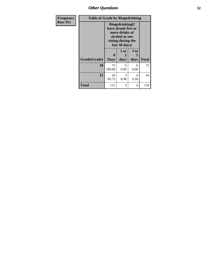*Other Questions* **52**

| <b>Frequency</b> | <b>Table of Grade by Bingedrinking</b> |                                                                                                                          |                   |                   |              |  |  |  |
|------------------|----------------------------------------|--------------------------------------------------------------------------------------------------------------------------|-------------------|-------------------|--------------|--|--|--|
| <b>Row Pct</b>   |                                        | <b>Bingedrinking</b> (I<br>have drunk five or<br>more drinks of<br>alcohol at one<br>sitting during the<br>last 30 days) |                   |                   |              |  |  |  |
|                  | Grade(Grade)                           | $\mathbf 0$<br><b>Days</b>                                                                                               | 1 or<br>2<br>days | 3 to<br>5<br>days | <b>Total</b> |  |  |  |
|                  | 10                                     | 75<br>100.00                                                                                                             | $\Omega$<br>0.00  | 0<br>0.00         | 75           |  |  |  |
|                  | 12                                     | 36<br>83.72                                                                                                              | 3<br>6.98         | 4<br>9.30         | 43           |  |  |  |
|                  | <b>Total</b>                           | 111                                                                                                                      | 3                 | 4                 | 118          |  |  |  |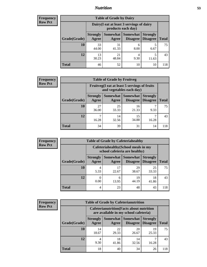## *Nutrition* **53**

| Frequency |
|-----------|
| Row Pct   |

| <b>Table of Grade by Dairy</b> |                          |                                                                 |                             |                                    |              |  |
|--------------------------------|--------------------------|-----------------------------------------------------------------|-----------------------------|------------------------------------|--------------|--|
|                                |                          | Dairy (I eat at least 3 servings of dairy<br>products each day) |                             |                                    |              |  |
| Grade(Grade)                   | <b>Strongly</b><br>Agree | Somewhat<br>Agree                                               | <b>Somewhat</b><br>Disagree | <b>Strongly</b><br><b>Disagree</b> | <b>Total</b> |  |
| 10                             | 33<br>44.00              | 31<br>41.33                                                     | 6<br>8.00                   | 5<br>6.67                          | 75           |  |
| 12                             | 13<br>30.23              | 21<br>48.84                                                     | 4<br>9.30                   | 5<br>11.63                         | 43           |  |
| <b>Total</b>                   | 46                       | 52                                                              | 10                          | 10                                 | 118          |  |

| <b>Frequency</b> |  |
|------------------|--|
| <b>Row Pct</b>   |  |

| <b>Table of Grade by Fruitveg</b> |                          |                                                                          |                                        |                                    |              |  |
|-----------------------------------|--------------------------|--------------------------------------------------------------------------|----------------------------------------|------------------------------------|--------------|--|
|                                   |                          | Fruitveg(I eat at least 5 servings of fruits<br>and vegetables each day) |                                        |                                    |              |  |
| Grade(Grade)                      | <b>Strongly</b><br>Agree | Agree                                                                    | <b>Somewhat   Somewhat</b><br>Disagree | <b>Strongly</b><br><b>Disagree</b> | <b>Total</b> |  |
| 10                                | 27<br>36.00              | 25<br>33.33                                                              | 16<br>21.33                            | 9.33                               | 75           |  |
| 12                                | 16.28                    | 14<br>32.56                                                              | 15<br>34.88                            | 16.28                              | 43           |  |
| <b>Total</b>                      | 34                       | 39                                                                       | 31                                     | 14                                 | 118          |  |

| <b>Frequency</b> | <b>Table of Grade by Cafeteriahealthy</b> |                                                                       |                     |                             |                                    |              |  |  |  |
|------------------|-------------------------------------------|-----------------------------------------------------------------------|---------------------|-----------------------------|------------------------------------|--------------|--|--|--|
| <b>Row Pct</b>   |                                           | Cafeteriahealthy (School meals in my<br>school cafeteria are healthy) |                     |                             |                                    |              |  |  |  |
|                  | Grade(Grade)                              | <b>Strongly</b><br>Agree                                              | Somewhat  <br>Agree | <b>Somewhat</b><br>Disagree | <b>Strongly</b><br><b>Disagree</b> | <b>Total</b> |  |  |  |
|                  | 10                                        | 5.33                                                                  | 17<br>22.67         | 29<br>38.67                 | 25<br>33.33                        | 75           |  |  |  |
|                  | 12                                        | 0.00                                                                  | 6<br>13.95          | 19<br>44.19                 | 18<br>41.86                        | 43           |  |  |  |
|                  | Total                                     | 4                                                                     | 23                  | 48                          | 43                                 | 118          |  |  |  |

| <b>Frequency</b> |
|------------------|
| <b>Row Pct</b>   |

| <b>Table of Grade by Cafeterianutrition</b> |                                                                                           |             |                                        |                                    |              |  |
|---------------------------------------------|-------------------------------------------------------------------------------------------|-------------|----------------------------------------|------------------------------------|--------------|--|
|                                             | <b>Cafeterianutrition</b> (Facts about nutrition<br>are available in my school cafeteria) |             |                                        |                                    |              |  |
| Grade(Grade)                                | <b>Strongly</b><br>Agree                                                                  | Agree       | Somewhat   Somewhat<br><b>Disagree</b> | <b>Strongly</b><br><b>Disagree</b> | <b>Total</b> |  |
| 10                                          | 14<br>18.67                                                                               | 22<br>29.33 | 20<br>26.67                            | 19<br>25.33                        | 75           |  |
| 12                                          | 4<br>9.30                                                                                 | 18<br>41.86 | 14<br>32.56                            | 16.28                              | 43           |  |
| <b>Total</b>                                | 18                                                                                        | 40          | 34                                     | 26                                 | 118          |  |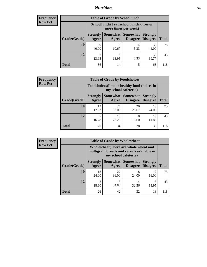## *Nutrition* **54**

| Frequency |
|-----------|
| Row Pct   |

| <b>Table of Grade by Schoollunch</b> |                                                                                                                              |                                                                 |           |             |     |  |  |
|--------------------------------------|------------------------------------------------------------------------------------------------------------------------------|-----------------------------------------------------------------|-----------|-------------|-----|--|--|
|                                      |                                                                                                                              | Schoollunch(I eat school lunch three or<br>more times per week) |           |             |     |  |  |
| Grade(Grade)                         | Somewhat   Somewhat  <br><b>Strongly</b><br><b>Strongly</b><br><b>Disagree</b><br>Agree<br>Disagree<br><b>Total</b><br>Agree |                                                                 |           |             |     |  |  |
| 10                                   | 30<br>40.00                                                                                                                  | 8<br>10.67                                                      | 4<br>5.33 | 33<br>44.00 | 75  |  |  |
| 12                                   | 6<br>13.95                                                                                                                   | 6<br>13.95                                                      | 2.33      | 30<br>69.77 | 43  |  |  |
| <b>Total</b>                         | 36                                                                                                                           | 14                                                              | 5         | 63          | 118 |  |  |

| <b>Frequency</b> |
|------------------|
| <b>Row Pct</b>   |

| $\mathbf{y}$ | <b>Table of Grade by Foodchoices</b> |                                                                     |             |                                              |                 |              |  |
|--------------|--------------------------------------|---------------------------------------------------------------------|-------------|----------------------------------------------|-----------------|--------------|--|
|              |                                      | Foodchoices (I make healthy food choices in<br>my school cafeteria) |             |                                              |                 |              |  |
|              | Grade(Grade)                         | <b>Strongly</b><br><b>Agree</b>                                     | Agree       | Somewhat   Somewhat  <br>Disagree   Disagree | <b>Strongly</b> | <b>Total</b> |  |
|              | 10                                   | 13<br>17.33                                                         | 24<br>32.00 | 20<br>26.67                                  | 18<br>24.00     | 75           |  |
|              | 12                                   | 16.28                                                               | 10<br>23.26 | 8<br>18.60                                   | 18<br>41.86     | 43           |  |
|              | <b>Total</b>                         | 20                                                                  | 34          | 28                                           | 36              | 118          |  |

| Frequency      | <b>Table of Grade by Wholewheat</b> |                                                                                                             |             |                                        |                                    |              |  |  |
|----------------|-------------------------------------|-------------------------------------------------------------------------------------------------------------|-------------|----------------------------------------|------------------------------------|--------------|--|--|
| <b>Row Pct</b> |                                     | Wholewheat (There are whole wheat and<br>multigrain breads and cereals available in<br>my school cafeteria) |             |                                        |                                    |              |  |  |
|                | Grade(Grade)                        | <b>Strongly</b><br>Agree                                                                                    | Agree       | Somewhat   Somewhat<br><b>Disagree</b> | <b>Strongly</b><br><b>Disagree</b> | <b>Total</b> |  |  |
|                | 10                                  | 18<br>24.00                                                                                                 | 27<br>36.00 | 18<br>24.00                            | 12<br>16.00                        | 75           |  |  |
|                | 12                                  | 8<br>18.60                                                                                                  | 15<br>34.88 | 14<br>32.56                            | 6<br>13.95                         | 43           |  |  |
|                | <b>Total</b>                        | 26                                                                                                          | 42          | 32                                     | 18                                 | 118          |  |  |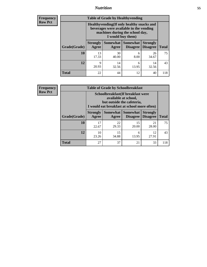## *Nutrition* **55**

**Frequency Row Pct**

| <b>Table of Grade by Healthyvending</b> |                                                                                                                                               |                          |                                    |                                    |              |  |  |  |
|-----------------------------------------|-----------------------------------------------------------------------------------------------------------------------------------------------|--------------------------|------------------------------------|------------------------------------|--------------|--|--|--|
|                                         | Healthyvending (If only healthy snacks and<br>beverages were available in the vending<br>machines during the school day,<br>I would buy them) |                          |                                    |                                    |              |  |  |  |
| Grade(Grade)                            | <b>Strongly</b><br>Agree                                                                                                                      | <b>Somewhat</b><br>Agree | <b>Somewhat</b><br><b>Disagree</b> | <b>Strongly</b><br><b>Disagree</b> | <b>Total</b> |  |  |  |
| 10                                      | 13<br>17.33                                                                                                                                   | 30<br>40.00              | 6<br>8.00                          | 26<br>34.67                        | 75           |  |  |  |
| 12                                      | 9<br>20.93                                                                                                                                    | 14<br>32.56              | 6<br>13.95                         | 14<br>32.56                        | 43           |  |  |  |
| Total                                   | 22                                                                                                                                            | 44                       | 12                                 | 40                                 | 118          |  |  |  |

**Frequency Row Pct**

| <b>Table of Grade by Schoolbreakfast</b> |                                                                                                                                        |             |                               |                                    |              |  |  |  |
|------------------------------------------|----------------------------------------------------------------------------------------------------------------------------------------|-------------|-------------------------------|------------------------------------|--------------|--|--|--|
|                                          | Schoolbreakfast(If breakfast were<br>available at school,<br>but outside the cafeteria,<br>I would eat breakfast at school more often) |             |                               |                                    |              |  |  |  |
| Grade(Grade)                             | <b>Strongly</b><br>Agree                                                                                                               | Agree       | Somewhat Somewhat<br>Disagree | <b>Strongly</b><br><b>Disagree</b> | <b>Total</b> |  |  |  |
| 10                                       | 17<br>22.67                                                                                                                            | 22<br>29.33 | 15<br>20.00                   | 21<br>28.00                        | 75           |  |  |  |
| 12                                       | 10<br>23.26                                                                                                                            | 15<br>34.88 | 6<br>13.95                    | 12<br>27.91                        | 43           |  |  |  |
| <b>Total</b>                             | 27                                                                                                                                     | 37          | 21                            | 33                                 | 118          |  |  |  |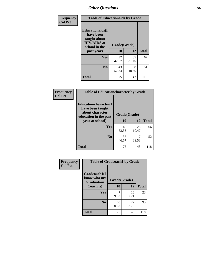| Frequency<br><b>Col Pct</b> | <b>Table of Educationaids by Grade</b>                                                                    |                    |              |     |  |  |
|-----------------------------|-----------------------------------------------------------------------------------------------------------|--------------------|--------------|-----|--|--|
|                             | <b>Educationaids</b> (I<br>have been<br>taught about<br><b>HIV/AIDS</b> at<br>school in the<br>past year) | Grade(Grade)<br>10 | <b>Total</b> |     |  |  |
|                             | Yes                                                                                                       | 32<br>42.67        | 35<br>81.40  | 67  |  |  |
|                             | N <sub>0</sub>                                                                                            | 43<br>57.33        | 8<br>18.60   | 51  |  |  |
|                             | <b>Total</b>                                                                                              | 75                 | 43           | 118 |  |  |

| <b>Frequency</b> | <b>Table of Educationcharacter by Grade</b>                                          |              |             |              |  |
|------------------|--------------------------------------------------------------------------------------|--------------|-------------|--------------|--|
| <b>Col Pct</b>   | Educationcharacter(I<br>have been taught<br>about character<br>education in the past | Grade(Grade) |             |              |  |
|                  | year at school)                                                                      | 10           | 12          | <b>Total</b> |  |
|                  | <b>Yes</b>                                                                           | 40<br>53.33  | 26<br>60.47 | 66           |  |
|                  | N <sub>0</sub>                                                                       | 35<br>46.67  | 17<br>39.53 | 52           |  |
|                  | <b>Total</b>                                                                         | 75           | 43          | 118          |  |

| <b>Frequency</b> | <b>Table of Gradcoach1 by Grade</b>              |              |             |              |
|------------------|--------------------------------------------------|--------------|-------------|--------------|
| <b>Col Pct</b>   | Gradcoach1(I<br>know who my<br><b>Graduation</b> | Grade(Grade) |             |              |
|                  | Coach is)                                        | 10           | 12          | <b>Total</b> |
|                  | Yes                                              | 9.33         | 16<br>37.21 | 23           |
|                  | N <sub>0</sub>                                   | 68<br>90.67  | 27<br>62.79 | 95           |
|                  | <b>Total</b>                                     | 75           | 43          | 118          |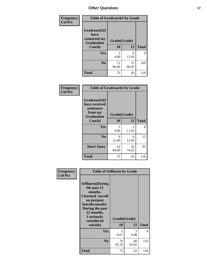| Frequency      | <b>Table of Gradcoach2 by Grade</b> |              |             |              |
|----------------|-------------------------------------|--------------|-------------|--------------|
| <b>Col Pct</b> |                                     |              |             |              |
|                | Gradcoach2(I<br>have                |              |             |              |
|                | contacted my<br><b>Graduation</b>   | Grade(Grade) |             |              |
|                | Coach)                              | 10           | 12          | <b>Total</b> |
|                | Yes                                 | 3<br>4.00    | 6<br>13.95  | 9            |
|                | N <sub>0</sub>                      | 72<br>96.00  | 37<br>86.05 | 109          |
|                | <b>Total</b>                        | 75           | 43          | 118          |

| <b>Frequency</b><br><b>Col Pct</b> | <b>Table of Gradcoach3 by Grade</b>                    |              |             |              |
|------------------------------------|--------------------------------------------------------|--------------|-------------|--------------|
|                                    | Gradcoach3(I<br>have received<br>assistance<br>from my | Grade(Grade) |             |              |
|                                    | <b>Graduation</b><br>Coach)                            | 10           | 12          | <b>Total</b> |
|                                    | Yes                                                    | 3<br>4.00    | 5<br>11.63  | 8            |
|                                    | N <sub>0</sub>                                         | 9<br>12.00   | 6<br>13.95  | 15           |
|                                    | Don't know                                             | 63<br>84.00  | 32<br>74.42 | 95           |
|                                    | <b>Total</b>                                           | 75           | 43          | 118          |

| Frequency      |                                                                                                                                                                                        | <b>Table of Selfharm by Grade</b> |                    |              |  |
|----------------|----------------------------------------------------------------------------------------------------------------------------------------------------------------------------------------|-----------------------------------|--------------------|--------------|--|
| <b>Col Pct</b> | <b>Selfharm</b> (During<br>the past 12<br>months,<br>I harmed myself<br>on purpose<br><b>Suicideconsider</b><br>During the past<br>12 months,<br>I seriously<br>considered<br>suicide) | 10                                | Grade(Grade)<br>12 | <b>Total</b> |  |
|                | Yes                                                                                                                                                                                    | 5<br>6.67                         | 3<br>6.98          | 8            |  |
|                | N <sub>0</sub>                                                                                                                                                                         | 70<br>93.33                       | 40<br>93.02        | 110          |  |
|                | Total                                                                                                                                                                                  | 75                                | 43                 | 118          |  |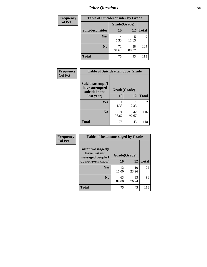| <b>Frequency</b> | <b>Table of Suicideconsider by Grade</b> |              |             |              |
|------------------|------------------------------------------|--------------|-------------|--------------|
| <b>Col Pct</b>   |                                          | Grade(Grade) |             |              |
|                  | Suicideconsider                          | <b>10</b>    | 12          | <b>Total</b> |
|                  | <b>Yes</b>                               | 4<br>5.33    | 11.63       | 9            |
|                  | N <sub>0</sub>                           | 71<br>94.67  | 38<br>88.37 | 109          |
|                  | <b>Total</b>                             | 75           | 43          | 118          |

| Frequency      | <b>Table of Suicideattempt by Grade</b>              |              |             |                |
|----------------|------------------------------------------------------|--------------|-------------|----------------|
| <b>Col Pct</b> | Suicideattempt(I<br>have attempted<br>suicide in the | Grade(Grade) |             |                |
|                | last year)                                           | 10           | 12          | <b>Total</b>   |
|                | Yes                                                  | 1.33         | 2.33        | $\mathfrak{D}$ |
|                | $\bf No$                                             | 74<br>98.67  | 42<br>97.67 | 116            |
|                | <b>Total</b>                                         | 75           | 43          | 118            |

| Frequency      | <b>Table of Instantmessaged by Grade</b>               |              |             |              |
|----------------|--------------------------------------------------------|--------------|-------------|--------------|
| <b>Col Pct</b> | Instantmessaged(I<br>have instant<br>messaged people I | Grade(Grade) |             |              |
|                | do not even know)                                      | 10           | 12          | <b>Total</b> |
|                | <b>Yes</b>                                             | 12<br>16.00  | 10<br>23.26 | 22           |
|                | N <sub>0</sub>                                         | 63<br>84.00  | 33<br>76.74 | 96           |
|                | <b>Total</b>                                           | 75           | 43          | 118          |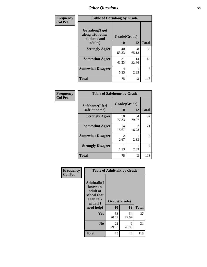| Frequency      | <b>Table of Getsalong by Grade</b>                                     |                    |             |              |
|----------------|------------------------------------------------------------------------|--------------------|-------------|--------------|
| <b>Col Pct</b> | <b>Getsalong</b> (I get<br>along with other<br>students and<br>adults) | Grade(Grade)<br>10 | 12          | <b>Total</b> |
|                | <b>Strongly Agree</b>                                                  | 40<br>53.33        | 28<br>65.12 | 68           |
|                | <b>Somewhat Agree</b>                                                  | 31<br>41.33        | 14<br>32.56 | 45           |
|                | <b>Somewhat Disagree</b>                                               | 4<br>5.33          | 2.33        | 5            |
|                | <b>Total</b>                                                           | 75                 | 43          | 118          |

| Frequency<br>Col Pct |  |
|----------------------|--|

| <b>Table of Safehome by Grade</b> |                        |              |               |  |  |
|-----------------------------------|------------------------|--------------|---------------|--|--|
| Safehome(I feel<br>safe at home)  | Grade(Grade)<br>10     | <b>Total</b> |               |  |  |
| <b>Strongly Agree</b>             | 58<br>77.33            | 34<br>79.07  | 92            |  |  |
| <b>Somewhat Agree</b>             | 14<br>18.67            | 16.28        | 21            |  |  |
| <b>Somewhat Disagree</b>          | $\mathfrak{D}$<br>2.67 | 2.33         | 3             |  |  |
| <b>Strongly Disagree</b>          | 1.33                   | 2.33         | $\mathcal{L}$ |  |  |
| <b>Total</b>                      | 75                     | 43           | 118           |  |  |

| Frequency      |                                                                                                   | <b>Table of Adulttalk by Grade</b> |             |              |
|----------------|---------------------------------------------------------------------------------------------------|------------------------------------|-------------|--------------|
| <b>Col Pct</b> | <b>Adulttalk(I</b><br>know an<br>adult at<br>school that<br>I can talk<br>with if I<br>need help) | Grade(Grade)<br>10                 | 12          | <b>Total</b> |
|                | <b>Yes</b>                                                                                        | 53<br>70.67                        | 34<br>79.07 | 87           |
|                | N <sub>0</sub>                                                                                    | 22<br>29.33                        | 9<br>20.93  | 31           |
|                | <b>Total</b>                                                                                      | 75                                 | 43          | 118          |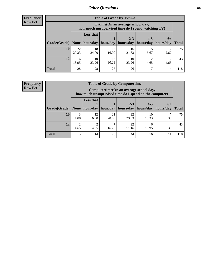**Frequency Row Pct**

| <b>Table of Grade by Tvtime</b> |             |                                                                                                                                                                                                                             |             |             |      |      |     |  |  |
|---------------------------------|-------------|-----------------------------------------------------------------------------------------------------------------------------------------------------------------------------------------------------------------------------|-------------|-------------|------|------|-----|--|--|
|                                 |             | Tvtime(On an average school day,<br>how much unsupervised time do I spend watching TV)<br><b>Less that</b><br>$2 - 3$<br>$4 - 5$<br>$6+$<br>hour/day<br>hours/day<br>  hours/day<br>hour/day<br>  hours/day<br><b>Total</b> |             |             |      |      |     |  |  |
| Grade(Grade)   None             |             |                                                                                                                                                                                                                             |             |             |      |      |     |  |  |
| 10                              | 22<br>29.33 | 18<br>24.00                                                                                                                                                                                                                 | 12<br>16.00 | 16<br>21.33 | 6.67 | 2.67 | 75  |  |  |
| 12                              | 6<br>13.95  | 10<br>23.26                                                                                                                                                                                                                 | 13<br>30.23 | 10<br>23.26 | 4.65 | 4.65 | 43  |  |  |
| <b>Total</b>                    | 28          | 28                                                                                                                                                                                                                          | 25          | 26          |      | 4    | 118 |  |  |

**Frequency Row Pct**

| <b>Table of Grade by Computertime</b> |                        |                                                                                                                               |             |             |             |      |     |  |  |
|---------------------------------------|------------------------|-------------------------------------------------------------------------------------------------------------------------------|-------------|-------------|-------------|------|-----|--|--|
|                                       |                        | Computertime (On an average school day,<br>how much unsupervised time do I spend on the computer)                             |             |             |             |      |     |  |  |
| Grade(Grade)                          | None                   | <b>Less that</b><br>$2 - 3$<br>$4 - 5$<br>$6+$<br>hour/day<br>hours/day<br>hours/day<br>hour/day<br>hours/day<br><b>Total</b> |             |             |             |      |     |  |  |
| 10                                    | 3<br>4.00              | 12<br>16.00                                                                                                                   | 21<br>28.00 | 22<br>29.33 | 10<br>13.33 | 9.33 | 75  |  |  |
| 12                                    | $\overline{c}$<br>4.65 | 22<br>2<br>6<br>9.30<br>4.65<br>16.28<br>51.16<br>13.95                                                                       |             |             |             |      |     |  |  |
| <b>Total</b>                          | 5                      | 14                                                                                                                            | 28          | 44          | 16          | 11   | 118 |  |  |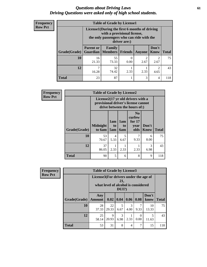### *Questions about Driving Laws* **61** *Driving Questions were asked only of high school students.*

| <b>Frequency</b> |
|------------------|
| <b>Row Pct</b>   |

| <b>Table of Grade by License1</b> |                                              |                                                                                                                                           |         |                        |                                     |              |  |  |  |
|-----------------------------------|----------------------------------------------|-------------------------------------------------------------------------------------------------------------------------------------------|---------|------------------------|-------------------------------------|--------------|--|--|--|
|                                   |                                              | License1(During the first 6 months of driving<br>with a provisional license,<br>the only passengers who can ride with the<br>driver are:) |         |                        |                                     |              |  |  |  |
| Grade(Grade)                      | <b>Parent or</b>                             | Family<br><b>Guardian</b>   Members                                                                                                       | Friends | <b>Anyone</b>          | Don't<br><b>Know</b>                | <b>Total</b> |  |  |  |
| 10                                | 16<br>21.33                                  | 55<br>73.33                                                                                                                               | 0.00    | $\mathfrak{D}$<br>2.67 | $\mathcal{D}_{\mathcal{A}}$<br>2.67 | 75           |  |  |  |
| 12                                | 32<br>2.33<br>74.42<br>2.33<br>16.28<br>4.65 |                                                                                                                                           |         |                        |                                     |              |  |  |  |
| Total                             | 23                                           | 87                                                                                                                                        |         | 3                      | 4                                   |              |  |  |  |

| <b>Frequency</b> | <b>Table of Grade by License2</b> |                                                                                                          |                              |                                     |                                                      |                      |              |
|------------------|-----------------------------------|----------------------------------------------------------------------------------------------------------|------------------------------|-------------------------------------|------------------------------------------------------|----------------------|--------------|
| <b>Row Pct</b>   |                                   | License2(17 yr old drivers with a<br>provisional driver's license cannot<br>drive between the hours of:) |                              |                                     |                                                      |                      |              |
|                  | Grade(Grade)                      | <b>Midnight</b><br>to 6am                                                                                | 1am<br>t <sub>0</sub><br>5am | 1am<br>t <sub>0</sub><br><b>6am</b> | N <sub>0</sub><br>curfew<br>for $17$<br>year<br>olds | Don't<br><b>Know</b> | <b>Total</b> |
|                  | 10                                | 53<br>70.67                                                                                              | 4<br>5.33                    | 5<br>6.67                           | 7<br>9.33                                            | 6<br>8.00            | 75           |
|                  | 12                                | 37<br>86.05                                                                                              | 2.33                         | 2.33                                | 2.33                                                 | 3<br>6.98            | 43           |
|                  | <b>Total</b>                      | 90                                                                                                       | 5                            | 6                                   | 8                                                    | 9                    | 118          |

| <b>Frequency</b> |              | <b>Table of Grade by License3</b>     |                                     |                 |                       |                  |               |              |  |  |
|------------------|--------------|---------------------------------------|-------------------------------------|-----------------|-----------------------|------------------|---------------|--------------|--|--|
| <b>Row Pct</b>   |              | License3(For drivers under the age of | what level of alcohol is considered | 21,<br>$DUI$ ?) |                       |                  |               |              |  |  |
|                  | Grade(Grade) | Any<br><b>Amount</b>                  | $0.02 \mid 0.04$                    |                 | 0.06                  | 0.08             | Don't<br>know | <b>Total</b> |  |  |
|                  | 10           | 28<br>37.33                           | 22<br>29.33                         | 5<br>6.67       | $\mathcal{R}$<br>4.00 | 7<br>9.33        | 10<br>13.33   | 75           |  |  |
|                  | 12           | 25<br>58.14                           | 9<br>20.93                          | 3<br>6.98       | 2.33                  | $\Omega$<br>0.00 | 5<br>11.63    | 43           |  |  |
|                  | <b>Total</b> | 53                                    | 31                                  | 8               | $\overline{4}$        | 7                | 15            | 118          |  |  |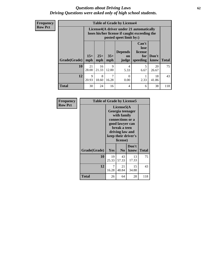### *Questions about Driving Laws* **62** *Driving Questions were asked only of high school students.*

**Frequency Row Pct**

|              |              |                                                                                                                               |            | <b>Table of Grade by License4</b> |           |             |              |
|--------------|--------------|-------------------------------------------------------------------------------------------------------------------------------|------------|-----------------------------------|-----------|-------------|--------------|
|              |              | License4(A driver under 21 automatically<br>loses his/her license if caught exceeding the<br>posted speet limit by:)          |            |                                   |           |             |              |
| Grade(Grade) | $15+$<br>mph | Can't<br>lose<br><b>Depends</b><br>license<br>$25+$<br>$35+$<br>Don't<br>for<br>on<br>mph<br>mph<br>speeding<br>know<br>judge |            |                                   |           |             | <b>Total</b> |
| 10           | 21<br>28.00  | 16<br>21.33                                                                                                                   | 9<br>12.00 | $\overline{4}$<br>5.33            | 5<br>6.67 | 20<br>26.67 | 75           |
| 12           | 9<br>20.93   | 8<br>18.60                                                                                                                    | 7<br>16.28 | $\Omega$<br>0.00                  | 2.33      | 18<br>41.86 | 43           |
| <b>Total</b> | 30           | 24                                                                                                                            | 16         | 4                                 | 6         | 38          | 118          |

| Frequency      | <b>Table of Grade by License5</b> |             |                                                                                                                                      |                     |              |
|----------------|-----------------------------------|-------------|--------------------------------------------------------------------------------------------------------------------------------------|---------------------|--------------|
| <b>Row Pct</b> |                                   |             | License5(A)<br>Georgia teenager<br>with family<br>connections or a<br>good lawyer can<br>break a teen<br>driving law and<br>license) | keep their driver's |              |
|                | Grade(Grade)                      | Yes         | N <sub>0</sub>                                                                                                                       | Don't<br>know       | <b>Total</b> |
|                | 10                                | 19<br>25.33 | 43<br>57.33                                                                                                                          | 13<br>17.33         | 75           |
|                | 12                                | 7<br>16.28  | 21<br>48.84                                                                                                                          | 15<br>34.88         | 43           |
|                | <b>Total</b>                      | 26          | 64                                                                                                                                   | 28                  | 118          |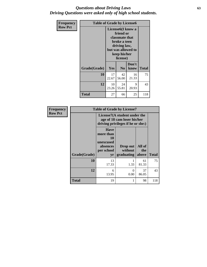### *Questions about Driving Laws* **63** *Driving Questions were asked only of high school students.*

| Frequency      | <b>Table of Grade by License6</b> |                                          |                                                                                                                                                 |             |     |  |
|----------------|-----------------------------------|------------------------------------------|-------------------------------------------------------------------------------------------------------------------------------------------------|-------------|-----|--|
| <b>Row Pct</b> |                                   |                                          | License <sub>6</sub> (I know a<br>friend or<br>classmate that<br>broke a teen<br>driving law,<br>but was allowed to<br>keep his/her<br>license) |             |     |  |
|                | Grade(Grade)                      | Yes                                      | Don't<br>N <sub>0</sub><br>know                                                                                                                 |             |     |  |
|                | 10                                | 17<br>22.67                              | 42<br>56.00                                                                                                                                     | 16<br>21.33 | 75  |  |
|                | 12                                | 10<br>9<br>24<br>20.93<br>55.81<br>23.26 |                                                                                                                                                 |             | 43  |  |
|                | Total                             | 27                                       | 66                                                                                                                                              | 25          | 118 |  |

| Frequency      | <b>Table of Grade by License7</b> |                                                                       |                                                                                                  |               |              |  |  |  |
|----------------|-----------------------------------|-----------------------------------------------------------------------|--------------------------------------------------------------------------------------------------|---------------|--------------|--|--|--|
| <b>Row Pct</b> |                                   |                                                                       | License7(A student under the<br>age of 18 cam loser his/her<br>driving privileges if he or she:) |               |              |  |  |  |
|                |                                   | <b>Have</b><br>more than<br>10<br>unexcused<br>absences<br>per school | Drop out<br>without                                                                              | All of<br>the |              |  |  |  |
|                | Grade(Grade)                      | yr                                                                    | graduating                                                                                       | above         | <b>Total</b> |  |  |  |
|                | 10                                | 13<br>17.33                                                           | 1.33                                                                                             | 61<br>81.33   | 75           |  |  |  |
|                | 12                                | 6<br>13.95                                                            | $\mathbf{0}$<br>0.00                                                                             | 37<br>86.05   | 43           |  |  |  |
|                | <b>Total</b>                      | 19                                                                    |                                                                                                  | 98            | 118          |  |  |  |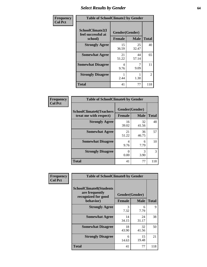# *Select Results by Gender* **64**

| Frequency      | <b>Table of SchoolClimate2 by Gender</b>          |                                 |             |                |  |  |
|----------------|---------------------------------------------------|---------------------------------|-------------|----------------|--|--|
| <b>Col Pct</b> | SchoolClimate2(I<br>feel successful at<br>school) | Gender(Gender)<br><b>Female</b> | <b>Male</b> | <b>Total</b>   |  |  |
|                | <b>Strongly Agree</b>                             | 15<br>36.59                     | 25<br>32.47 | 40             |  |  |
|                | <b>Somewhat Agree</b>                             | 21<br>51.22                     | 44<br>57.14 | 65             |  |  |
|                | <b>Somewhat Disagree</b>                          | 4<br>9.76                       | 9.09        | 11             |  |  |
|                | <b>Strongly Disagree</b>                          | 2.44                            | 1.30        | $\overline{2}$ |  |  |
|                | <b>Total</b>                                      | 41                              | 77          | 118            |  |  |

| Frequency      | <b>Table of SchoolClimate6 by Gender</b>                 |                                 |             |               |  |  |
|----------------|----------------------------------------------------------|---------------------------------|-------------|---------------|--|--|
| <b>Col Pct</b> | <b>SchoolClimate6(Teachers</b><br>treat me with respect) | Gender(Gender)<br><b>Female</b> | <b>Male</b> | <b>Total</b>  |  |  |
|                | <b>Strongly Agree</b>                                    | 16<br>39.02                     | 32<br>41.56 | 48            |  |  |
|                | <b>Somewhat Agree</b>                                    | 21<br>51.22                     | 36<br>46.75 | 57            |  |  |
|                | <b>Somewhat Disagree</b>                                 | 4<br>9.76                       | 6<br>7.79   | 10            |  |  |
|                | <b>Strongly Disagree</b>                                 | 0<br>0.00                       | 3<br>3.90   | $\mathcal{R}$ |  |  |
|                | <b>Total</b>                                             | 41                              | 77          | 118           |  |  |

| Frequency      | <b>Table of SchoolClimate8 by Gender</b>                                             |                                 |             |              |
|----------------|--------------------------------------------------------------------------------------|---------------------------------|-------------|--------------|
| <b>Col Pct</b> | <b>SchoolClimate8(Students</b><br>are frequently<br>recognized for good<br>behavior) | Gender(Gender)<br><b>Female</b> | <b>Male</b> | <b>Total</b> |
|                | <b>Strongly Agree</b>                                                                | 3                               | 6           | 9            |
|                |                                                                                      | 7.32                            | 7.79        |              |
|                | <b>Somewhat Agree</b>                                                                | 14<br>34.15                     | 24<br>31.17 | 38           |
|                | <b>Somewhat Disagree</b>                                                             | 18<br>43.90                     | 32<br>41.56 | 50           |
|                | <b>Strongly Disagree</b>                                                             | 6<br>14.63                      | 15<br>19.48 | 21           |
|                | Total                                                                                | 41                              | 77          | 118          |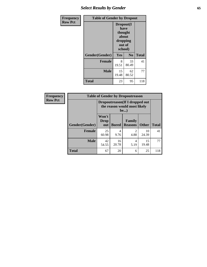# *Select Results by Gender* **65**

| Frequency      | <b>Table of Gender by Dropout</b> |                                                                        |                |              |
|----------------|-----------------------------------|------------------------------------------------------------------------|----------------|--------------|
| <b>Row Pct</b> |                                   | Dropout(I<br>have<br>thought<br>about<br>dropping<br>out of<br>school) |                |              |
|                | Gender(Gender)                    | Yes                                                                    | N <sub>0</sub> | <b>Total</b> |
|                | <b>Female</b>                     | 8<br>19.51                                                             | 33<br>80.49    | 41           |
|                | <b>Male</b>                       | 15<br>19.48                                                            | 62<br>80.52    | 77           |
|                | <b>Total</b>                      | 23                                                                     | 95             | 118          |

| Frequency      | <b>Table of Gender by Dropoutreason</b> |                                                                       |              |                                 |              |              |
|----------------|-----------------------------------------|-----------------------------------------------------------------------|--------------|---------------------------------|--------------|--------------|
| <b>Row Pct</b> |                                         | Dropoutreason (If I dropped out<br>the reason would most likely<br>be |              |                                 |              |              |
|                | Gender(Gender)                          | Won't<br><b>Drop</b><br>out                                           | <b>Bored</b> | <b>Family</b><br><b>Reasons</b> | <b>Other</b> | <b>Total</b> |
|                | <b>Female</b>                           | 25<br>60.98                                                           | 4<br>9.76    | 4.88                            | 10<br>24.39  | 41           |
|                | <b>Male</b>                             | 42<br>54.55                                                           | 16<br>20.78  | 4<br>5.19                       | 15<br>19.48  | 77           |
|                | <b>Total</b>                            | 67                                                                    | 20           | 6                               | 25           | 118          |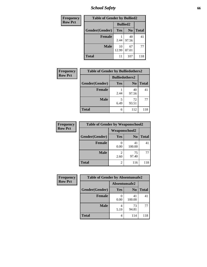*School Safety* **66**

| Frequency      | <b>Table of Gender by Bullied2</b> |                 |                |              |
|----------------|------------------------------------|-----------------|----------------|--------------|
| <b>Row Pct</b> |                                    | <b>Bullied2</b> |                |              |
|                | Gender(Gender)                     | Yes             | N <sub>0</sub> | <b>Total</b> |
|                | <b>Female</b>                      | 2.44            | 40<br>97.56    | 41           |
|                | <b>Male</b>                        | 10<br>12.99     | 67<br>87.01    | 77           |
|                | <b>Total</b>                       | 11              | 107            | 118          |

| <b>Frequency</b> | <b>Table of Gender by Bulliedothers2</b> |                       |                |              |
|------------------|------------------------------------------|-----------------------|----------------|--------------|
| <b>Row Pct</b>   |                                          | <b>Bulliedothers2</b> |                |              |
|                  | Gender(Gender)                           | Yes                   | N <sub>0</sub> | <b>Total</b> |
|                  | <b>Female</b>                            | 2.44                  | 40<br>97.56    | 41           |
|                  | <b>Male</b>                              | 5<br>6.49             | 72<br>93.51    | 77           |
|                  | Total                                    | 6                     | 112            | 118          |

| Frequency      | <b>Table of Gender by Weaponschool2</b> |                      |                |              |
|----------------|-----------------------------------------|----------------------|----------------|--------------|
| <b>Row Pct</b> |                                         | <b>Weaponschool2</b> |                |              |
|                | Gender(Gender)                          | Yes                  | N <sub>0</sub> | <b>Total</b> |
|                | <b>Female</b>                           | 0.00                 | 41<br>100.00   | 41           |
|                | <b>Male</b>                             | 2.60                 | 75<br>97.40    | 77           |
|                | <b>Total</b>                            | 2                    | 116            | 118          |

| Frequency      | <b>Table of Gender by Absentunsafe2</b> |               |                |              |
|----------------|-----------------------------------------|---------------|----------------|--------------|
| <b>Row Pct</b> |                                         | Absentunsafe2 |                |              |
|                | Gender(Gender)                          | Yes           | N <sub>0</sub> | <b>Total</b> |
|                | <b>Female</b>                           | 0.00          | 41<br>100.00   | 41           |
|                | <b>Male</b>                             | 4<br>5.19     | 73<br>94.81    | 77           |
|                | <b>Total</b>                            | 4             | 114            | 118          |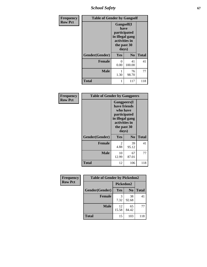*School Safety* **67**

| Frequency      | <b>Table of Gender by Gangself</b> |                                                                                                |                |              |
|----------------|------------------------------------|------------------------------------------------------------------------------------------------|----------------|--------------|
| <b>Row Pct</b> |                                    | Gangself(I<br>have<br>participated<br>in illegal gang<br>activities in<br>the past 30<br>days) |                |              |
|                | Gender(Gender)                     | Yes                                                                                            | N <sub>0</sub> | <b>Total</b> |
|                | <b>Female</b>                      | 0<br>0.00                                                                                      | 41<br>100.00   | 41           |
|                | <b>Male</b>                        | 1<br>1.30                                                                                      | 76<br>98.70    | 77           |
|                | <b>Total</b>                       |                                                                                                | 117            | 118          |

| Frequency      | <b>Table of Gender by Gangpeers</b> |                                                                                                                             |                |              |
|----------------|-------------------------------------|-----------------------------------------------------------------------------------------------------------------------------|----------------|--------------|
| <b>Row Pct</b> |                                     | <b>Gangpeers</b> (I<br>have friends<br>who have<br>participated<br>in illegal gang<br>activities in<br>the past 30<br>days) |                |              |
|                | Gender(Gender)                      | Yes                                                                                                                         | N <sub>0</sub> | <b>Total</b> |
|                | <b>Female</b>                       | 2<br>4.88                                                                                                                   | 39<br>95.12    | 41           |
|                | <b>Male</b>                         | 10<br>12.99                                                                                                                 | 67<br>87.01    | 77           |
|                | Total                               | 12                                                                                                                          | 106            | 118          |

| Frequency      | <b>Table of Gender by Pickedon2</b> |             |                |              |
|----------------|-------------------------------------|-------------|----------------|--------------|
| <b>Row Pct</b> |                                     | Pickedon2   |                |              |
|                | Gender(Gender)                      | <b>Yes</b>  | N <sub>0</sub> | <b>Total</b> |
|                | <b>Female</b>                       | 3<br>7.32   | 38<br>92.68    | 41           |
|                | <b>Male</b>                         | 12<br>15.58 | 65<br>84.42    | 77           |
|                | <b>Total</b>                        | 15          | 103            | 118          |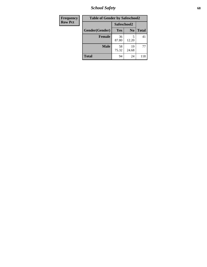*School Safety* **68**

| Frequency      | <b>Table of Gender by Safeschool2</b> |             |                |              |
|----------------|---------------------------------------|-------------|----------------|--------------|
| <b>Row Pct</b> |                                       | Safeschool2 |                |              |
|                | Gender(Gender)                        | Yes         | N <sub>0</sub> | <b>Total</b> |
|                | <b>Female</b>                         | 36<br>87.80 | 12.20          | 41           |
|                | <b>Male</b>                           | 58<br>75.32 | 19<br>24.68    | 77           |
|                | <b>Total</b>                          | 94          | 24             | 118          |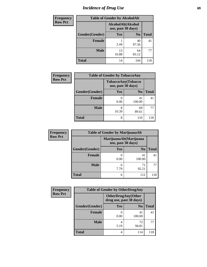# *Incidence of Drug Use* 69

| <b>Frequency</b> | <b>Table of Gender by AlcoholAlt</b> |                                          |                |              |  |
|------------------|--------------------------------------|------------------------------------------|----------------|--------------|--|
| <b>Row Pct</b>   |                                      | AlcoholAlt(Alcohol<br>use, past 30 days) |                |              |  |
|                  | Gender(Gender)                       | <b>Yes</b>                               | N <sub>0</sub> | <b>Total</b> |  |
|                  | <b>Female</b>                        | 2.44                                     | 40<br>97.56    | 41           |  |
|                  | <b>Male</b>                          | 13<br>16.88                              | 64<br>83.12    | 77           |  |
|                  | <b>Total</b>                         | 14                                       | 104            | 118          |  |

| <b>Frequency</b> | <b>Table of Gender by TobaccoAny</b> |                    |                    |              |
|------------------|--------------------------------------|--------------------|--------------------|--------------|
| <b>Row Pct</b>   |                                      | use, past 30 days) | TobaccoAny(Tobacco |              |
|                  | Gender(Gender)                       | Yes                | N <sub>0</sub>     | <b>Total</b> |
|                  | Female                               | 0.00               | 41<br>100.00       | 41           |
|                  | <b>Male</b>                          | 8<br>10.39         | 69<br>89.61        | 77           |
|                  | <b>Total</b>                         | 8                  | 110                | 118          |

| <b>Frequency</b> | <b>Table of Gender by MarijuanaAlt</b> |                    |                        |              |
|------------------|----------------------------------------|--------------------|------------------------|--------------|
| <b>Row Pct</b>   |                                        | use, past 30 days) | MarijuanaAlt(Marijuana |              |
|                  | Gender(Gender)                         | <b>Yes</b>         | N <sub>0</sub>         | <b>Total</b> |
|                  | Female                                 | 0.00               | 41<br>100.00           | 41           |
|                  | <b>Male</b>                            | 6<br>7.79          | 71<br>92.21            | 77           |
|                  | <b>Total</b>                           | 6                  | 112                    | 118          |

| <b>Frequency</b> | <b>Table of Gender by OtherDrugAny</b> |                                                      |                |              |
|------------------|----------------------------------------|------------------------------------------------------|----------------|--------------|
| <b>Row Pct</b>   |                                        | <b>OtherDrugAny(Other</b><br>drug use, past 30 days) |                |              |
|                  | Gender(Gender)                         | <b>Yes</b>                                           | N <sub>0</sub> | <b>Total</b> |
|                  | <b>Female</b>                          | 0.00                                                 | 41<br>100.00   | 41           |
|                  | <b>Male</b>                            | 4<br>5.19                                            | 73<br>94.81    | 77           |
|                  | <b>Total</b>                           | 4                                                    | 114            | 118          |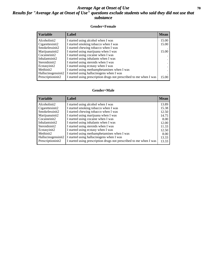### *Average Age at Onset of Use* 70 *Results for "Average Age at Onset of Use" questions exclude students who said they did not use that substance*

#### **Gender=Female**

| <b>Variable</b>    | Label                                                              | <b>Mean</b> |
|--------------------|--------------------------------------------------------------------|-------------|
| Alcoholinit2       | I started using alcohol when I was                                 | 15.00       |
| Cigarettesinit2    | I started smoking tobacco when I was                               | 15.00       |
| Smokelessinit2     | I started chewing tobacco when I was                               |             |
| Marijuanainit2     | I started using marijuana when I was                               | 15.00       |
| Cocaineinit2       | I started using cocaine when I was                                 |             |
| Inhalantsinit2     | I started using inhalants when I was                               |             |
| Steroidsinit2      | I started using steroids when I was                                |             |
| Ecstasyinit2       | I started using ecstasy when I was                                 |             |
| Methinit2          | I started using methamphetamines when I was                        |             |
| Hallucinogensinit2 | I started using hallucinogens when I was                           |             |
| Prescription in t2 | I started using prescription drugs not prescribed to me when I was | 15.00       |

#### **Gender=Male**

| <b>Variable</b>    | Label                                                              | <b>Mean</b> |
|--------------------|--------------------------------------------------------------------|-------------|
| Alcoholinit2       | I started using alcohol when I was                                 | 13.89       |
| Cigarettesinit2    | I started smoking tobacco when I was                               | 15.38       |
| Smokelessinit2     | I started chewing tobacco when I was                               | 12.50       |
| Marijuanainit2     | I started using marijuana when I was                               | 14.75       |
| Cocaineinit2       | I started using cocaine when I was                                 | 8.00        |
| Inhalantsinit2     | I started using inhalants when I was                               | 12.00       |
| Steroidsinit2      | I started using steroids when I was                                | 11.33       |
| Ecstasyinit2       | I started using ecstasy when I was                                 | 12.50       |
| Methinit2          | I started using methamphetamines when I was                        | 8.00        |
| Hallucinogensinit2 | I started using hallucinogens when I was                           | 13.33       |
| Prescriptioninit2  | I started using prescription drugs not prescribed to me when I was | 13.33       |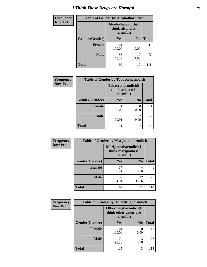# *I Think These Drugs are Harmful* **71**

| <b>Frequency</b> | <b>Table of Gender by Alcoholharmdich</b> |                                                   |                |              |
|------------------|-------------------------------------------|---------------------------------------------------|----------------|--------------|
| <b>Row Pct</b>   |                                           | Alcoholharmdich(I<br>think alcohol is<br>harmful) |                |              |
|                  | Gender(Gender)                            | <b>Yes</b>                                        | N <sub>0</sub> | <b>Total</b> |
|                  | <b>Female</b>                             | 41<br>100.00                                      | 0<br>0.00      | 41           |
|                  | <b>Male</b>                               | 58<br>75.32                                       | 19<br>24.68    | 77           |
|                  | <b>Total</b>                              | 99                                                | 19             | 118          |

| Frequency      | <b>Table of Gender by Tobaccoharmdich</b> |                              |                   |              |
|----------------|-------------------------------------------|------------------------------|-------------------|--------------|
| <b>Row Pct</b> |                                           | think tobacco is<br>harmful) | Tobaccoharmdich(I |              |
|                | Gender(Gender)                            | Yes                          | N <sub>0</sub>    | <b>Total</b> |
|                | <b>Female</b>                             | 41<br>100.00                 | 0.00              | 41           |
|                | <b>Male</b>                               | 70<br>90.91                  | 9.09              | 77           |
|                | <b>Total</b>                              | 111                          | 7                 | 118          |

| Frequency      | <b>Table of Gender by Marijuanaharmdich</b> |                                |                     |              |  |
|----------------|---------------------------------------------|--------------------------------|---------------------|--------------|--|
| <b>Row Pct</b> |                                             | think marijuana is<br>harmful) | Marijuanaharmdich(I |              |  |
|                | Gender(Gender)                              | <b>Yes</b>                     | N <sub>0</sub>      | <b>Total</b> |  |
|                | <b>Female</b>                               | 37<br>90.24                    | 4<br>9.76           | 41           |  |
|                | <b>Male</b>                                 | 50<br>64.94                    | 27<br>35.06         | 77           |  |
|                | <b>Total</b>                                | 87                             | 31                  | 118          |  |

| Frequency      | <b>Table of Gender by Otherdrugharmdich</b> |                                   |                     |              |  |
|----------------|---------------------------------------------|-----------------------------------|---------------------|--------------|--|
| <b>Row Pct</b> |                                             | think other drugs are<br>harmful) | Otherdrugharmdich(I |              |  |
|                | Gender(Gender)                              | <b>Yes</b>                        | N <sub>0</sub>      | <b>Total</b> |  |
|                | <b>Female</b>                               | 41<br>100.00                      | 0<br>0.00           | 41           |  |
|                | <b>Male</b>                                 | 74<br>96.10                       | 3<br>3.90           | 77           |  |
|                | <b>Total</b>                                | 115                               | 3                   | 118          |  |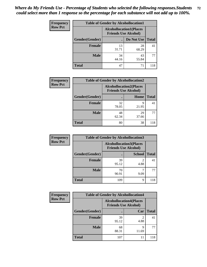| <b>Frequency</b> | <b>Table of Gender by Alcohollocation1</b> |                                                               |             |              |
|------------------|--------------------------------------------|---------------------------------------------------------------|-------------|--------------|
| <b>Row Pct</b>   |                                            | <b>Alcohollocation1(Places</b><br><b>Friends Use Alcohol)</b> |             |              |
|                  | Gender(Gender)                             |                                                               | Do Not Use  | <b>Total</b> |
|                  | <b>Female</b>                              | 13<br>31.71                                                   | 28<br>68.29 | 41           |
|                  | <b>Male</b>                                | 34<br>44.16                                                   | 43<br>55.84 | 77           |
|                  | Total                                      | 47                                                            | 71          | 118          |

| <b>Frequency</b> | <b>Table of Gender by Alcohollocation2</b> |                                                               |             |              |
|------------------|--------------------------------------------|---------------------------------------------------------------|-------------|--------------|
| <b>Row Pct</b>   |                                            | <b>Alcohollocation2(Places</b><br><b>Friends Use Alcohol)</b> |             |              |
|                  | Gender(Gender)                             |                                                               | Home        | <b>Total</b> |
|                  | <b>Female</b>                              | 32<br>78.05                                                   | q<br>21.95  | 41           |
|                  | <b>Male</b>                                | 48<br>62.34                                                   | 29<br>37.66 | 77           |
|                  | <b>Total</b>                               | 80                                                            | 38          | 118          |

| Frequency      |                | <b>Table of Gender by Alcohollocation3</b>                    |               |              |
|----------------|----------------|---------------------------------------------------------------|---------------|--------------|
| <b>Row Pct</b> |                | <b>Alcohollocation3(Places</b><br><b>Friends Use Alcohol)</b> |               |              |
|                | Gender(Gender) |                                                               | <b>School</b> | <b>Total</b> |
|                | <b>Female</b>  | 39<br>95.12                                                   | 4.88          | 41           |
|                | <b>Male</b>    | 70<br>90.91                                                   | 9.09          | 77           |
|                | <b>Total</b>   | 109                                                           | 9             | 118          |

| Frequency      | <b>Table of Gender by Alcohollocation4</b> |                                                               |            |              |
|----------------|--------------------------------------------|---------------------------------------------------------------|------------|--------------|
| <b>Row Pct</b> |                                            | <b>Alcohollocation4(Places</b><br><b>Friends Use Alcohol)</b> |            |              |
|                | Gender(Gender)                             |                                                               | Car        | <b>Total</b> |
|                | <b>Female</b>                              | 39<br>95.12                                                   | 4.88       | 41           |
|                | <b>Male</b>                                | 68<br>88.31                                                   | q<br>11.69 | 77           |
|                | <b>Total</b>                               | 107                                                           | 11         | 118          |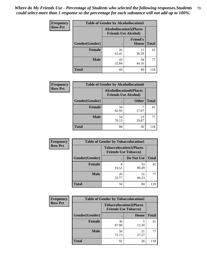| <b>Frequency</b> |                                                                | <b>Table of Gender by Alcohollocation5</b> |                          |              |
|------------------|----------------------------------------------------------------|--------------------------------------------|--------------------------|--------------|
| <b>Row Pct</b>   | <b>Alcohollocation5</b> (Places<br><b>Friends Use Alcohol)</b> |                                            |                          |              |
|                  | Gender(Gender)                                                 | $\bullet$                                  | <b>Friend's</b><br>House | <b>Total</b> |
|                  | <b>Female</b>                                                  | 26<br>63.41                                | 15<br>36.59              | 41           |
|                  | <b>Male</b>                                                    | 43<br>55.84                                | 34<br>44.16              | 77           |
|                  | <b>Total</b>                                                   | 69                                         | 49                       | 118          |

| <b>Frequency</b> | <b>Table of Gender by Alcohollocation6</b> |                                                               |              |              |
|------------------|--------------------------------------------|---------------------------------------------------------------|--------------|--------------|
| <b>Row Pct</b>   |                                            | <b>Alcohollocation6(Places</b><br><b>Friends Use Alcohol)</b> |              |              |
|                  | Gender(Gender)                             |                                                               | <b>Other</b> | <b>Total</b> |
|                  | <b>Female</b>                              | 34<br>82.93                                                   | 17.07        | 41           |
|                  | <b>Male</b>                                | 54<br>70.13                                                   | 23<br>29.87  | 77           |
|                  | <b>Total</b>                               | 88                                                            | 30           | 118          |

| Frequency      | <b>Table of Gender by Tobaccolocation1</b> |                                                               |             |              |  |
|----------------|--------------------------------------------|---------------------------------------------------------------|-------------|--------------|--|
| <b>Row Pct</b> |                                            | <b>Tobaccolocation1(Places</b><br><b>Friends Use Tobacco)</b> |             |              |  |
|                | Gender(Gender)                             |                                                               | Do Not Use  | <b>Total</b> |  |
|                | Female                                     | 8<br>19.51                                                    | 33<br>80.49 | 41           |  |
|                | <b>Male</b>                                | 26<br>33.77                                                   | 51<br>66.23 | 77           |  |
|                | <b>Total</b>                               | 34                                                            | 84          | 118          |  |

| <b>Frequency</b> | <b>Table of Gender by Tobaccolocation2</b> |                                                               |             |              |  |
|------------------|--------------------------------------------|---------------------------------------------------------------|-------------|--------------|--|
| <b>Row Pct</b>   |                                            | <b>Tobaccolocation2(Places</b><br><b>Friends Use Tobacco)</b> |             |              |  |
|                  | Gender(Gender)                             |                                                               | <b>Home</b> | <b>Total</b> |  |
|                  | Female                                     | 36<br>87.80                                                   | 12.20       | 41           |  |
|                  | <b>Male</b>                                | 56<br>72.73                                                   | 21<br>27.27 | 77           |  |
|                  | <b>Total</b>                               | 92                                                            | 26          | 118          |  |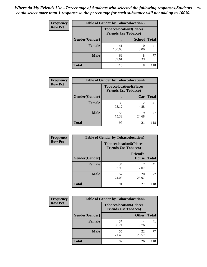| <b>Frequency</b> | <b>Table of Gender by Tobaccolocation3</b> |              |                                                               |              |  |
|------------------|--------------------------------------------|--------------|---------------------------------------------------------------|--------------|--|
| <b>Row Pct</b>   |                                            |              | <b>Tobaccolocation3(Places</b><br><b>Friends Use Tobacco)</b> |              |  |
|                  | Gender(Gender)                             |              | <b>School</b>                                                 | <b>Total</b> |  |
|                  | <b>Female</b>                              | 41<br>100.00 | 0.00                                                          | 41           |  |
|                  | <b>Male</b>                                | 69<br>89.61  | 8<br>10.39                                                    | 77           |  |
|                  | <b>Total</b>                               | 110          | 8                                                             | 118          |  |

| <b>Frequency</b> | <b>Table of Gender by Tobaccolocation4</b> |                                                               |                        |              |
|------------------|--------------------------------------------|---------------------------------------------------------------|------------------------|--------------|
| <b>Row Pct</b>   |                                            | <b>Tobaccolocation4(Places</b><br><b>Friends Use Tobacco)</b> |                        |              |
|                  | Gender(Gender)                             |                                                               | Car                    | <b>Total</b> |
|                  | <b>Female</b>                              | 39<br>95.12                                                   | $\mathfrak{D}$<br>4.88 | 41           |
|                  | <b>Male</b>                                | 58<br>75.32                                                   | 19<br>24.68            | 77           |
|                  | <b>Total</b>                               | 97                                                            | 21                     | 118          |

| <b>Frequency</b> | <b>Table of Gender by Tobaccolocation5</b> |                             |                                 |              |
|------------------|--------------------------------------------|-----------------------------|---------------------------------|--------------|
| <b>Row Pct</b>   |                                            | <b>Friends Use Tobacco)</b> | <b>Tobaccolocation5(Places</b>  |              |
|                  | Gender(Gender)                             |                             | <b>Friend's</b><br><b>House</b> | <b>Total</b> |
|                  | Female                                     | 34<br>82.93                 | 17.07                           | 41           |
|                  | <b>Male</b>                                | 57<br>74.03                 | 20<br>25.97                     | 77           |
|                  | <b>Total</b>                               | 91                          | 27                              | 118          |

| <b>Frequency</b> | <b>Table of Gender by Tobaccolocation6</b> |                             |                                |              |
|------------------|--------------------------------------------|-----------------------------|--------------------------------|--------------|
| <b>Row Pct</b>   |                                            | <b>Friends Use Tobacco)</b> | <b>Tobaccolocation6(Places</b> |              |
|                  | Gender(Gender)                             |                             | <b>Other</b>                   | <b>Total</b> |
|                  | Female                                     | 37<br>90.24                 | 9.76                           | 41           |
|                  | <b>Male</b>                                | 55<br>71.43                 | 22<br>28.57                    | 77           |
|                  | <b>Total</b>                               | 92                          | 26                             | 118          |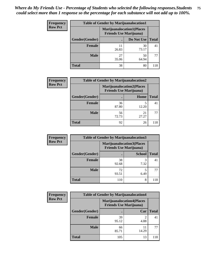| <b>Frequency</b> | <b>Table of Gender by Marijuanalocation1</b> |                                                                    |             |              |  |
|------------------|----------------------------------------------|--------------------------------------------------------------------|-------------|--------------|--|
| <b>Row Pct</b>   |                                              | <b>Marijuanalocation1(Places</b><br><b>Friends Use Marijuana</b> ) |             |              |  |
|                  | <b>Gender</b> (Gender)                       |                                                                    | Do Not Use  | <b>Total</b> |  |
|                  | <b>Female</b>                                | 11<br>26.83                                                        | 30<br>73.17 | 41           |  |
|                  | <b>Male</b>                                  | 27<br>35.06                                                        | 50<br>64.94 | 77           |  |
|                  | <b>Total</b>                                 | 38                                                                 | 80          | 118          |  |

| <b>Frequency</b> | <b>Table of Gender by Marijuanalocation2</b> |                                                                    |             |              |  |
|------------------|----------------------------------------------|--------------------------------------------------------------------|-------------|--------------|--|
| <b>Row Pct</b>   |                                              | <b>Marijuanalocation2(Places</b><br><b>Friends Use Marijuana</b> ) |             |              |  |
|                  | Gender(Gender)                               |                                                                    | Home        | <b>Total</b> |  |
|                  | <b>Female</b>                                | 36<br>87.80                                                        | 12.20       | 41           |  |
|                  | <b>Male</b>                                  | 56<br>72.73                                                        | 21<br>27.27 |              |  |
|                  | <b>Total</b>                                 | 92                                                                 | 26          | 118          |  |

| Frequency      |                | <b>Table of Gender by Marijuanalocation3</b> |                                  |              |
|----------------|----------------|----------------------------------------------|----------------------------------|--------------|
| <b>Row Pct</b> |                | <b>Friends Use Marijuana</b> )               | <b>Marijuanalocation3(Places</b> |              |
|                | Gender(Gender) |                                              | <b>School</b>                    | <b>Total</b> |
|                | Female         | 38<br>92.68                                  | 3<br>7.32                        | 41           |
|                | <b>Male</b>    | 72<br>93.51                                  | 5<br>6.49                        | 77           |
|                | <b>Total</b>   | 110                                          | 8                                | 118          |

| <b>Frequency</b> | <b>Table of Gender by Marijuanalocation4</b> |             |                                                                    |              |
|------------------|----------------------------------------------|-------------|--------------------------------------------------------------------|--------------|
| <b>Row Pct</b>   |                                              |             | <b>Marijuanalocation4(Places</b><br><b>Friends Use Marijuana</b> ) |              |
|                  | Gender(Gender)                               |             | Car                                                                | <b>Total</b> |
|                  | Female                                       | 39<br>95.12 | 4.88                                                               | 41           |
|                  | <b>Male</b>                                  | 66<br>85.71 | 14.29                                                              | 77           |
|                  | <b>Total</b>                                 | 105         | 13                                                                 | 118          |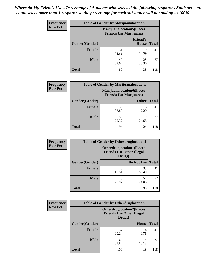| Frequency      | <b>Table of Gender by Marijuanalocation5</b> |             |                                                                     |              |
|----------------|----------------------------------------------|-------------|---------------------------------------------------------------------|--------------|
| <b>Row Pct</b> |                                              |             | <b>Marijuanalocation5</b> (Places<br><b>Friends Use Marijuana</b> ) |              |
|                | Gender(Gender)                               |             | <b>Friend's</b><br>House                                            | <b>Total</b> |
|                | <b>Female</b>                                | 31<br>75.61 | 10<br>24.39                                                         | 41           |
|                | <b>Male</b>                                  | 49<br>63.64 | 28<br>36.36                                                         | 77           |
|                | <b>Total</b>                                 | 80          | 38                                                                  | 118          |

| <b>Frequency</b> | <b>Table of Gender by Marijuanalocation6</b> |                                |                                  |              |
|------------------|----------------------------------------------|--------------------------------|----------------------------------|--------------|
| <b>Row Pct</b>   |                                              | <b>Friends Use Marijuana</b> ) | <b>Marijuanalocation6(Places</b> |              |
|                  | Gender(Gender)                               |                                | <b>Other</b>                     | <b>Total</b> |
|                  | <b>Female</b>                                | 36<br>87.80                    | 12.20                            | 41           |
|                  | <b>Male</b>                                  | 58<br>75.32                    | 19<br>24.68                      | 77           |
|                  | <b>Total</b>                                 | 94                             | 24                               | 118          |

| Frequency      | <b>Table of Gender by Otherdruglocation1</b> |                                                                                |             |              |
|----------------|----------------------------------------------|--------------------------------------------------------------------------------|-------------|--------------|
| <b>Row Pct</b> |                                              | <b>Otherdruglocation1(Places</b><br><b>Friends Use Other Illegal</b><br>Drugs) |             |              |
|                | Gender(Gender)                               |                                                                                | Do Not Use  | <b>Total</b> |
|                | <b>Female</b>                                | 8<br>19.51                                                                     | 33<br>80.49 | 41           |
|                | <b>Male</b>                                  | 20<br>25.97                                                                    | 57<br>74.03 | 77           |
|                | <b>Total</b>                                 | 28                                                                             | 90          | 118          |

| Frequency      | <b>Table of Gender by Otherdruglocation2</b> |                                                                                |             |              |
|----------------|----------------------------------------------|--------------------------------------------------------------------------------|-------------|--------------|
| <b>Row Pct</b> |                                              | <b>Otherdruglocation2(Places</b><br><b>Friends Use Other Illegal</b><br>Drugs) |             |              |
|                | Gender(Gender)                               |                                                                                | Home        | <b>Total</b> |
|                | Female                                       | 37<br>90.24                                                                    | 9.76        | 41           |
|                | <b>Male</b>                                  | 63<br>81.82                                                                    | 14<br>18.18 | 77           |
|                | <b>Total</b>                                 | 100                                                                            | 18          | 118          |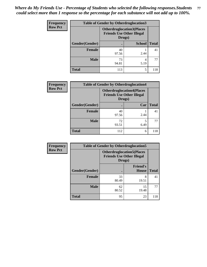| <b>Frequency</b> | <b>Table of Gender by Otherdruglocation3</b> |                                                                                |               |              |
|------------------|----------------------------------------------|--------------------------------------------------------------------------------|---------------|--------------|
| <b>Row Pct</b>   |                                              | <b>Otherdruglocation3(Places</b><br><b>Friends Use Other Illegal</b><br>Drugs) |               |              |
|                  | Gender(Gender)                               |                                                                                | <b>School</b> | <b>Total</b> |
|                  | <b>Female</b>                                | 40<br>97.56                                                                    | 2.44          | 41           |
|                  | <b>Male</b>                                  | 73<br>94.81                                                                    | 4<br>5.19     | 77           |
|                  | <b>Total</b>                                 | 113                                                                            | 5             | 118          |

| Frequency      | <b>Table of Gender by Otherdruglocation4</b> |                                            |                                  |              |
|----------------|----------------------------------------------|--------------------------------------------|----------------------------------|--------------|
| <b>Row Pct</b> |                                              | <b>Friends Use Other Illegal</b><br>Drugs) | <b>Otherdruglocation4(Places</b> |              |
|                | Gender(Gender)                               |                                            | Car                              | <b>Total</b> |
|                | Female                                       | 40<br>97.56                                | 2.44                             | 41           |
|                | <b>Male</b>                                  | 72<br>93.51                                | 5<br>6.49                        | 77           |
|                | <b>Total</b>                                 | 112                                        | 6                                | 118          |

| <b>Frequency</b> | <b>Table of Gender by Otherdruglocation5</b> |             |                                                                      |              |
|------------------|----------------------------------------------|-------------|----------------------------------------------------------------------|--------------|
| <b>Row Pct</b>   |                                              | Drugs)      | <b>Otherdruglocation5(Places</b><br><b>Friends Use Other Illegal</b> |              |
|                  | Gender(Gender)                               |             | <b>Friend's</b><br>House                                             | <b>Total</b> |
|                  | <b>Female</b>                                | 33<br>80.49 | 8<br>19.51                                                           | 41           |
|                  | <b>Male</b>                                  | 62<br>80.52 | 15<br>19.48                                                          | 77           |
|                  | <b>Total</b>                                 | 95          | 23                                                                   | 118          |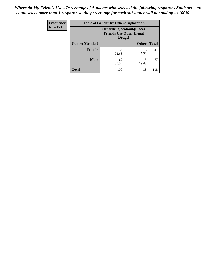| <b>Frequency</b> | <b>Table of Gender by Otherdruglocation6</b> |                                                                                |              |              |
|------------------|----------------------------------------------|--------------------------------------------------------------------------------|--------------|--------------|
| <b>Row Pct</b>   |                                              | <b>Otherdruglocation6(Places</b><br><b>Friends Use Other Illegal</b><br>Drugs) |              |              |
|                  | Gender(Gender)                               |                                                                                | <b>Other</b> | <b>Total</b> |
|                  | Female                                       | 38<br>92.68                                                                    | 7.32         | 41           |
|                  | <b>Male</b>                                  | 62<br>80.52                                                                    | 15<br>19.48  | 77           |
|                  | <b>Total</b>                                 | 100                                                                            | 18           | 118          |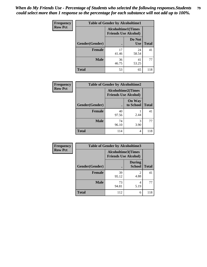| Frequency      | <b>Table of Gender by Alcoholtime1</b> |                                                          |                      |              |
|----------------|----------------------------------------|----------------------------------------------------------|----------------------|--------------|
| <b>Row Pct</b> |                                        | <b>Alcoholtime1(Times</b><br><b>Friends Use Alcohol)</b> |                      |              |
|                | Gender(Gender)                         | $\bullet$                                                | Do Not<br><b>Use</b> | <b>Total</b> |
|                | <b>Female</b>                          | 17<br>41.46                                              | 24<br>58.54          | 41           |
|                | <b>Male</b>                            | 36<br>46.75                                              | 41<br>53.25          | 77           |
|                | <b>Total</b>                           | 53                                                       | 65                   | 118          |

| Frequency      | <b>Table of Gender by Alcoholtime2</b> |                                                          |                            |              |
|----------------|----------------------------------------|----------------------------------------------------------|----------------------------|--------------|
| <b>Row Pct</b> |                                        | <b>Alcoholtime2(Times</b><br><b>Friends Use Alcohol)</b> |                            |              |
|                | Gender(Gender)                         |                                                          | <b>On Way</b><br>to School | <b>Total</b> |
|                | <b>Female</b>                          | 40<br>97.56                                              | 2.44                       | 41           |
|                | <b>Male</b>                            | 74<br>96.10                                              | 3<br>3.90                  | 77           |
|                | <b>Total</b>                           | 114                                                      | 4                          | 118          |

| Frequency      | <b>Table of Gender by Alcoholtime3</b> |                                                          |                                |              |
|----------------|----------------------------------------|----------------------------------------------------------|--------------------------------|--------------|
| <b>Row Pct</b> |                                        | <b>Alcoholtime3(Times</b><br><b>Friends Use Alcohol)</b> |                                |              |
|                | Gender(Gender)                         |                                                          | <b>During</b><br><b>School</b> | <b>Total</b> |
|                | <b>Female</b>                          | 39<br>95.12                                              | $\mathcal{L}$<br>4.88          | 41           |
|                | <b>Male</b>                            | 73<br>94.81                                              | 4<br>5.19                      | 77           |
|                | <b>Total</b>                           | 112                                                      | 6                              | 118          |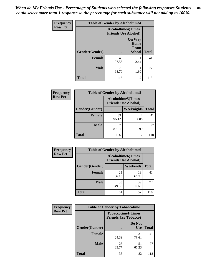*When do My Friends Use - Percentage of Students who selected the following responses.Students could select more than 1 response so the percentage for each substance will not add up to 100%.* **80**

| <b>Frequency</b> | <b>Table of Gender by Alcoholtime4</b> |                                                          |                                                |              |
|------------------|----------------------------------------|----------------------------------------------------------|------------------------------------------------|--------------|
| <b>Row Pct</b>   |                                        | <b>Alcoholtime4(Times</b><br><b>Friends Use Alcohol)</b> |                                                |              |
|                  | Gender(Gender)                         |                                                          | <b>On Way</b><br>Home<br><b>From</b><br>School | <b>Total</b> |
|                  | <b>Female</b>                          | 40<br>97.56                                              | 2.44                                           | 41           |
|                  | <b>Male</b>                            | 76<br>98.70                                              | 1.30                                           | 77           |
|                  | <b>Total</b>                           | 116                                                      | 2                                              | 118          |

| <b>Frequency</b> | <b>Table of Gender by Alcoholtime5</b> |                                                   |                   |              |
|------------------|----------------------------------------|---------------------------------------------------|-------------------|--------------|
| <b>Row Pct</b>   |                                        | Alcoholtime5(Times<br><b>Friends Use Alcohol)</b> |                   |              |
|                  | Gender(Gender)                         |                                                   | <b>Weeknights</b> | <b>Total</b> |
|                  | <b>Female</b>                          | 39<br>95.12                                       | 2<br>4.88         | 41           |
|                  | <b>Male</b>                            | 67<br>87.01                                       | 10<br>12.99       | 77           |
|                  | Total                                  | 106                                               | 12                | 118          |

| Frequency      |                | <b>Table of Gender by Alcoholtime6</b> |                                                           |              |
|----------------|----------------|----------------------------------------|-----------------------------------------------------------|--------------|
| <b>Row Pct</b> |                |                                        | <b>Alcoholtime6</b> (Times<br><b>Friends Use Alcohol)</b> |              |
|                | Gender(Gender) |                                        | Weekends                                                  | <b>Total</b> |
|                | Female         | 23<br>56.10                            | 18<br>43.90                                               | 41           |
|                | <b>Male</b>    | 38<br>49.35                            | 39<br>50.65                                               | 77           |
|                | <b>Total</b>   | 61                                     | 57                                                        | 118          |

| Frequency      | <b>Table of Gender by Tobaccotime1</b> |                                                          |                      |              |
|----------------|----------------------------------------|----------------------------------------------------------|----------------------|--------------|
| <b>Row Pct</b> |                                        | <b>Tobaccotime1(Times</b><br><b>Friends Use Tobacco)</b> |                      |              |
|                | Gender(Gender)                         |                                                          | Do Not<br><b>Use</b> | <b>Total</b> |
|                | <b>Female</b>                          | 10<br>24.39                                              | 31<br>75.61          | 41           |
|                | <b>Male</b>                            | 26<br>33.77                                              | 51<br>66.23          | 77           |
|                | <b>Total</b>                           | 36                                                       | 82                   | 118          |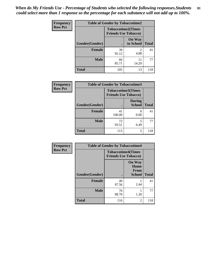| Frequency      | <b>Table of Gender by Tobaccotime2</b> |                                                          |                            |              |
|----------------|----------------------------------------|----------------------------------------------------------|----------------------------|--------------|
| <b>Row Pct</b> |                                        | <b>Tobaccotime2(Times</b><br><b>Friends Use Tobacco)</b> |                            |              |
|                | Gender(Gender)                         | $\bullet$                                                | <b>On Way</b><br>to School | <b>Total</b> |
|                | <b>Female</b>                          | 39<br>95.12                                              | $\mathfrak{D}$<br>4.88     | 41           |
|                | <b>Male</b>                            | 66<br>85.71                                              | 11<br>14.29                | 77           |
|                | <b>Total</b>                           | 105                                                      | 13                         | 118          |

| Frequency      | <b>Table of Gender by Tobaccotime3</b> |                                                          |                                |              |
|----------------|----------------------------------------|----------------------------------------------------------|--------------------------------|--------------|
| <b>Row Pct</b> |                                        | <b>Tobaccotime3(Times</b><br><b>Friends Use Tobacco)</b> |                                |              |
|                | Gender(Gender)                         |                                                          | <b>During</b><br><b>School</b> | <b>Total</b> |
|                | Female                                 | 41<br>100.00                                             | 0.00                           | 41           |
|                | <b>Male</b>                            | 72<br>93.51                                              | 5<br>6.49                      | 77           |
|                | <b>Total</b>                           | 113                                                      | 5                              | 118          |

| Frequency      | <b>Table of Gender by Tobaccotime4</b> |                                                          |                                                |              |
|----------------|----------------------------------------|----------------------------------------------------------|------------------------------------------------|--------------|
| <b>Row Pct</b> |                                        | <b>Tobaccotime4(Times</b><br><b>Friends Use Tobacco)</b> |                                                |              |
|                | Gender(Gender)                         |                                                          | <b>On Way</b><br>Home<br>From<br><b>School</b> | <b>Total</b> |
|                | <b>Female</b>                          | 40<br>97.56                                              | 2.44                                           | 41           |
|                | <b>Male</b>                            | 76<br>98.70                                              | 1.30                                           | 77           |
|                | <b>Total</b>                           | 116                                                      | $\overline{2}$                                 | 118          |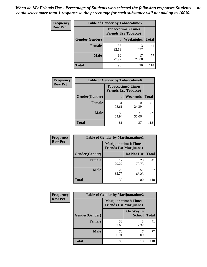| <b>Frequency</b> | <b>Table of Gender by Tobaccotime5</b> |             |                                                           |              |  |
|------------------|----------------------------------------|-------------|-----------------------------------------------------------|--------------|--|
| <b>Row Pct</b>   |                                        |             | <b>Tobaccotime5</b> (Times<br><b>Friends Use Tobacco)</b> |              |  |
|                  | Gender(Gender)                         |             | Weeknights                                                | <b>Total</b> |  |
|                  | <b>Female</b>                          | 38<br>92.68 | 3<br>7.32                                                 | 41           |  |
|                  | <b>Male</b>                            | 60<br>77.92 | 17<br>22.08                                               | 77           |  |
|                  | Total                                  | 98          | 20                                                        | 118          |  |

| <b>Frequency</b> | <b>Table of Gender by Tobaccotime6</b> |                             |                           |              |
|------------------|----------------------------------------|-----------------------------|---------------------------|--------------|
| <b>Row Pct</b>   |                                        | <b>Friends Use Tobacco)</b> | <b>Tobaccotime6(Times</b> |              |
|                  | Gender(Gender)                         |                             | <b>Weekends</b>           | <b>Total</b> |
|                  | Female                                 | 31<br>75.61                 | 10<br>24.39               | 41           |
|                  | <b>Male</b>                            | 50<br>64.94                 | 27<br>35.06               | 77           |
|                  | <b>Total</b>                           | 81                          | 37                        | 118          |

| Frequency      | <b>Table of Gender by Marijuanatime1</b> |                                |                             |              |
|----------------|------------------------------------------|--------------------------------|-----------------------------|--------------|
| <b>Row Pct</b> |                                          | <b>Friends Use Marijuana</b> ) | <b>Marijuanatime1(Times</b> |              |
|                | <b>Gender</b> (Gender)                   |                                | Do Not Use                  | <b>Total</b> |
|                | <b>Female</b>                            | 12<br>29.27                    | 29<br>70.73                 | 41           |
|                | <b>Male</b>                              | 26<br>33.77                    | 51<br>66.23                 | 77           |
|                | <b>Total</b>                             | 38                             | 80                          | 118          |

| Frequency      | <b>Table of Gender by Marijuanatime2</b> |                                                               |                            |              |
|----------------|------------------------------------------|---------------------------------------------------------------|----------------------------|--------------|
| <b>Row Pct</b> |                                          | <b>Marijuanatime2(Times</b><br><b>Friends Use Marijuana</b> ) |                            |              |
|                | Gender(Gender)                           |                                                               | On Way to<br><b>School</b> | <b>Total</b> |
|                | <b>Female</b>                            | 38<br>92.68                                                   | 3<br>7.32                  | 41           |
|                | <b>Male</b>                              | 70<br>90.91                                                   | 9.09                       | 77           |
|                | <b>Total</b>                             | 108                                                           | 10                         | 118          |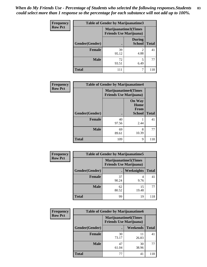*When do My Friends Use - Percentage of Students who selected the following responses.Students could select more than 1 response so the percentage for each substance will not add up to 100%.* **83**

| <b>Frequency</b> | Table of Gender by Marijuanatime3 |                                                               |                                |              |
|------------------|-----------------------------------|---------------------------------------------------------------|--------------------------------|--------------|
| <b>Row Pct</b>   |                                   | <b>Marijuanatime3(Times</b><br><b>Friends Use Marijuana</b> ) |                                |              |
|                  | Gender(Gender)                    |                                                               | <b>During</b><br><b>School</b> | <b>Total</b> |
|                  | <b>Female</b>                     | 39<br>95.12                                                   | 4.88                           | 41           |
|                  | <b>Male</b>                       | 72<br>93.51                                                   | 6.49                           | 77           |
|                  | <b>Total</b>                      | 111                                                           |                                | 118          |

| Frequency      | <b>Table of Gender by Marijuanatime4</b> |                                |                                                       |              |
|----------------|------------------------------------------|--------------------------------|-------------------------------------------------------|--------------|
| <b>Row Pct</b> |                                          | <b>Friends Use Marijuana</b> ) | <b>Marijuanatime4</b> (Times                          |              |
|                | <b>Gender</b> (Gender)                   |                                | <b>On Way</b><br>Home<br><b>From</b><br><b>School</b> | <b>Total</b> |
|                |                                          |                                |                                                       |              |
|                | <b>Female</b>                            | 40<br>97.56                    | 2.44                                                  | 41           |
|                | <b>Male</b>                              | 69<br>89.61                    | 8<br>10.39                                            | 77           |
|                | <b>Total</b>                             | 109                            | 9                                                     | 118          |

| <b>Frequency</b> |                                                                | <b>Table of Gender by Marijuanatime5</b> |                   |              |  |
|------------------|----------------------------------------------------------------|------------------------------------------|-------------------|--------------|--|
| <b>Row Pct</b>   | <b>Marijuanatime5</b> (Times<br><b>Friends Use Marijuana</b> ) |                                          |                   |              |  |
|                  | Gender(Gender)                                                 |                                          | <b>Weeknights</b> | <b>Total</b> |  |
|                  | <b>Female</b>                                                  | 37<br>90.24                              | 4<br>9.76         | 41           |  |
|                  | <b>Male</b>                                                    | 62<br>80.52                              | 15<br>19.48       | 77           |  |
|                  | <b>Total</b>                                                   | 99                                       | 19                | 118          |  |

| Frequency      | <b>Table of Gender by Marijuanatime6</b> |                                                               |                 |              |  |  |
|----------------|------------------------------------------|---------------------------------------------------------------|-----------------|--------------|--|--|
| <b>Row Pct</b> |                                          | <b>Marijuanatime6(Times</b><br><b>Friends Use Marijuana</b> ) |                 |              |  |  |
|                | Gender(Gender)                           |                                                               | <b>Weekends</b> | <b>Total</b> |  |  |
|                | <b>Female</b>                            | 30<br>73.17                                                   | 11<br>26.83     | 41           |  |  |
|                | <b>Male</b>                              | 47<br>61.04                                                   | 30<br>38.96     | 77           |  |  |
|                | <b>Total</b>                             | 77                                                            | 41              | 118          |  |  |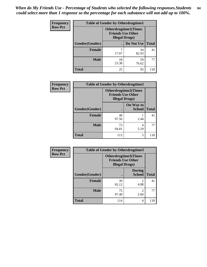*When do My Friends Use - Percentage of Students who selected the following responses.Students could select more than 1 response so the percentage for each substance will not add up to 100%.* **84**

| <b>Frequency</b> | <b>Table of Gender by Otherdrugtime1</b>                                           |             |             |              |  |
|------------------|------------------------------------------------------------------------------------|-------------|-------------|--------------|--|
| <b>Row Pct</b>   | <b>Otherdrugtime1</b> (Times<br><b>Friends Use Other</b><br><b>Illegal Drugs</b> ) |             |             |              |  |
|                  | Gender(Gender)                                                                     |             | Do Not Use  | <b>Total</b> |  |
|                  | <b>Female</b>                                                                      | 7<br>17.07  | 34<br>82.93 | 41           |  |
|                  | <b>Male</b>                                                                        | 18<br>23.38 | 59<br>76.62 | 77           |  |
|                  | <b>Total</b>                                                                       | 25          | 93          | 118          |  |

| Frequency      | <b>Table of Gender by Otherdrugtime2</b> |                                                                                   |                            |              |  |
|----------------|------------------------------------------|-----------------------------------------------------------------------------------|----------------------------|--------------|--|
| <b>Row Pct</b> |                                          | <b>Otherdrugtime2(Times</b><br><b>Friends Use Other</b><br><b>Illegal Drugs</b> ) |                            |              |  |
|                | Gender(Gender)                           |                                                                                   | On Way to<br><b>School</b> | <b>Total</b> |  |
|                | <b>Female</b>                            | 40<br>97.56                                                                       | 2.44                       | 41           |  |
|                | <b>Male</b>                              | 73<br>94.81                                                                       | 4<br>5.19                  | 77           |  |
|                | <b>Total</b>                             | 113                                                                               | 5                          | 118          |  |

| Frequency      |                | <b>Table of Gender by Otherdrugtime3</b> |                                                  |              |
|----------------|----------------|------------------------------------------|--------------------------------------------------|--------------|
| <b>Row Pct</b> |                | <b>Illegal Drugs</b> )                   | Otherdrugtime3(Times<br><b>Friends Use Other</b> |              |
|                | Gender(Gender) |                                          | <b>During</b><br><b>School</b>                   | <b>Total</b> |
|                | <b>Female</b>  | 39<br>95.12                              | $\mathfrak{D}$<br>4.88                           | 41           |
|                | <b>Male</b>    | 75<br>97.40                              | $\overline{c}$<br>2.60                           | 77           |
|                | <b>Total</b>   | 114                                      | 4                                                | 118          |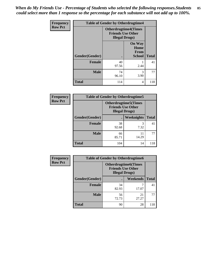*When do My Friends Use - Percentage of Students who selected the following responses.Students could select more than 1 response so the percentage for each substance will not add up to 100%.* **85**

| Frequency      | <b>Table of Gender by Otherdrugtime4</b> |                                                                                   |                                                |              |
|----------------|------------------------------------------|-----------------------------------------------------------------------------------|------------------------------------------------|--------------|
| <b>Row Pct</b> |                                          | <b>Otherdrugtime4(Times</b><br><b>Friends Use Other</b><br><b>Illegal Drugs</b> ) |                                                |              |
|                | Gender(Gender)                           |                                                                                   | <b>On Way</b><br>Home<br>From<br><b>School</b> | <b>Total</b> |
|                | <b>Female</b>                            | 40<br>97.56                                                                       | 2.44                                           | 41           |
|                | <b>Male</b>                              | 74<br>96.10                                                                       | 3<br>3.90                                      | 77           |
|                | <b>Total</b>                             | 114                                                                               | 4                                              | 118          |

| <b>Frequency</b> | <b>Table of Gender by Otherdrugtime5</b> |             |                                                                                    |              |  |
|------------------|------------------------------------------|-------------|------------------------------------------------------------------------------------|--------------|--|
| <b>Row Pct</b>   |                                          |             | <b>Otherdrugtime5</b> (Times<br><b>Friends Use Other</b><br><b>Illegal Drugs</b> ) |              |  |
|                  | Gender(Gender)                           | $\bullet$   | Weeknights                                                                         | <b>Total</b> |  |
|                  | <b>Female</b>                            | 38<br>92.68 | 7.32                                                                               | 41           |  |
|                  | <b>Male</b>                              | 66<br>85.71 | 11<br>14.29                                                                        | 77           |  |
|                  | <b>Total</b>                             | 104         | 14                                                                                 | 118          |  |

| <b>Frequency</b> | <b>Table of Gender by Otherdrugtime6</b> |                                                                                   |                 |              |  |
|------------------|------------------------------------------|-----------------------------------------------------------------------------------|-----------------|--------------|--|
| <b>Row Pct</b>   |                                          | <b>Otherdrugtime6(Times</b><br><b>Friends Use Other</b><br><b>Illegal Drugs</b> ) |                 |              |  |
|                  | Gender(Gender)                           |                                                                                   | <b>Weekends</b> | <b>Total</b> |  |
|                  | <b>Female</b>                            | 34<br>82.93                                                                       | 17.07           | 41           |  |
|                  | <b>Male</b>                              | 56<br>72.73                                                                       | 21<br>27.27     | 77           |  |
|                  | <b>Total</b>                             | 90                                                                                | 28              | 118          |  |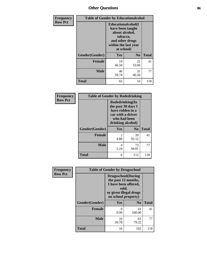# *Other Questions* **86**

| <b>Frequency</b> | <b>Table of Gender by Educationalcohol</b> |                                                                                                                                       |                |              |
|------------------|--------------------------------------------|---------------------------------------------------------------------------------------------------------------------------------------|----------------|--------------|
| <b>Row Pct</b>   |                                            | <b>Educationalcohol</b> (I<br>have been taught<br>about alcohol,<br>tobacco,<br>and other drugs<br>within the last year<br>at school) |                |              |
|                  | Gender(Gender)                             | <b>Yes</b>                                                                                                                            | N <sub>0</sub> | <b>Total</b> |
|                  | <b>Female</b>                              | 19<br>46.34                                                                                                                           | 22<br>53.66    | 41           |
|                  | <b>Male</b>                                | 46<br>59.74                                                                                                                           | 31<br>40.26    | 77           |
|                  | <b>Total</b>                               | 65                                                                                                                                    | 53             | 118          |

| Frequency      | <b>Table of Gender by Rodedrinking</b> |                                                                                                                     |                |              |
|----------------|----------------------------------------|---------------------------------------------------------------------------------------------------------------------|----------------|--------------|
| <b>Row Pct</b> |                                        | Rodedrinking(In<br>the past 30 days I<br>have ridden in a<br>car with a driver<br>who had been<br>drinking alcohol) |                |              |
|                | Gender(Gender)                         | Yes                                                                                                                 | N <sub>0</sub> | <b>Total</b> |
|                | <b>Female</b>                          | $\mathfrak{D}$<br>4.88                                                                                              | 39<br>95.12    | 41           |
|                | <b>Male</b>                            | 4<br>5.19                                                                                                           | 73<br>94.81    | 77           |
|                | <b>Total</b>                           | 6                                                                                                                   | 112            | 118          |

| Frequency      | <b>Table of Gender by Drugsschool</b> |                                                                                                                                     |                |              |
|----------------|---------------------------------------|-------------------------------------------------------------------------------------------------------------------------------------|----------------|--------------|
| <b>Row Pct</b> |                                       | <b>Drugsschool</b> (During<br>the past 12 months,<br>I have been offered,<br>sold,<br>or given illegal drugs<br>on school property) |                |              |
|                | Gender(Gender)                        | Yes                                                                                                                                 | N <sub>0</sub> | <b>Total</b> |
|                | <b>Female</b>                         | 0<br>0.00                                                                                                                           | 41<br>100.00   | 41           |
|                | <b>Male</b>                           | 16<br>20.78                                                                                                                         | 61<br>79.22    | 77           |
|                | <b>Total</b>                          | 16                                                                                                                                  | 102            | 118          |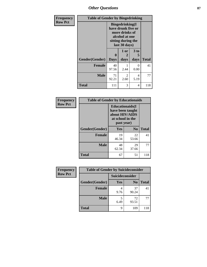# *Other Questions* **87**

| Frequency      | <b>Table of Gender by Bingedrinking</b> |                                                                                                                          |                        |                   |              |
|----------------|-----------------------------------------|--------------------------------------------------------------------------------------------------------------------------|------------------------|-------------------|--------------|
| <b>Row Pct</b> |                                         | <b>Bingedrinking</b> (I<br>have drunk five or<br>more drinks of<br>alcohol at one<br>sitting during the<br>last 30 days) |                        |                   |              |
|                | Gender(Gender)                          | 0<br><b>Days</b>                                                                                                         | 1 or<br>days           | 3 to<br>5<br>days | <b>Total</b> |
|                | <b>Female</b>                           | 40<br>97.56                                                                                                              | 2.44                   | 0<br>0.00         | 41           |
|                | <b>Male</b>                             | 71<br>92.21                                                                                                              | $\mathfrak{D}$<br>2.60 | 4<br>5.19         | 77           |
|                | <b>Total</b>                            | 111                                                                                                                      | 3                      | 4                 | 118          |

| Frequency      | <b>Table of Gender by Educationaids</b> |                                                                                                 |                |              |
|----------------|-----------------------------------------|-------------------------------------------------------------------------------------------------|----------------|--------------|
| <b>Row Pct</b> |                                         | <b>Educationaids</b> (I<br>have been taught<br>about HIV/AIDS<br>at school in the<br>past year) |                |              |
|                | Gender(Gender)                          | <b>Yes</b>                                                                                      | N <sub>0</sub> | <b>Total</b> |
|                | <b>Female</b>                           | 19<br>46.34                                                                                     | 22<br>53.66    | 41           |
|                | <b>Male</b>                             | 48<br>62.34                                                                                     | 29<br>37.66    | 77           |
|                | <b>Total</b>                            | 67                                                                                              | 51             | 118          |

| Frequency      | <b>Table of Gender by Suicideconsider</b> |                 |                |              |
|----------------|-------------------------------------------|-----------------|----------------|--------------|
| <b>Row Pct</b> |                                           | Suicideconsider |                |              |
|                | Gender(Gender)                            | Yes             | N <sub>0</sub> | <b>Total</b> |
|                | <b>Female</b>                             | 9.76            | 37<br>90.24    | 41           |
|                | <b>Male</b>                               | 6.49            | 72<br>93.51    | 77           |
|                | <b>Total</b>                              | q               | 109            | 118          |